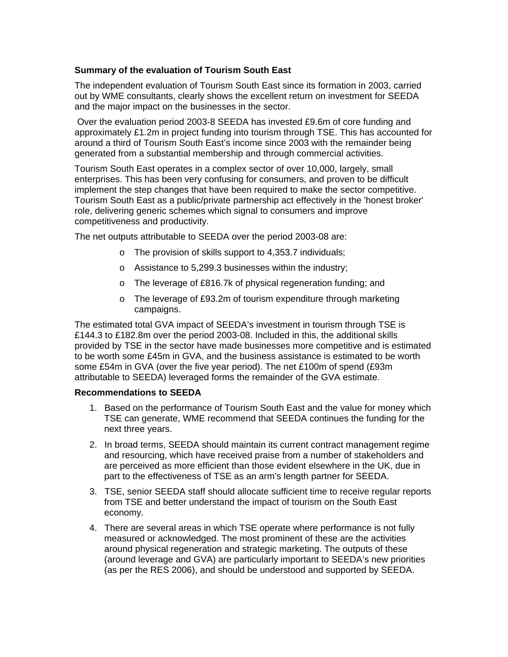#### **Summary of the evaluation of Tourism South East**

The independent evaluation of Tourism South East since its formation in 2003, carried out by WME consultants, clearly shows the excellent return on investment for SEEDA and the major impact on the businesses in the sector.

 Over the evaluation period 2003-8 SEEDA has invested £9.6m of core funding and approximately £1.2m in project funding into tourism through TSE. This has accounted for around a third of Tourism South East's income since 2003 with the remainder being generated from a substantial membership and through commercial activities.

Tourism South East operates in a complex sector of over 10,000, largely, small enterprises. This has been very confusing for consumers, and proven to be difficult implement the step changes that have been required to make the sector competitive. Tourism South East as a public/private partnership act effectively in the 'honest broker' role, delivering generic schemes which signal to consumers and improve competitiveness and productivity.

The net outputs attributable to SEEDA over the period 2003-08 are:

- o The provision of skills support to 4,353.7 individuals;
- o Assistance to 5,299.3 businesses within the industry;
- o The leverage of £816.7k of physical regeneration funding; and
- o The leverage of £93.2m of tourism expenditure through marketing campaigns.

The estimated total GVA impact of SEEDA's investment in tourism through TSE is £144.3 to £182.8m over the period 2003-08. Included in this, the additional skills provided by TSE in the sector have made businesses more competitive and is estimated to be worth some £45m in GVA, and the business assistance is estimated to be worth some £54m in GVA (over the five year period). The net £100m of spend (£93m attributable to SEEDA) leveraged forms the remainder of the GVA estimate.

#### **Recommendations to SEEDA**

- 1. Based on the performance of Tourism South East and the value for money which TSE can generate, WME recommend that SEEDA continues the funding for the next three years.
- 2. In broad terms, SEEDA should maintain its current contract management regime and resourcing, which have received praise from a number of stakeholders and are perceived as more efficient than those evident elsewhere in the UK, due in part to the effectiveness of TSE as an arm's length partner for SEEDA.
- 3. TSE, senior SEEDA staff should allocate sufficient time to receive regular reports from TSE and better understand the impact of tourism on the South East economy.
- 4. There are several areas in which TSE operate where performance is not fully measured or acknowledged. The most prominent of these are the activities around physical regeneration and strategic marketing. The outputs of these (around leverage and GVA) are particularly important to SEEDA's new priorities (as per the RES 2006), and should be understood and supported by SEEDA.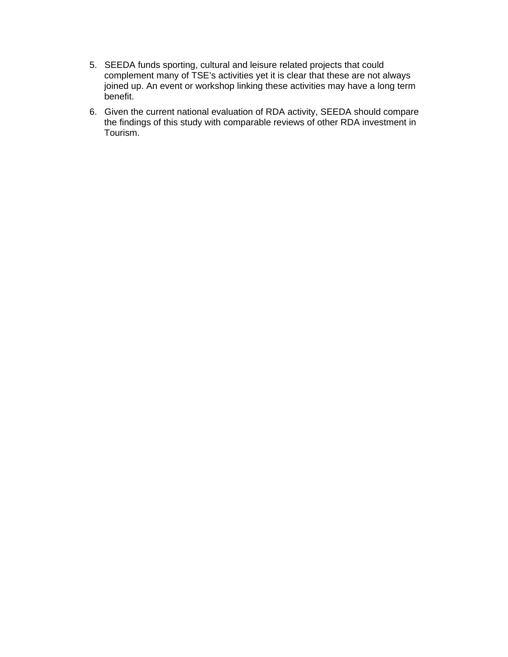- 5. SEEDA funds sporting, cultural and leisure related projects that could complement many of TSE's activities yet it is clear that these are not always joined up. An event or workshop linking these activities may have a long term benefit.
- 6. Given the current national evaluation of RDA activity, SEEDA should compare the findings of this study with comparable reviews of other RDA investment in Tourism.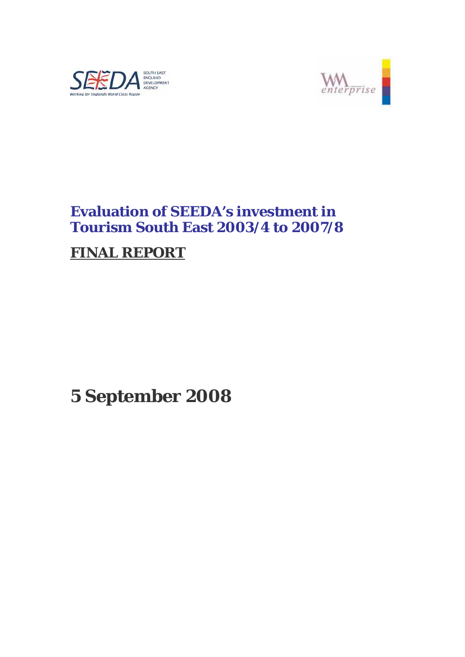



# **Evaluation of SEEDA's investment in Tourism South East 2003/4 to 2007/8**

# **FINAL REPORT**

# **5 September 2008**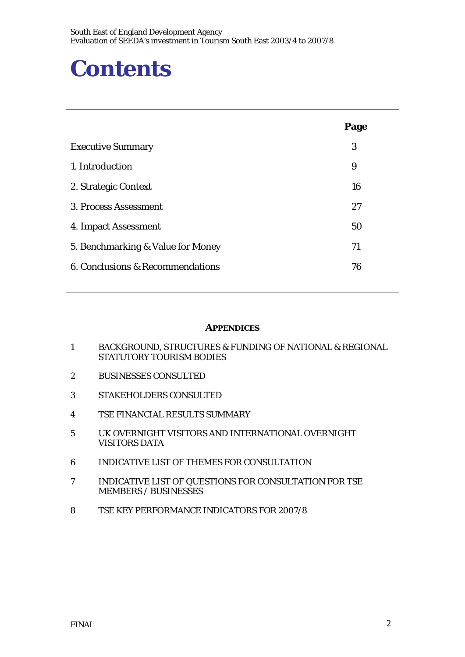# **Contents**

|                                   | Page |
|-----------------------------------|------|
| <b>Executive Summary</b>          | 3    |
| 1. Introduction                   | 9    |
| 2. Strategic Context              | 16   |
| 3. Process Assessment             | 27   |
| 4. Impact Assessment              | 50   |
| 5. Benchmarking & Value for Money | 71   |
| 6. Conclusions & Recommendations  | 76   |
|                                   |      |

#### **APPENDICES**

- 1 BACKGROUND, STRUCTURES & FUNDING OF NATIONAL & REGIONAL STATUTORY TOURISM BODIES
- 2 BUSINESSES CONSULTED
- 3 STAKEHOLDERS CONSULTED
- 4 TSE FINANCIAL RESULTS SUMMARY
- 5 UK OVERNIGHT VISITORS AND INTERNATIONAL OVERNIGHT VISITORS DATA
- 6 INDICATIVE LIST OF THEMES FOR CONSULTATION
- 7 INDICATIVE LIST OF QUESTIONS FOR CONSULTATION FOR TSE MEMBERS / BUSINESSES
- 8 TSE KEY PERFORMANCE INDICATORS FOR 2007/8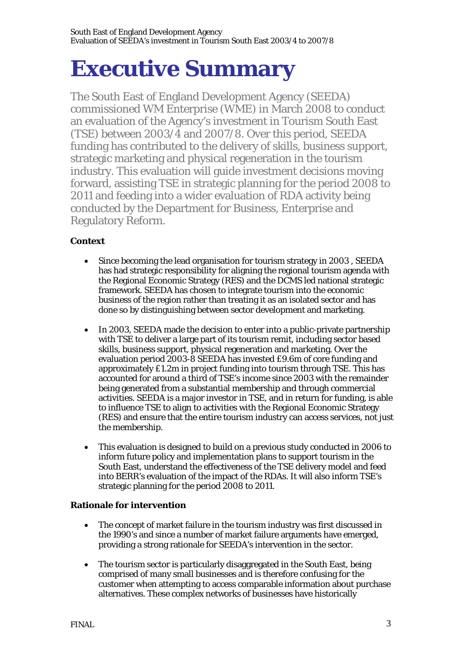# **Executive Summary**

The South East of England Development Agency (SEEDA) commissioned WM Enterprise (WME) in March 2008 to conduct an evaluation of the Agency's investment in Tourism South East (TSE) between 2003/4 and 2007/8. Over this period, SEEDA funding has contributed to the delivery of skills, business support, strategic marketing and physical regeneration in the tourism industry. This evaluation will guide investment decisions moving forward, assisting TSE in strategic planning for the period 2008 to 2011 and feeding into a wider evaluation of RDA activity being conducted by the Department for Business, Enterprise and Regulatory Reform.

# **Context**

- Since becoming the lead organisation for tourism strategy in 2003, SEEDA has had strategic responsibility for aligning the regional tourism agenda with the Regional Economic Strategy (RES) and the DCMS led national strategic framework. SEEDA has chosen to integrate tourism into the economic business of the region rather than treating it as an isolated sector and has done so by distinguishing between sector development and marketing.
- In 2003, SEEDA made the decision to enter into a public-private partnership with TSE to deliver a large part of its tourism remit, including sector based skills, business support, physical regeneration and marketing. Over the evaluation period 2003-8 SEEDA has invested £9.6m of core funding and approximately £1.2m in project funding into tourism through TSE. This has accounted for around a third of TSE's income since 2003 with the remainder being generated from a substantial membership and through commercial activities. SEEDA is a major investor in TSE, and in return for funding, is able to influence TSE to align to activities with the Regional Economic Strategy (RES) and ensure that the entire tourism industry can access services, not just the membership.
- This evaluation is designed to build on a previous study conducted in 2006 to inform future policy and implementation plans to support tourism in the South East, understand the effectiveness of the TSE delivery model and feed into BERR's evaluation of the impact of the RDAs. It will also inform TSE's strategic planning for the period 2008 to 2011.

# **Rationale for intervention**

- The concept of market failure in the tourism industry was first discussed in the 1990's and since a number of market failure arguments have emerged, providing a strong rationale for SEEDA's intervention in the sector.
- The tourism sector is particularly disaggregated in the South East, being comprised of many small businesses and is therefore confusing for the customer when attempting to access comparable information about purchase alternatives. These complex networks of businesses have historically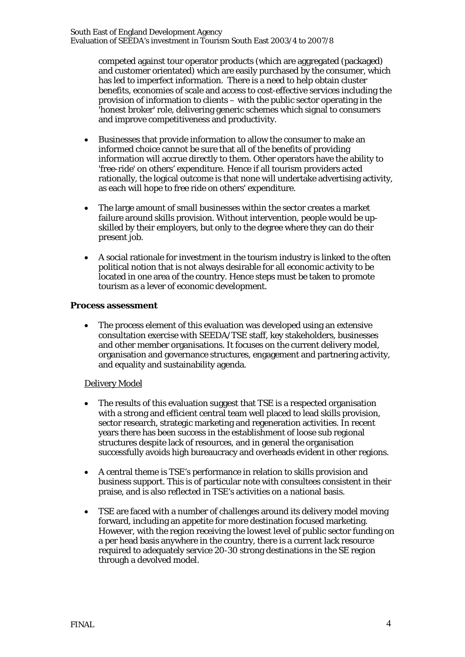competed against tour operator products (which are aggregated (packaged) and customer orientated) which are easily purchased by the consumer, which has led to imperfect information. There is a need to help obtain cluster benefits, economies of scale and access to cost-effective services including the provision of information to clients – with the public sector operating in the 'honest broker' role, delivering generic schemes which signal to consumers and improve competitiveness and productivity.

- Businesses that provide information to allow the consumer to make an informed choice cannot be sure that all of the benefits of providing information will accrue directly to them. Other operators have the ability to 'free-ride' on others' expenditure. Hence if all tourism providers acted rationally, the logical outcome is that none will undertake advertising activity, as each will hope to free ride on others' expenditure.
- The large amount of small businesses within the sector creates a market failure around skills provision. Without intervention, people would be upskilled by their employers, but only to the degree where they can do their present job.
- A social rationale for investment in the tourism industry is linked to the often political notion that is not always desirable for all economic activity to be located in one area of the country. Hence steps must be taken to promote tourism as a lever of economic development.

#### **Process assessment**

• The process element of this evaluation was developed using an extensive consultation exercise with SEEDA/TSE staff, key stakeholders, businesses and other member organisations. It focuses on the current delivery model, organisation and governance structures, engagement and partnering activity, and equality and sustainability agenda.

# Delivery Model

- The results of this evaluation suggest that TSE is a respected organisation with a strong and efficient central team well placed to lead skills provision, sector research, strategic marketing and regeneration activities. In recent years there has been success in the establishment of loose sub regional structures despite lack of resources, and in general the organisation successfully avoids high bureaucracy and overheads evident in other regions.
- A central theme is TSE's performance in relation to skills provision and business support. This is of particular note with consultees consistent in their praise, and is also reflected in TSE's activities on a national basis.
- TSE are faced with a number of challenges around its delivery model moving forward, including an appetite for more destination focused marketing. However, with the region receiving the lowest level of public sector funding on a per head basis anywhere in the country, there is a current lack resource required to adequately service 20-30 strong destinations in the SE region through a devolved model.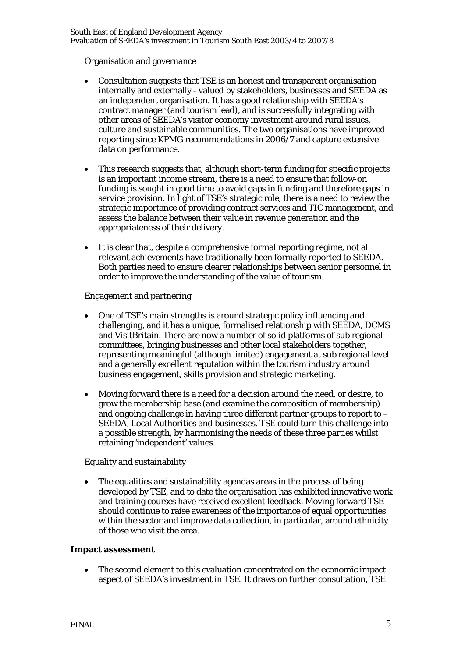#### Organisation and governance

- Consultation suggests that TSE is an honest and transparent organisation internally and externally - valued by stakeholders, businesses and SEEDA as an independent organisation. It has a good relationship with SEEDA's contract manager (and tourism lead), and is successfully integrating with other areas of SEEDA's visitor economy investment around rural issues, culture and sustainable communities. The two organisations have improved reporting since KPMG recommendations in 2006/7 and capture extensive data on performance.
- This research suggests that, although short-term funding for specific projects is an important income stream, there is a need to ensure that follow-on funding is sought in good time to avoid gaps in funding and therefore gaps in service provision. In light of TSE's strategic role, there is a need to review the strategic importance of providing contract services and TIC management, and assess the balance between their value in revenue generation and the appropriateness of their delivery.
- It is clear that, despite a comprehensive formal reporting regime, not all relevant achievements have traditionally been formally reported to SEEDA. Both parties need to ensure clearer relationships between senior personnel in order to improve the understanding of the value of tourism.

#### Engagement and partnering

- One of TSE's main strengths is around strategic policy influencing and challenging, and it has a unique, formalised relationship with SEEDA, DCMS and VisitBritain. There are now a number of solid platforms of sub regional committees, bringing businesses and other local stakeholders together, representing meaningful (although limited) engagement at sub regional level and a generally excellent reputation within the tourism industry around business engagement, skills provision and strategic marketing.
- Moving forward there is a need for a decision around the need, or desire, to grow the membership base (and examine the composition of membership) and ongoing challenge in having three different partner groups to report to – SEEDA, Local Authorities and businesses. TSE could turn this challenge into a possible strength, by harmonising the needs of these three parties whilst retaining 'independent' values.

#### Equality and sustainability

The equalities and sustainability agendas areas in the process of being developed by TSE, and to date the organisation has exhibited innovative work and training courses have received excellent feedback. Moving forward TSE should continue to raise awareness of the importance of equal opportunities within the sector and improve data collection, in particular, around ethnicity of those who visit the area.

#### **Impact assessment**

The second element to this evaluation concentrated on the economic impact aspect of SEEDA's investment in TSE. It draws on further consultation, TSE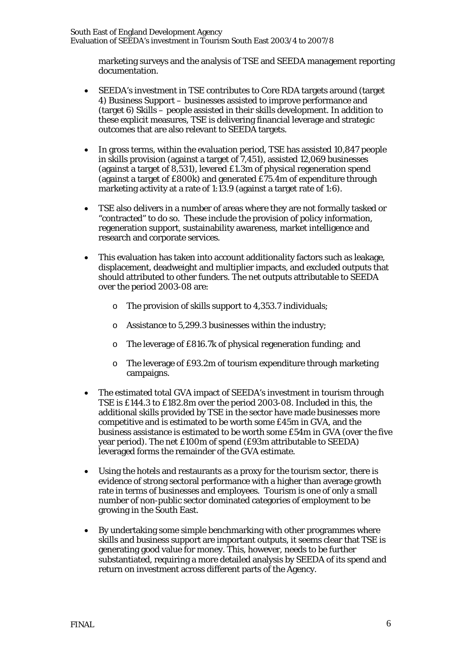marketing surveys and the analysis of TSE and SEEDA management reporting documentation.

- SEEDA's investment in TSE contributes to Core RDA targets around (target 4) Business Support – businesses assisted to improve performance and (target 6) Skills – people assisted in their skills development. In addition to these explicit measures, TSE is delivering financial leverage and strategic outcomes that are also relevant to SEEDA targets.
- In gross terms, within the evaluation period, TSE has assisted 10,847 people in skills provision (against a target of 7,451), assisted 12,069 businesses (against a target of 8,531), levered £1.3m of physical regeneration spend (against a target of £800k) and generated £75.4m of expenditure through marketing activity at a rate of 1:13.9 (against a target rate of 1:6).
- TSE also delivers in a number of areas where they are not formally tasked or "contracted" to do so. These include the provision of policy information, regeneration support, sustainability awareness, market intelligence and research and corporate services.
- This evaluation has taken into account additionality factors such as leakage, displacement, deadweight and multiplier impacts, and excluded outputs that should attributed to other funders. The net outputs attributable to SEEDA over the period 2003-08 are:
	- o The provision of skills support to 4,353.7 individuals;
	- o Assistance to 5,299.3 businesses within the industry;
	- o The leverage of £816.7k of physical regeneration funding; and
	- o The leverage of £93.2m of tourism expenditure through marketing campaigns.
- The estimated total GVA impact of SEEDA's investment in tourism through TSE is £144.3 to £182.8m over the period 2003-08. Included in this, the additional skills provided by TSE in the sector have made businesses more competitive and is estimated to be worth some £45m in GVA, and the business assistance is estimated to be worth some £54m in GVA (over the five year period). The net £100m of spend (£93m attributable to SEEDA) leveraged forms the remainder of the GVA estimate.
- Using the hotels and restaurants as a proxy for the tourism sector, there is evidence of strong sectoral performance with a higher than average growth rate in terms of businesses and employees. Tourism is one of only a small number of non-public sector dominated categories of employment to be growing in the South East.
- By undertaking some simple benchmarking with other programmes where skills and business support are important outputs, it seems clear that TSE is generating good value for money. This, however, needs to be further substantiated, requiring a more detailed analysis by SEEDA of its spend and return on investment across different parts of the Agency.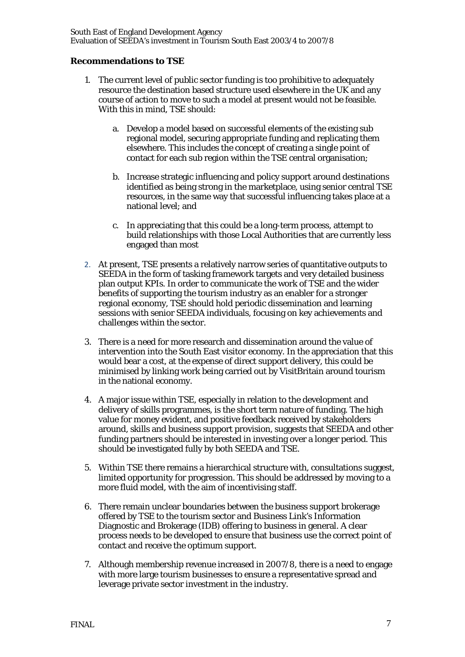#### **Recommendations to TSE**

- 1. The current level of public sector funding is too prohibitive to adequately resource the destination based structure used elsewhere in the UK and any course of action to move to such a model at present would not be feasible. With this in mind, TSE should:
	- a. Develop a model based on successful elements of the existing sub regional model, securing appropriate funding and replicating them elsewhere. This includes the concept of creating a single point of contact for each sub region within the TSE central organisation;
	- b. Increase strategic influencing and policy support around destinations identified as being strong in the marketplace, using senior central TSE resources, in the same way that successful influencing takes place at a national level; and
	- c. In appreciating that this could be a long-term process, attempt to build relationships with those Local Authorities that are currently less engaged than most
- 2. At present, TSE presents a relatively narrow series of quantitative outputs to SEEDA in the form of tasking framework targets and very detailed business plan output KPIs. In order to communicate the work of TSE and the wider benefits of supporting the tourism industry as an enabler for a stronger regional economy, TSE should hold periodic dissemination and learning sessions with senior SEEDA individuals, focusing on key achievements and challenges within the sector.
- 3. There is a need for more research and dissemination around the value of intervention into the South East visitor economy. In the appreciation that this would bear a cost, at the expense of direct support delivery, this could be minimised by linking work being carried out by VisitBritain around tourism in the national economy.
- 4. A major issue within TSE, especially in relation to the development and delivery of skills programmes, is the short term nature of funding. The high value for money evident, and positive feedback received by stakeholders around, skills and business support provision, suggests that SEEDA and other funding partners should be interested in investing over a longer period. This should be investigated fully by both SEEDA and TSE.
- 5. Within TSE there remains a hierarchical structure with, consultations suggest, limited opportunity for progression. This should be addressed by moving to a more fluid model, with the aim of incentivising staff.
- 6. There remain unclear boundaries between the business support brokerage offered by TSE to the tourism sector and Business Link's Information Diagnostic and Brokerage (IDB) offering to business in general. A clear process needs to be developed to ensure that business use the correct point of contact and receive the optimum support.
- 7. Although membership revenue increased in 2007/8, there is a need to engage with more large tourism businesses to ensure a representative spread and leverage private sector investment in the industry.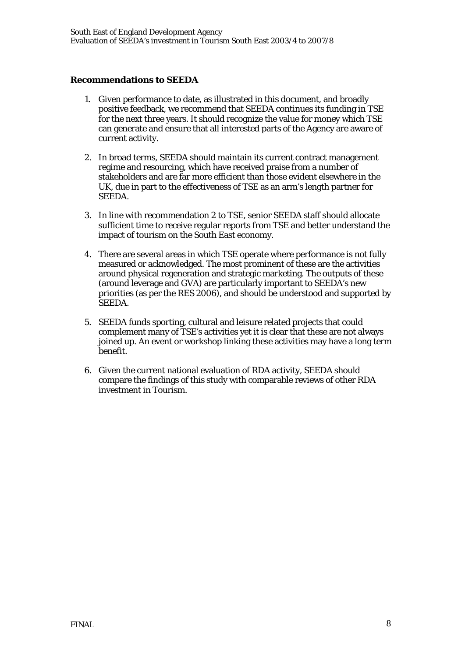#### **Recommendations to SEEDA**

- 1. Given performance to date, as illustrated in this document, and broadly positive feedback, we recommend that SEEDA continues its funding in TSE for the next three years. It should recognize the value for money which TSE can generate and ensure that all interested parts of the Agency are aware of current activity.
- 2. In broad terms, SEEDA should maintain its current contract management regime and resourcing, which have received praise from a number of stakeholders and are far more efficient than those evident elsewhere in the UK, due in part to the effectiveness of TSE as an arm's length partner for SEEDA.
- 3. In line with recommendation 2 to TSE, senior SEEDA staff should allocate sufficient time to receive regular reports from TSE and better understand the impact of tourism on the South East economy.
- 4. There are several areas in which TSE operate where performance is not fully measured or acknowledged. The most prominent of these are the activities around physical regeneration and strategic marketing. The outputs of these (around leverage and GVA) are particularly important to SEEDA's new priorities (as per the RES 2006), and should be understood and supported by SEEDA.
- 5. SEEDA funds sporting, cultural and leisure related projects that could complement many of TSE's activities yet it is clear that these are not always joined up. An event or workshop linking these activities may have a long term benefit.
- 6. Given the current national evaluation of RDA activity, SEEDA should compare the findings of this study with comparable reviews of other RDA investment in Tourism.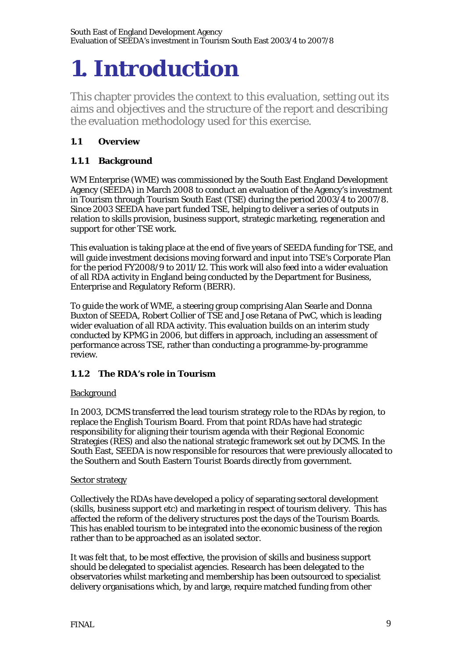# **1. Introduction**

This chapter provides the context to this evaluation, setting out its aims and objectives and the structure of the report and describing the evaluation methodology used for this exercise.

# **1.1 Overview**

# **1.1.1 Background**

WM Enterprise (WME) was commissioned by the South East England Development Agency (SEEDA) in March 2008 to conduct an evaluation of the Agency's investment in Tourism through Tourism South East (TSE) during the period 2003/4 to 2007/8. Since 2003 SEEDA have part funded TSE, helping to deliver a series of outputs in relation to skills provision, business support, strategic marketing, regeneration and support for other TSE work.

This evaluation is taking place at the end of five years of SEEDA funding for TSE, and will guide investment decisions moving forward and input into TSE's Corporate Plan for the period FY2008/9 to 2011/12. This work will also feed into a wider evaluation of all RDA activity in England being conducted by the Department for Business, Enterprise and Regulatory Reform (BERR).

To guide the work of WME, a steering group comprising Alan Searle and Donna Buxton of SEEDA, Robert Collier of TSE and Jose Retana of PwC, which is leading wider evaluation of all RDA activity. This evaluation builds on an interim study conducted by KPMG in 2006, but differs in approach, including an assessment of performance across TSE, rather than conducting a programme-by-programme review.

# **1.1.2 The RDA's role in Tourism**

# **Background**

In 2003, DCMS transferred the lead tourism strategy role to the RDAs by region, to replace the English Tourism Board. From that point RDAs have had strategic responsibility for aligning their tourism agenda with their Regional Economic Strategies (RES) and also the national strategic framework set out by DCMS. In the South East, SEEDA is now responsible for resources that were previously allocated to the Southern and South Eastern Tourist Boards directly from government.

#### Sector strategy

Collectively the RDAs have developed a policy of separating sectoral development (skills, business support etc) and marketing in respect of tourism delivery. This has affected the reform of the delivery structures post the days of the Tourism Boards. This has enabled tourism to be integrated into the economic business of the region rather than to be approached as an isolated sector.

It was felt that, to be most effective, the provision of skills and business support should be delegated to specialist agencies. Research has been delegated to the observatories whilst marketing and membership has been outsourced to specialist delivery organisations which, by and large, require matched funding from other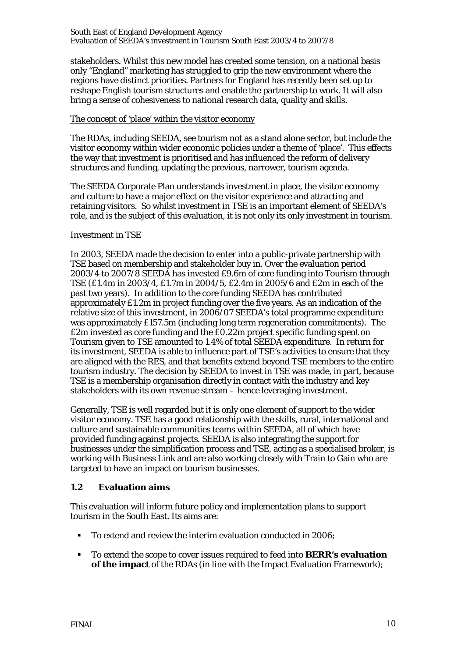stakeholders. Whilst this new model has created some tension, on a national basis only "England" marketing has struggled to grip the new environment where the regions have distinct priorities. Partners for England has recently been set up to reshape English tourism structures and enable the partnership to work. It will also bring a sense of cohesiveness to national research data, quality and skills.

#### The concept of 'place' within the visitor economy

The RDAs, including SEEDA, see tourism not as a stand alone sector, but include the visitor economy within wider economic policies under a theme of 'place'. This effects the way that investment is prioritised and has influenced the reform of delivery structures and funding, updating the previous, narrower, tourism agenda.

The SEEDA Corporate Plan understands investment in place, the visitor economy and culture to have a major effect on the visitor experience and attracting and retaining visitors. So whilst investment in TSE is an important element of SEEDA's role, and is the subject of this evaluation, it is not only its only investment in tourism.

#### Investment in TSE

In 2003, SEEDA made the decision to enter into a public-private partnership with TSE based on membership and stakeholder buy in. Over the evaluation period 2003/4 to 2007/8 SEEDA has invested £9.6m of core funding into Tourism through TSE (£1.4m in 2003/4, £1.7m in 2004/5, £2.4m in 2005/6 and £2m in each of the past two years). In addition to the core funding SEEDA has contributed approximately £1.2m in project funding over the five years. As an indication of the relative size of this investment, in 2006/07 SEEDA's total programme expenditure was approximately £157.5m (including long term regeneration commitments). The £2m invested as core funding and the £0.22m project specific funding spent on Tourism given to TSE amounted to 1.4% of total SEEDA expenditure. In return for its investment, SEEDA is able to influence part of TSE's activities to ensure that they are aligned with the RES, and that benefits extend beyond TSE members to the entire tourism industry. The decision by SEEDA to invest in TSE was made, in part, because TSE is a membership organisation directly in contact with the industry and key stakeholders with its own revenue stream – hence leveraging investment.

Generally, TSE is well regarded but it is only one element of support to the wider visitor economy. TSE has a good relationship with the skills, rural, international and culture and sustainable communities teams within SEEDA, all of which have provided funding against projects. SEEDA is also integrating the support for businesses under the simplification process and TSE, acting as a specialised broker, is working with Business Link and are also working closely with Train to Gain who are targeted to have an impact on tourism businesses.

#### **1.2 Evaluation aims**

This evaluation will inform future policy and implementation plans to support tourism in the South East. Its aims are:

- To extend and review the interim evaluation conducted in 2006;
- To extend the scope to cover issues required to feed into **BERR's evaluation of the impact** of the RDAs (in line with the Impact Evaluation Framework);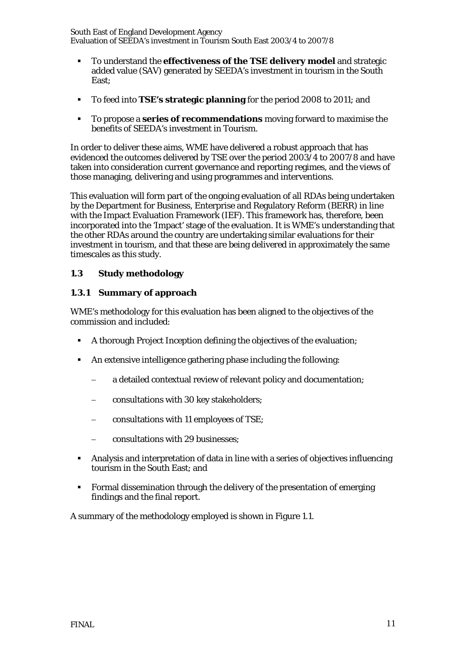- To understand the **effectiveness of the TSE delivery model** and strategic added value (SAV) generated by SEEDA's investment in tourism in the South East;
- To feed into **TSE's strategic planning** for the period 2008 to 2011; and
- To propose a **series of recommendations** moving forward to maximise the benefits of SEEDA's investment in Tourism.

In order to deliver these aims, WME have delivered a robust approach that has evidenced the outcomes delivered by TSE over the period 2003/4 to 2007/8 and have taken into consideration current governance and reporting regimes, and the views of those managing, delivering and using programmes and interventions.

This evaluation will form part of the ongoing evaluation of all RDAs being undertaken by the Department for Business, Enterprise and Regulatory Reform (BERR) in line with the Impact Evaluation Framework (IEF). This framework has, therefore, been incorporated into the 'Impact' stage of the evaluation. It is WME's understanding that the other RDAs around the country are undertaking similar evaluations for their investment in tourism, and that these are being delivered in approximately the same timescales as this study.

#### **1.3 Study methodology**

#### **1.3.1 Summary of approach**

WME's methodology for this evaluation has been aligned to the objectives of the commission and included:

- A thorough Project Inception defining the objectives of the evaluation;
- An extensive intelligence gathering phase including the following:
	- − a detailed contextual review of relevant policy and documentation;
	- − consultations with 30 key stakeholders;
	- − consultations with 11 employees of TSE;
	- − consultations with 29 businesses;
- Analysis and interpretation of data in line with a series of objectives influencing tourism in the South East; and
- Formal dissemination through the delivery of the presentation of emerging findings and the final report.

A summary of the methodology employed is shown in Figure 1.1.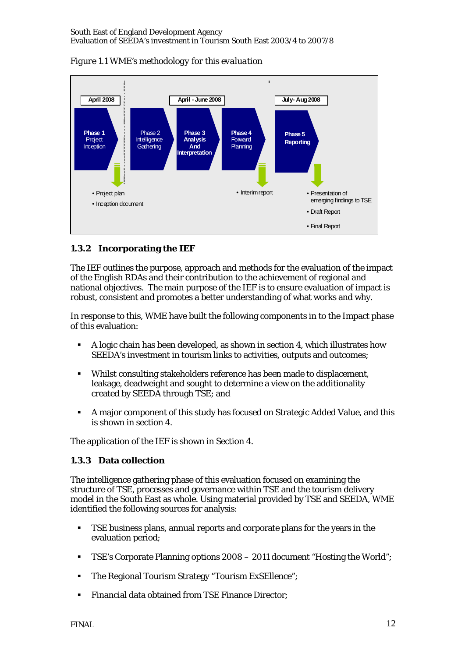

*Figure 1.1 WME's methodology for this evaluation* 

# **1.3.2 Incorporating the IEF**

The IEF outlines the purpose, approach and methods for the evaluation of the impact of the English RDAs and their contribution to the achievement of regional and national objectives. The main purpose of the IEF is to ensure evaluation of impact is robust, consistent and promotes a better understanding of what works and why.

In response to this, WME have built the following components in to the Impact phase of this evaluation:

- A logic chain has been developed, as shown in section 4, which illustrates how SEEDA's investment in tourism links to activities, outputs and outcomes;
- Whilst consulting stakeholders reference has been made to displacement, leakage, deadweight and sought to determine a view on the additionality created by SEEDA through TSE; and
- A major component of this study has focused on Strategic Added Value, and this is shown in section 4.

The application of the IEF is shown in Section 4.

# **1.3.3 Data collection**

The intelligence gathering phase of this evaluation focused on examining the structure of TSE, processes and governance within TSE and the tourism delivery model in the South East as whole. Using material provided by TSE and SEEDA, WME identified the following sources for analysis:

- TSE business plans, annual reports and corporate plans for the years in the evaluation period;
- TSE's Corporate Planning options 2008 2011 document "Hosting the World";
- The Regional Tourism Strategy "Tourism ExSEllence";
- Financial data obtained from TSE Finance Director;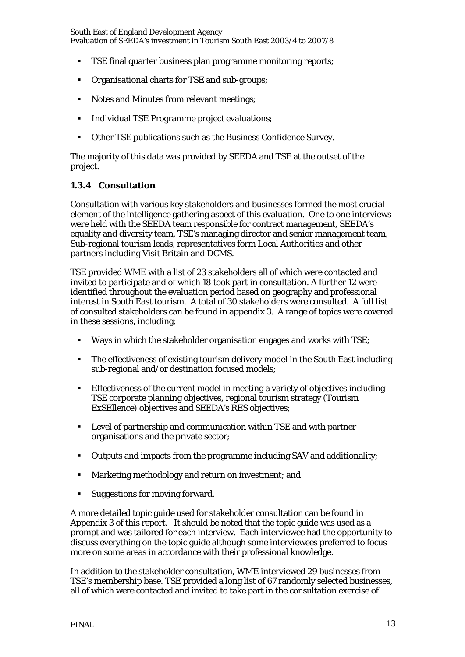- TSE final quarter business plan programme monitoring reports;
- Organisational charts for TSE and sub-groups;
- Notes and Minutes from relevant meetings;
- **Individual TSE Programme project evaluations:**
- Other TSE publications such as the Business Confidence Survey.

The majority of this data was provided by SEEDA and TSE at the outset of the project.

#### **1.3.4 Consultation**

Consultation with various key stakeholders and businesses formed the most crucial element of the intelligence gathering aspect of this evaluation. One to one interviews were held with the SEEDA team responsible for contract management, SEEDA's equality and diversity team, TSE's managing director and senior management team, Sub-regional tourism leads, representatives form Local Authorities and other partners including Visit Britain and DCMS.

TSE provided WME with a list of 23 stakeholders all of which were contacted and invited to participate and of which 18 took part in consultation. A further 12 were identified throughout the evaluation period based on geography and professional interest in South East tourism. A total of 30 stakeholders were consulted. A full list of consulted stakeholders can be found in appendix 3. A range of topics were covered in these sessions, including:

- Ways in which the stakeholder organisation engages and works with TSE;
- The effectiveness of existing tourism delivery model in the South East including sub-regional and/or destination focused models;
- Effectiveness of the current model in meeting a variety of objectives including TSE corporate planning objectives, regional tourism strategy (Tourism ExSEllence) objectives and SEEDA's RES objectives;
- Level of partnership and communication within TSE and with partner organisations and the private sector;
- Outputs and impacts from the programme including SAV and additionality;
- **Marketing methodology and return on investment; and**
- Suggestions for moving forward.

A more detailed topic guide used for stakeholder consultation can be found in Appendix 3 of this report. It should be noted that the topic guide was used as a prompt and was tailored for each interview. Each interviewee had the opportunity to discuss everything on the topic guide although some interviewees preferred to focus more on some areas in accordance with their professional knowledge.

In addition to the stakeholder consultation, WME interviewed 29 businesses from TSE's membership base. TSE provided a long list of 67 randomly selected businesses, all of which were contacted and invited to take part in the consultation exercise of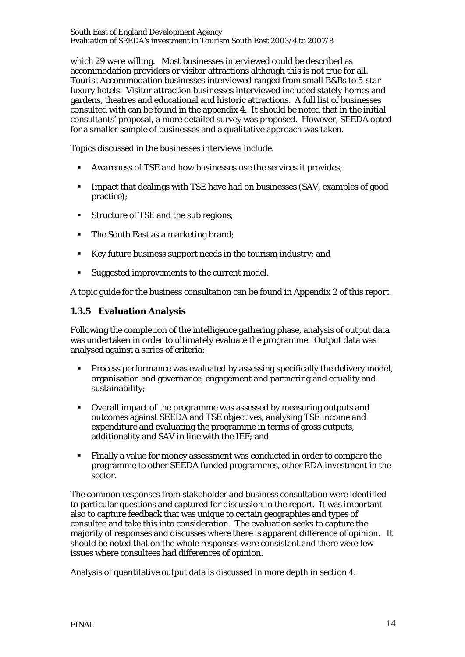which 29 were willing. Most businesses interviewed could be described as accommodation providers or visitor attractions although this is not true for all. Tourist Accommodation businesses interviewed ranged from small B&Bs to 5-star luxury hotels. Visitor attraction businesses interviewed included stately homes and gardens, theatres and educational and historic attractions. A full list of businesses consulted with can be found in the appendix 4. It should be noted that in the initial consultants' proposal, a more detailed survey was proposed. However, SEEDA opted for a smaller sample of businesses and a qualitative approach was taken.

Topics discussed in the businesses interviews include:

- Awareness of TSE and how businesses use the services it provides;
- **IMPACT 15 Impact that dealings with TSE have had on businesses (SAV, examples of good)** practice);
- Structure of TSE and the sub regions;
- The South East as a marketing brand;
- Key future business support needs in the tourism industry; and
- Suggested improvements to the current model.

A topic guide for the business consultation can be found in Appendix 2 of this report.

#### **1.3.5 Evaluation Analysis**

Following the completion of the intelligence gathering phase, analysis of output data was undertaken in order to ultimately evaluate the programme. Output data was analysed against a series of criteria:

- **Process performance was evaluated by assessing specifically the delivery model,** organisation and governance, engagement and partnering and equality and sustainability;
- Overall impact of the programme was assessed by measuring outputs and outcomes against SEEDA and TSE objectives, analysing TSE income and expenditure and evaluating the programme in terms of gross outputs, additionality and SAV in line with the IEF; and
- Finally a value for money assessment was conducted in order to compare the programme to other SEEDA funded programmes, other RDA investment in the sector.

The common responses from stakeholder and business consultation were identified to particular questions and captured for discussion in the report. It was important also to capture feedback that was unique to certain geographies and types of consultee and take this into consideration. The evaluation seeks to capture the majority of responses and discusses where there is apparent difference of opinion. It should be noted that on the whole responses were consistent and there were few issues where consultees had differences of opinion.

Analysis of quantitative output data is discussed in more depth in section 4.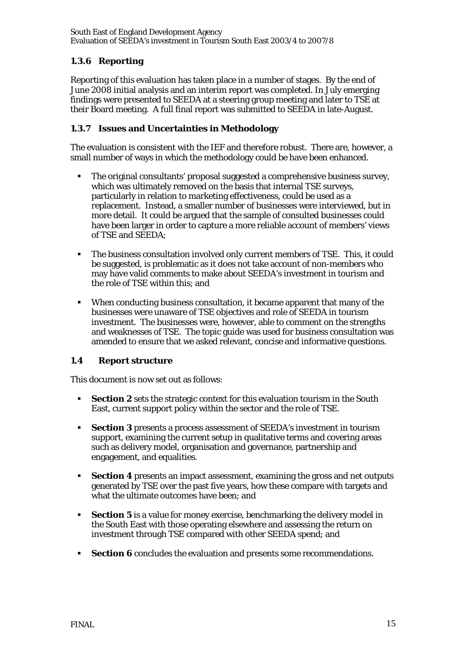# **1.3.6 Reporting**

Reporting of this evaluation has taken place in a number of stages. By the end of June 2008 initial analysis and an interim report was completed. In July emerging findings were presented to SEEDA at a steering group meeting and later to TSE at their Board meeting. A full final report was submitted to SEEDA in late-August.

#### **1.3.7 Issues and Uncertainties in Methodology**

The evaluation is consistent with the IEF and therefore robust. There are, however, a small number of ways in which the methodology could be have been enhanced.

- The original consultants' proposal suggested a comprehensive business survey, which was ultimately removed on the basis that internal TSE surveys, particularly in relation to marketing effectiveness, could be used as a replacement. Instead, a smaller number of businesses were interviewed, but in more detail. It could be argued that the sample of consulted businesses could have been larger in order to capture a more reliable account of members' views of TSE and SEEDA;
- The business consultation involved only current members of TSE. This, it could be suggested, is problematic as it does not take account of non-members who may have valid comments to make about SEEDA's investment in tourism and the role of TSE within this; and
- When conducting business consultation, it became apparent that many of the businesses were unaware of TSE objectives and role of SEEDA in tourism investment. The businesses were, however, able to comment on the strengths and weaknesses of TSE. The topic guide was used for business consultation was amended to ensure that we asked relevant, concise and informative questions.

#### **1.4 Report structure**

This document is now set out as follows:

- **Section 2** sets the strategic context for this evaluation tourism in the South East, current support policy within the sector and the role of TSE.
- **Section 3** presents a process assessment of SEEDA's investment in tourism support, examining the current setup in qualitative terms and covering areas such as delivery model, organisation and governance, partnership and engagement, and equalities.
- **Section 4** presents an impact assessment, examining the gross and net outputs generated by TSE over the past five years, how these compare with targets and what the ultimate outcomes have been; and
- **Section 5** is a value for money exercise, benchmarking the delivery model in the South East with those operating elsewhere and assessing the return on investment through TSE compared with other SEEDA spend; and
- **Section 6** concludes the evaluation and presents some recommendations.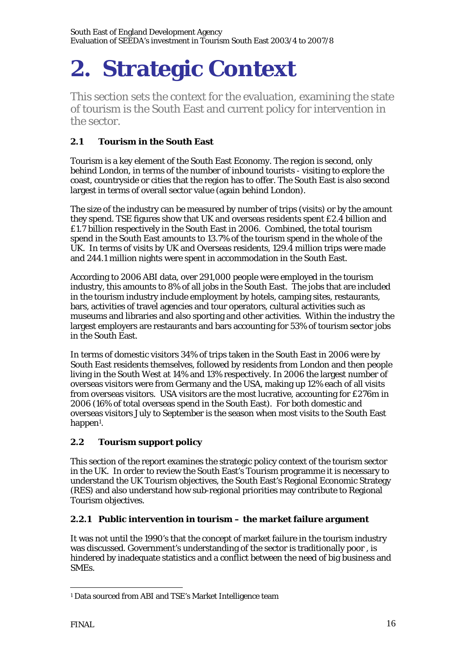# **2. Strategic Context**

This section sets the context for the evaluation, examining the state of tourism is the South East and current policy for intervention in the sector.

# **2.1 Tourism in the South East**

Tourism is a key element of the South East Economy. The region is second, only behind London, in terms of the number of inbound tourists - visiting to explore the coast, countryside or cities that the region has to offer. The South East is also second largest in terms of overall sector value (again behind London).

The size of the industry can be measured by number of trips (visits) or by the amount they spend. TSE figures show that UK and overseas residents spent £2.4 billion and £1.7 billion respectively in the South East in 2006. Combined, the total tourism spend in the South East amounts to 13.7% of the tourism spend in the whole of the UK. In terms of visits by UK and Overseas residents, 129.4 million trips were made and 244.1 million nights were spent in accommodation in the South East.

According to 2006 ABI data, over 291,000 people were employed in the tourism industry, this amounts to 8% of all jobs in the South East. The jobs that are included in the tourism industry include employment by hotels, camping sites, restaurants, bars, activities of travel agencies and tour operators, cultural activities such as museums and libraries and also sporting and other activities. Within the industry the largest employers are restaurants and bars accounting for 53% of tourism sector jobs in the South East.

In terms of domestic visitors 34% of trips taken in the South East in 2006 were by South East residents themselves, followed by residents from London and then people living in the South West at 14% and 13% respectively. In 2006 the largest number of overseas visitors were from Germany and the USA, making up 12% each of all visits from overseas visitors. USA visitors are the most lucrative, accounting for £276m in 2006 (16% of total overseas spend in the South East). For both domestic and overseas visitors July to September is the season when most visits to the South East happen<sup>1</sup>.

# **2.2 Tourism support policy**

This section of the report examines the strategic policy context of the tourism sector in the UK. In order to review the South East's Tourism programme it is necessary to understand the UK Tourism objectives, the South East's Regional Economic Strategy (RES) and also understand how sub-regional priorities may contribute to Regional Tourism objectives.

# **2.2.1 Public intervention in tourism – the market failure argument**

It was not until the 1990's that the concept of market failure in the tourism industry was discussed. Government's understanding of the sector is traditionally poor , is hindered by inadequate statistics and a conflict between the need of big business and SMEs.

<sup>&</sup>lt;u>.</u> 1 Data sourced from ABI and TSE's Market Intelligence team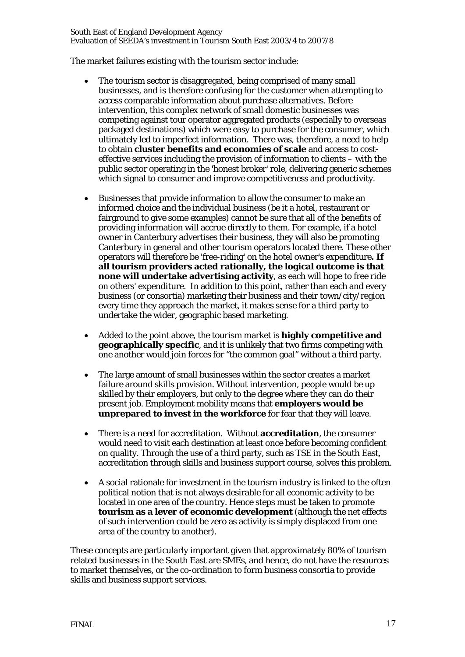The market failures existing with the tourism sector include:

- The tourism sector is disaggregated, being comprised of many small businesses, and is therefore confusing for the customer when attempting to access comparable information about purchase alternatives. Before intervention, this complex network of small domestic businesses was competing against tour operator aggregated products (especially to overseas packaged destinations) which were easy to purchase for the consumer, which ultimately led to imperfect information. There was, therefore, a need to help to obtain **cluster benefits and economies of scale** and access to costeffective services including the provision of information to clients – with the public sector operating in the 'honest broker' role, delivering generic schemes which signal to consumer and improve competitiveness and productivity.
- Businesses that provide information to allow the consumer to make an informed choice and the individual business (be it a hotel, restaurant or fairground to give some examples) cannot be sure that all of the benefits of providing information will accrue directly to them. For example, if a hotel owner in Canterbury advertises their business, they will also be promoting Canterbury in general and other tourism operators located there. These other operators will therefore be 'free-riding' on the hotel owner's expenditure**. If all tourism providers acted rationally, the logical outcome is that none will undertake advertising activity**, as each will hope to free ride on others' expenditure. In addition to this point, rather than each and every business (or consortia) marketing their business and their town/city/region every time they approach the market, it makes sense for a third party to undertake the wider, geographic based marketing.
- Added to the point above, the tourism market is **highly competitive and geographically specific**, and it is unlikely that two firms competing with one another would join forces for "the common goal" without a third party.
- The large amount of small businesses within the sector creates a market failure around skills provision. Without intervention, people would be up skilled by their employers, but only to the degree where they can do their present job. Employment mobility means that **employers would be unprepared to invest in the workforce** for fear that they will leave.
- There is a need for accreditation. Without **accreditation**, the consumer would need to visit each destination at least once before becoming confident on quality. Through the use of a third party, such as TSE in the South East, accreditation through skills and business support course, solves this problem.
- A social rationale for investment in the tourism industry is linked to the often political notion that is not always desirable for all economic activity to be located in one area of the country. Hence steps must be taken to promote **tourism as a lever of economic development** (although the net effects of such intervention could be zero as activity is simply displaced from one area of the country to another).

These concepts are particularly important given that approximately 80% of tourism related businesses in the South East are SMEs, and hence, do not have the resources to market themselves, or the co-ordination to form business consortia to provide skills and business support services.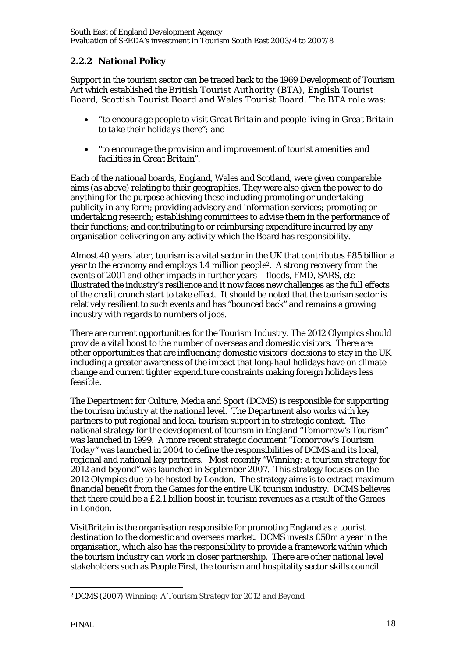# **2.2.2 National Policy**

Support in the tourism sector can be traced back to the 1969 Development of Tourism Act which established the British Tourist Authority (BTA), English Tourist Board, Scottish Tourist Board and Wales Tourist Board. The BTA role was:

- *"to encourage people to visit Great Britain and people living in Great Britain to take their holidays there";* and
- *"to encourage the provision and improvement of tourist amenities and facilities in Great Britain".*

Each of the national boards, England, Wales and Scotland, were given comparable aims (as above) relating to their geographies. They were also given the power to do anything for the purpose achieving these including promoting or undertaking publicity in any form; providing advisory and information services; promoting or undertaking research; establishing committees to advise them in the performance of their functions; and contributing to or reimbursing expenditure incurred by any organisation delivering on any activity which the Board has responsibility.

Almost 40 years later, tourism is a vital sector in the UK that contributes £85 billion a year to the economy and employs 1.4 million people2. A strong recovery from the events of 2001 and other impacts in further years – floods, FMD, SARS, etc – illustrated the industry's resilience and it now faces new challenges as the full effects of the credit crunch start to take effect. It should be noted that the tourism sector is relatively resilient to such events and has "bounced back" and remains a growing industry with regards to numbers of jobs.

There are current opportunities for the Tourism Industry. The 2012 Olympics should provide a vital boost to the number of overseas and domestic visitors. There are other opportunities that are influencing domestic visitors' decisions to stay in the UK including a greater awareness of the impact that long-haul holidays have on climate change and current tighter expenditure constraints making foreign holidays less feasible.

The Department for Culture, Media and Sport (DCMS) is responsible for supporting the tourism industry at the national level. The Department also works with key partners to put regional and local tourism support in to strategic context. The national strategy for the development of tourism in England *"Tomorrow's Tourism"*  was launched in 1999. A more recent strategic document *"Tomorrow's Tourism Today"* was launched in 2004 to define the responsibilities of DCMS and its local, regional and national key partners. Most recently *"Winning: a tourism strategy for 2012 and beyond"* was launched in September 2007. This strategy focuses on the 2012 Olympics due to be hosted by London. The strategy aims is to extract maximum financial benefit from the Games for the entire UK tourism industry. DCMS believes that there could be a £2.1 billion boost in tourism revenues as a result of the Games in London.

VisitBritain is the organisation responsible for promoting England as a tourist destination to the domestic and overseas market. DCMS invests £50m a year in the organisation, which also has the responsibility to provide a framework within which the tourism industry can work in closer partnership. There are other national level stakeholders such as People First, the tourism and hospitality sector skills council.

<sup>&</sup>lt;u>.</u> 2 DCMS (2007) *Winning: A Tourism Strategy for 2012 and Beyond*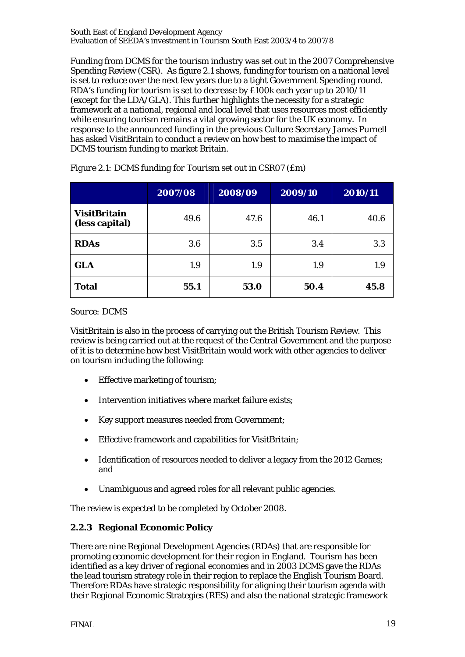Funding from DCMS for the tourism industry was set out in the 2007 Comprehensive Spending Review (CSR). As figure 2.1 shows, funding for tourism on a national level is set to reduce over the next few years due to a tight Government Spending round. RDA's funding for tourism is set to decrease by £100k each year up to 2010/11 (except for the LDA/GLA). This further highlights the necessity for a strategic framework at a national, regional and local level that uses resources most efficiently while ensuring tourism remains a vital growing sector for the UK economy. In response to the announced funding in the previous Culture Secretary James Purnell has asked VisitBritain to conduct a review on how best to maximise the impact of DCMS tourism funding to market Britain.

|                                       | 2007/08 | 2008/09 | 2009/10 | 2010/11 |
|---------------------------------------|---------|---------|---------|---------|
| <b>VisitBritain</b><br>(less capital) | 49.6    | 47.6    | 46.1    | 40.6    |
| <b>RDAs</b>                           | 3.6     | 3.5     | 3.4     | 3.3     |
| <b>GLA</b>                            | 1.9     | 1.9     | 1.9     | 1.9     |
| <b>Total</b>                          | 55.1    | 53.0    | 50.4    | 45.8    |

*Figure 2.1: DCMS funding for Tourism set out in CSR07 (£m)* 

#### *Source: DCMS*

VisitBritain is also in the process of carrying out the British Tourism Review. This review is being carried out at the request of the Central Government and the purpose of it is to determine how best VisitBritain would work with other agencies to deliver on tourism including the following:

- Effective marketing of tourism;
- Intervention initiatives where market failure exists;
- Key support measures needed from Government;
- Effective framework and capabilities for VisitBritain;
- Identification of resources needed to deliver a legacy from the 2012 Games; and
- Unambiguous and agreed roles for all relevant public agencies.

The review is expected to be completed by October 2008.

#### **2.2.3 Regional Economic Policy**

There are nine Regional Development Agencies (RDAs) that are responsible for promoting economic development for their region in England. Tourism has been identified as a key driver of regional economies and in 2003 DCMS gave the RDAs the lead tourism strategy role in their region to replace the English Tourism Board. Therefore RDAs have strategic responsibility for aligning their tourism agenda with their Regional Economic Strategies (RES) and also the national strategic framework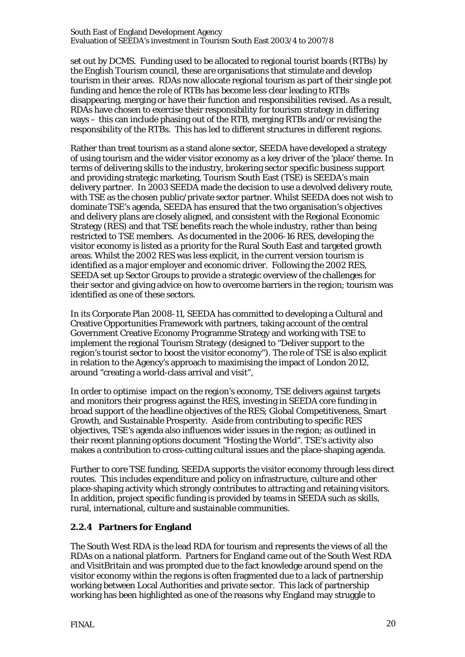set out by DCMS. Funding used to be allocated to regional tourist boards (RTBs) by the English Tourism council, these are organisations that stimulate and develop tourism in their areas. RDAs now allocate regional tourism as part of their single pot funding and hence the role of RTBs has become less clear leading to RTBs disappearing, merging or have their function and responsibilities revised. As a result, RDAs have chosen to exercise their responsibility for tourism strategy in differing ways – this can include phasing out of the RTB, merging RTBs and/or revising the responsibility of the RTBs. This has led to different structures in different regions.

Rather than treat tourism as a stand alone sector, SEEDA have developed a strategy of using tourism and the wider visitor economy as a key driver of the 'place' theme. In terms of delivering skills to the industry, brokering sector specific business support and providing strategic marketing, Tourism South East (TSE) is SEEDA's main delivery partner. In 2003 SEEDA made the decision to use a devolved delivery route, with TSE as the chosen public/private sector partner. Whilst SEEDA does not wish to dominate TSE's agenda, SEEDA has ensured that the two organisation's objectives and delivery plans are closely aligned, and consistent with the Regional Economic Strategy (RES) and that TSE benefits reach the whole industry, rather than being restricted to TSE members. As documented in the 2006-16 RES, developing the visitor economy is listed as a priority for the Rural South East and targeted growth areas. Whilst the 2002 RES was less explicit, in the current version tourism is identified as a major employer and economic driver. Following the 2002 RES, SEEDA set up Sector Groups to provide a strategic overview of the challenges for their sector and giving advice on how to overcome barriers in the region; tourism was identified as one of these sectors.

In its Corporate Plan 2008-11, SEEDA has committed to developing a Cultural and Creative Opportunities Framework with partners, taking account of the central Government Creative Economy Programme Strategy and working with TSE to implement the regional Tourism Strategy (designed to "Deliver support to the region's tourist sector to boost the visitor economy"). The role of TSE is also explicit in relation to the Agency's approach to maximising the impact of London 2012, around "creating a world-class arrival and visit",

In order to optimise impact on the region's economy, TSE delivers against targets and monitors their progress against the RES, investing in SEEDA core funding in broad support of the headline objectives of the RES; Global Competitiveness, Smart Growth, and Sustainable Prosperity. Aside from contributing to specific RES objectives, TSE's agenda also influences wider issues in the region; as outlined in their recent planning options document "Hosting the World". TSE's activity also makes a contribution to cross-cutting cultural issues and the place-shaping agenda.

Further to core TSE funding, SEEDA supports the visitor economy through less direct routes. This includes expenditure and policy on infrastructure, culture and other place-shaping activity which strongly contributes to attracting and retaining visitors. In addition, project specific funding is provided by teams in SEEDA such as skills, rural, international, culture and sustainable communities.

#### **2.2.4 Partners for England**

The South West RDA is the lead RDA for tourism and represents the views of all the RDAs on a national platform. Partners for England came out of the South West RDA and VisitBritain and was prompted due to the fact knowledge around spend on the visitor economy within the regions is often fragmented due to a lack of partnership working between Local Authorities and private sector. This lack of partnership working has been highlighted as one of the reasons why England may struggle to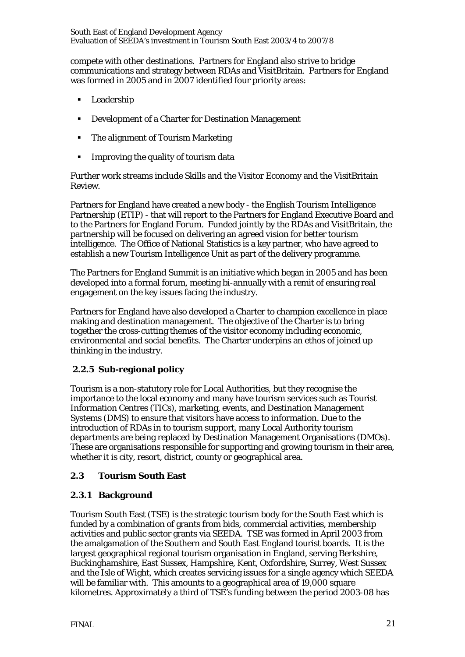compete with other destinations. Partners for England also strive to bridge communications and strategy between RDAs and VisitBritain. Partners for England was formed in 2005 and in 2007 identified four priority areas:

- **Leadership**
- Development of a Charter for Destination Management
- The alignment of Tourism Marketing
- **IMPROVING the quality of tourism data**

Further work streams include Skills and the Visitor Economy and the VisitBritain Review.

Partners for England have created a new body - the English Tourism Intelligence Partnership (ETIP) - that will report to the Partners for England Executive Board and to the Partners for England Forum. Funded jointly by the RDAs and VisitBritain, the partnership will be focused on delivering an agreed vision for better tourism intelligence. The Office of National Statistics is a key partner, who have agreed to establish a new Tourism Intelligence Unit as part of the delivery programme.

The Partners for England Summit is an initiative which began in 2005 and has been developed into a formal forum, meeting bi-annually with a remit of ensuring real engagement on the key issues facing the industry.

Partners for England have also developed a Charter to champion excellence in place making and destination management. The objective of the Charter is to bring together the cross-cutting themes of the visitor economy including economic, environmental and social benefits. The Charter underpins an ethos of joined up thinking in the industry.

# **2.2.5 Sub-regional policy**

Tourism is a non-statutory role for Local Authorities, but they recognise the importance to the local economy and many have tourism services such as Tourist Information Centres (TICs), marketing, events, and Destination Management Systems (DMS) to ensure that visitors have access to information. Due to the introduction of RDAs in to tourism support, many Local Authority tourism departments are being replaced by Destination Management Organisations (DMOs). These are organisations responsible for supporting and growing tourism in their area, whether it is city, resort, district, county or geographical area.

#### **2.3 Tourism South East**

# **2.3.1 Background**

Tourism South East (TSE) is the strategic tourism body for the South East which is funded by a combination of grants from bids, commercial activities, membership activities and public sector grants via SEEDA. TSE was formed in April 2003 from the amalgamation of the Southern and South East England tourist boards. It is the largest geographical regional tourism organisation in England, serving Berkshire, Buckinghamshire, East Sussex, Hampshire, Kent, Oxfordshire, Surrey, West Sussex and the Isle of Wight, which creates servicing issues for a single agency which SEEDA will be familiar with. This amounts to a geographical area of 19,000 square kilometres. Approximately a third of TSE's funding between the period 2003-08 has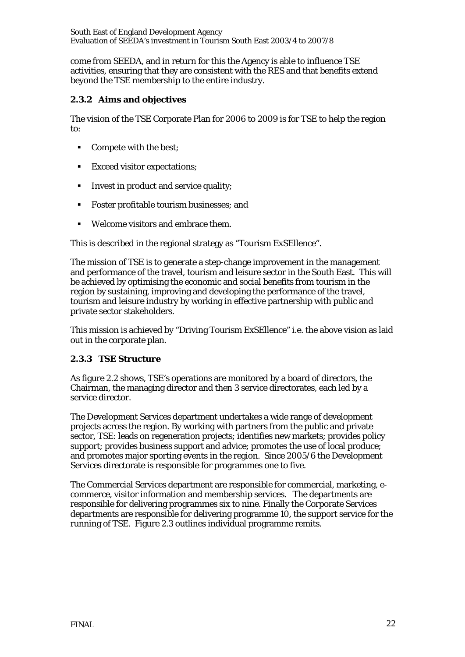come from SEEDA, and in return for this the Agency is able to influence TSE activities, ensuring that they are consistent with the RES and that benefits extend beyond the TSE membership to the entire industry.

# **2.3.2 Aims and objectives**

The vision of the TSE Corporate Plan for 2006 to 2009 is for TSE to help the region to:

- Compete with the best;
- **Exceed visitor expectations;**
- Invest in product and service quality;
- Foster profitable tourism businesses; and
- Welcome visitors and embrace them.

This is described in the regional strategy as "Tourism ExSEllence".

The mission of TSE is to generate a step-change improvement in the management and performance of the travel, tourism and leisure sector in the South East. This will be achieved by optimising the economic and social benefits from tourism in the region by sustaining, improving and developing the performance of the travel, tourism and leisure industry by working in effective partnership with public and private sector stakeholders.

This mission is achieved by "Driving Tourism ExSEllence" i.e. the above vision as laid out in the corporate plan.

# **2.3.3 TSE Structure**

As figure 2.2 shows, TSE's operations are monitored by a board of directors, the Chairman, the managing director and then 3 service directorates, each led by a service director.

The Development Services department undertakes a wide range of development projects across the region. By working with partners from the public and private sector, TSE: leads on regeneration projects; identifies new markets; provides policy support; provides business support and advice; promotes the use of local produce; and promotes major sporting events in the region. Since 2005/6 the Development Services directorate is responsible for programmes one to five.

The Commercial Services department are responsible for commercial, marketing, ecommerce, visitor information and membership services. The departments are responsible for delivering programmes six to nine. Finally the Corporate Services departments are responsible for delivering programme 10, the support service for the running of TSE. Figure 2.3 outlines individual programme remits.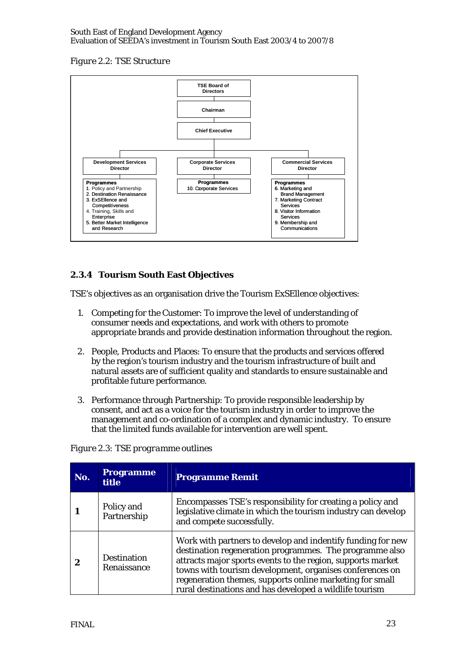#### *Figure 2.2: TSE Structure*



# **2.3.4 Tourism South East Objectives**

TSE's objectives as an organisation drive the Tourism ExSEllence objectives:

- 1. Competing for the Customer: To improve the level of understanding of consumer needs and expectations, and work with others to promote appropriate brands and provide destination information throughout the region.
- 2. People, Products and Places: To ensure that the products and services offered by the region's tourism industry and the tourism infrastructure of built and natural assets are of sufficient quality and standards to ensure sustainable and profitable future performance.
- 3. Performance through Partnership: To provide responsible leadership by consent, and act as a voice for the tourism industry in order to improve the management and co-ordination of a complex and dynamic industry. To ensure that the limited funds available for intervention are well spent.

|  | Figure 2.3: TSE programme outlines |  |
|--|------------------------------------|--|
|--|------------------------------------|--|

| No.      | <b>Programme</b><br><b>title</b>  | <b>Programme Remit</b>                                                                                                                                                                                                                                                                                                                                                   |
|----------|-----------------------------------|--------------------------------------------------------------------------------------------------------------------------------------------------------------------------------------------------------------------------------------------------------------------------------------------------------------------------------------------------------------------------|
|          | Policy and<br>Partnership         | Encompasses TSE's responsibility for creating a policy and<br>legislative climate in which the tourism industry can develop<br>and compete successfully.                                                                                                                                                                                                                 |
| $\bf{2}$ | <b>Destination</b><br>Renaissance | Work with partners to develop and indentify funding for new<br>destination regeneration programmes. The programme also<br>attracts major sports events to the region, supports market<br>towns with tourism development, organises conferences on<br>regeneration themes, supports online marketing for small<br>rural destinations and has developed a wildlife tourism |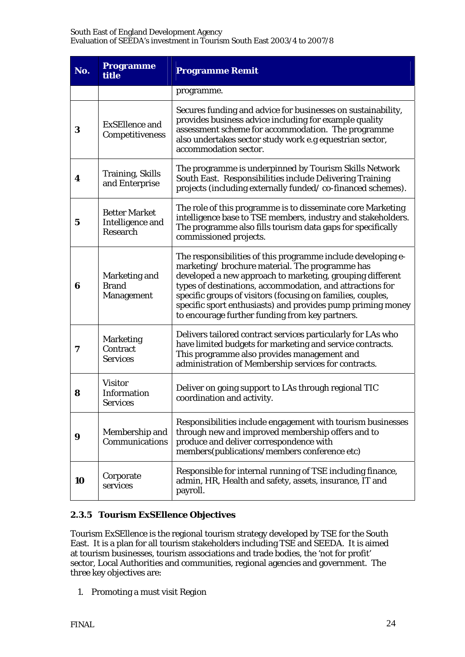| No. | <b>Programme</b><br>title                            | <b>Programme Remit</b>                                                                                                                                                                                                                                                                                                                                                                                                    |
|-----|------------------------------------------------------|---------------------------------------------------------------------------------------------------------------------------------------------------------------------------------------------------------------------------------------------------------------------------------------------------------------------------------------------------------------------------------------------------------------------------|
|     |                                                      | programme.                                                                                                                                                                                                                                                                                                                                                                                                                |
| 3   | <b>ExSEllence and</b><br>Competitiveness             | Secures funding and advice for businesses on sustainability,<br>provides business advice including for example quality<br>assessment scheme for accommodation. The programme<br>also undertakes sector study work e.g equestrian sector,<br>accommodation sector.                                                                                                                                                         |
| 4   | <b>Training, Skills</b><br>and Enterprise            | The programme is underpinned by Tourism Skills Network<br>South East. Responsibilities include Delivering Training<br>projects (including externally funded/co-financed schemes).                                                                                                                                                                                                                                         |
| 5   | <b>Better Market</b><br>Intelligence and<br>Research | The role of this programme is to disseminate core Marketing<br>intelligence base to TSE members, industry and stakeholders.<br>The programme also fills tourism data gaps for specifically<br>commissioned projects.                                                                                                                                                                                                      |
| 6   | Marketing and<br><b>Brand</b><br>Management          | The responsibilities of this programme include developing e-<br>marketing/brochure material. The programme has<br>developed a new approach to marketing, grouping different<br>types of destinations, accommodation, and attractions for<br>specific groups of visitors (focusing on families, couples,<br>specific sport enthusiasts) and provides pump priming money<br>to encourage further funding from key partners. |
| 7   | <b>Marketing</b><br>Contract<br><b>Services</b>      | Delivers tailored contract services particularly for LAs who<br>have limited budgets for marketing and service contracts.<br>This programme also provides management and<br>administration of Membership services for contracts.                                                                                                                                                                                          |
| 8   | <b>Visitor</b><br>Information<br><b>Services</b>     | Deliver on going support to LAs through regional TIC<br>coordination and activity.                                                                                                                                                                                                                                                                                                                                        |
| 9   | Membership and<br>Communications                     | Responsibilities include engagement with tourism businesses<br>through new and improved membership offers and to<br>produce and deliver correspondence with<br>members(publications/members conference etc)                                                                                                                                                                                                               |
| 10  | Corporate<br>services                                | Responsible for internal running of TSE including finance,<br>admin, HR, Health and safety, assets, insurance, IT and<br>payroll.                                                                                                                                                                                                                                                                                         |

# **2.3.5 Tourism ExSEllence Objectives**

Tourism ExSEllence is the regional tourism strategy developed by TSE for the South East. It is a plan for all tourism stakeholders including TSE and SEEDA. It is aimed at tourism businesses, tourism associations and trade bodies, the 'not for profit' sector, Local Authorities and communities, regional agencies and government. The three key objectives are:

1. Promoting a must visit Region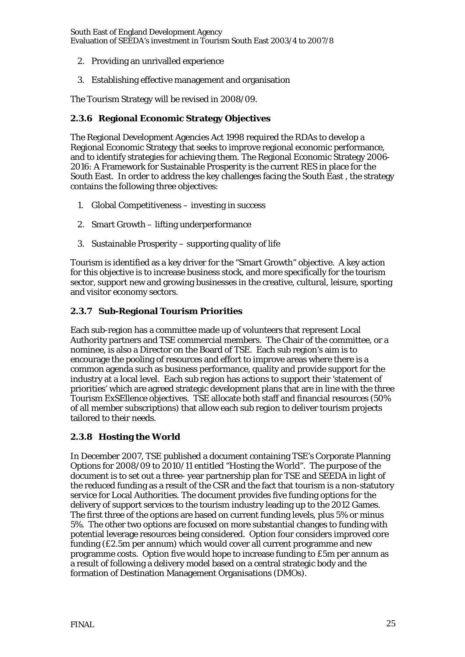- 2. Providing an unrivalled experience
- 3. Establishing effective management and organisation

The Tourism Strategy will be revised in 2008/09.

#### **2.3.6 Regional Economic Strategy Objectives**

The Regional Development Agencies Act 1998 required the RDAs to develop a Regional Economic Strategy that seeks to improve regional economic performance, and to identify strategies for achieving them. The Regional Economic Strategy 2006- 2016: A Framework for Sustainable Prosperity is the current RES in place for the South East. In order to address the key challenges facing the South East , the strategy contains the following three objectives:

- 1. Global Competitiveness investing in success
- 2. Smart Growth lifting underperformance
- 3. Sustainable Prosperity supporting quality of life

Tourism is identified as a key driver for the "Smart Growth" objective. A key action for this objective is to increase business stock, and more specifically for the tourism sector, support new and growing businesses in the creative, cultural, leisure, sporting and visitor economy sectors.

#### **2.3.7 Sub-Regional Tourism Priorities**

Each sub-region has a committee made up of volunteers that represent Local Authority partners and TSE commercial members. The Chair of the committee, or a nominee, is also a Director on the Board of TSE. Each sub region's aim is to encourage the pooling of resources and effort to improve areas where there is a common agenda such as business performance, quality and provide support for the industry at a local level. Each sub region has actions to support their 'statement of priorities' which are agreed strategic development plans that are in line with the three Tourism ExSEllence objectives. TSE allocate both staff and financial resources (50% of all member subscriptions) that allow each sub region to deliver tourism projects tailored to their needs.

#### **2.3.8 Hosting the World**

In December 2007, TSE published a document containing TSE's Corporate Planning Options for 2008/09 to 2010/11 entitled "Hosting the World". The purpose of the document is to set out a three- year partnership plan for TSE and SEEDA in light of the reduced funding as a result of the CSR and the fact that tourism is a non-statutory service for Local Authorities. The document provides five funding options for the delivery of support services to the tourism industry leading up to the 2012 Games. The first three of the options are based on current funding levels, plus 5% or minus 5%. The other two options are focused on more substantial changes to funding with potential leverage resources being considered. Option four considers improved core funding (£2.5m per annum) which would cover all current programme and new programme costs. Option five would hope to increase funding to £5m per annum as a result of following a delivery model based on a central strategic body and the formation of Destination Management Organisations (DMOs).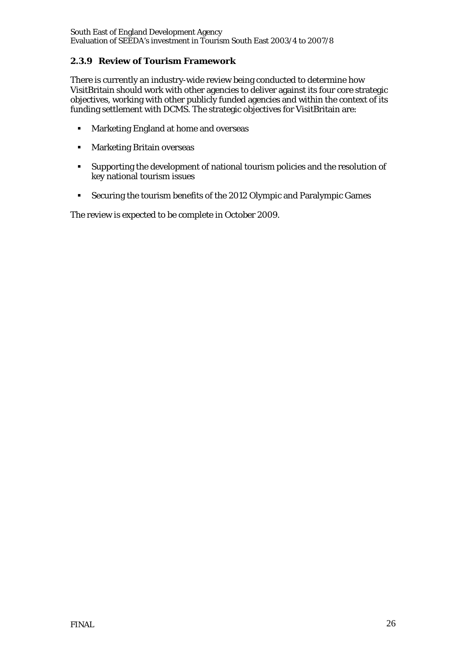# **2.3.9 Review of Tourism Framework**

There is currently an industry-wide review being conducted to determine how VisitBritain should work with other agencies to deliver against its four core strategic objectives, working with other publicly funded agencies and within the context of its funding settlement with DCMS. The strategic objectives for VisitBritain are:

- **Marketing England at home and overseas**
- **Marketing Britain overseas**
- Supporting the development of national tourism policies and the resolution of key national tourism issues
- Securing the tourism benefits of the 2012 Olympic and Paralympic Games

The review is expected to be complete in October 2009.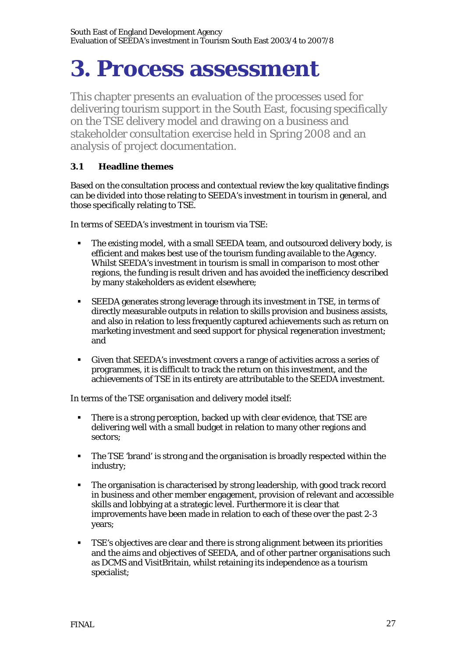# **3. Process assessment**

This chapter presents an evaluation of the processes used for delivering tourism support in the South East, focusing specifically on the TSE delivery model and drawing on a business and stakeholder consultation exercise held in Spring 2008 and an analysis of project documentation.

# **3.1 Headline themes**

Based on the consultation process and contextual review the key qualitative findings can be divided into those relating to SEEDA's investment in tourism in general, and those specifically relating to TSE.

In terms of SEEDA's investment in tourism via TSE:

- The existing model, with a small SEEDA team, and outsourced delivery body, is efficient and makes best use of the tourism funding available to the Agency. Whilst SEEDA's investment in tourism is small in comparison to most other regions, the funding is result driven and has avoided the inefficiency described by many stakeholders as evident elsewhere;
- SEEDA generates strong leverage through its investment in TSE, in terms of directly measurable outputs in relation to skills provision and business assists, and also in relation to less frequently captured achievements such as return on marketing investment and seed support for physical regeneration investment; and
- Given that SEEDA's investment covers a range of activities across a series of programmes, it is difficult to track the return on this investment, and the achievements of TSE in its entirety are attributable to the SEEDA investment.

In terms of the TSE organisation and delivery model itself:

- There is a strong perception, backed up with clear evidence, that TSE are delivering well with a small budget in relation to many other regions and sectors;
- The TSE 'brand' is strong and the organisation is broadly respected within the industry;
- The organisation is characterised by strong leadership, with good track record in business and other member engagement, provision of relevant and accessible skills and lobbying at a strategic level. Furthermore it is clear that improvements have been made in relation to each of these over the past 2-3 years;
- TSE's objectives are clear and there is strong alignment between its priorities and the aims and objectives of SEEDA, and of other partner organisations such as DCMS and VisitBritain, whilst retaining its independence as a tourism specialist;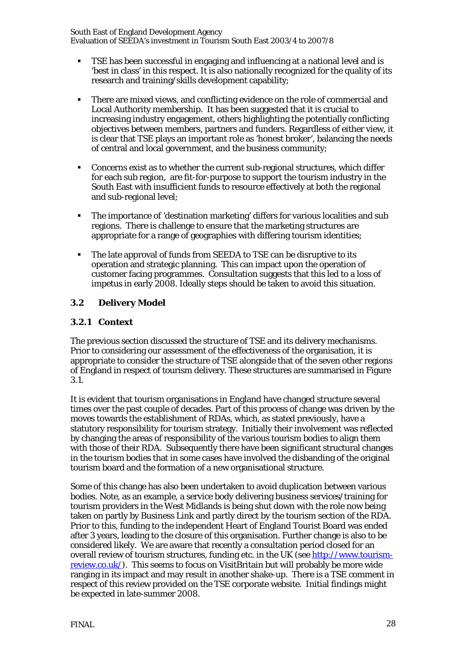- TSE has been successful in engaging and influencing at a national level and is 'best in class' in this respect. It is also nationally recognized for the quality of its research and training/skills development capability;
- There are mixed views, and conflicting evidence on the role of commercial and Local Authority membership. It has been suggested that it is crucial to increasing industry engagement, others highlighting the potentially conflicting objectives between members, partners and funders. Regardless of either view, it is clear that TSE plays an important role as 'honest broker', balancing the needs of central and local government, and the business community;
- Concerns exist as to whether the current sub-regional structures, which differ for each sub region, are fit-for-purpose to support the tourism industry in the South East with insufficient funds to resource effectively at both the regional and sub-regional level;
- The importance of 'destination marketing' differs for various localities and sub regions. There is challenge to ensure that the marketing structures are appropriate for a range of geographies with differing tourism identities;
- The late approval of funds from SEEDA to TSE can be disruptive to its operation and strategic planning. This can impact upon the operation of customer facing programmes. Consultation suggests that this led to a loss of impetus in early 2008. Ideally steps should be taken to avoid this situation.

# **3.2 Delivery Model**

#### **3.2.1 Context**

The previous section discussed the structure of TSE and its delivery mechanisms. Prior to considering our assessment of the effectiveness of the organisation, it is appropriate to consider the structure of TSE alongside that of the seven other regions of England in respect of tourism delivery. These structures are summarised in Figure 3.1.

It is evident that tourism organisations in England have changed structure several times over the past couple of decades. Part of this process of change was driven by the moves towards the establishment of RDAs, which, as stated previously, have a statutory responsibility for tourism strategy. Initially their involvement was reflected by changing the areas of responsibility of the various tourism bodies to align them with those of their RDA. Subsequently there have been significant structural changes in the tourism bodies that in some cases have involved the disbanding of the original tourism board and the formation of a new organisational structure.

Some of this change has also been undertaken to avoid duplication between various bodies. Note, as an example, a service body delivering business services/training for tourism providers in the West Midlands is being shut down with the role now being taken on partly by Business Link and partly direct by the tourism section of the RDA. Prior to this, funding to the independent Heart of England Tourist Board was ended after 3 years, leading to the closure of this organisation. Further change is also to be considered likely. We are aware that recently a consultation period closed for an overall review of tourism structures, funding etc. in the UK (see http://www.tourismreview.co.uk/). This seems to focus on VisitBritain but will probably be more wide ranging in its impact and may result in another shake-up. There is a TSE comment in respect of this review provided on the TSE corporate website. Initial findings might be expected in late-summer 2008.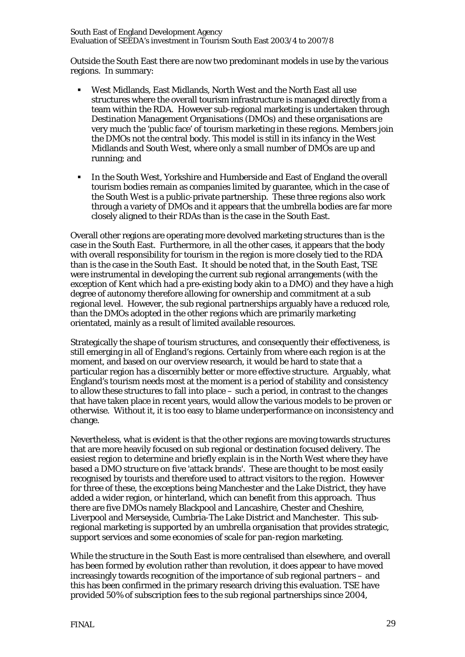Outside the South East there are now two predominant models in use by the various regions. In summary:

- West Midlands, East Midlands, North West and the North East all use structures where the overall tourism infrastructure is managed directly from a team within the RDA. However sub-regional marketing is undertaken through Destination Management Organisations (DMOs) and these organisations are very much the 'public face' of tourism marketing in these regions. Members join the DMOs not the central body. This model is still in its infancy in the West Midlands and South West, where only a small number of DMOs are up and running; and
- In the South West, Yorkshire and Humberside and East of England the overall tourism bodies remain as companies limited by guarantee, which in the case of the South West is a public-private partnership. These three regions also work through a variety of DMOs and it appears that the umbrella bodies are far more closely aligned to their RDAs than is the case in the South East.

Overall other regions are operating more devolved marketing structures than is the case in the South East. Furthermore, in all the other cases, it appears that the body with overall responsibility for tourism in the region is more closely tied to the RDA than is the case in the South East. It should be noted that, in the South East, TSE were instrumental in developing the current sub regional arrangements (with the exception of Kent which had a pre-existing body akin to a DMO) and they have a high degree of autonomy therefore allowing for ownership and commitment at a sub regional level. However, the sub regional partnerships arguably have a reduced role, than the DMOs adopted in the other regions which are primarily marketing orientated, mainly as a result of limited available resources.

Strategically the shape of tourism structures, and consequently their effectiveness, is still emerging in all of England's regions. Certainly from where each region is at the moment, and based on our overview research, it would be hard to state that a particular region has a discernibly better or more effective structure. Arguably, what England's tourism needs most at the moment is a period of stability and consistency to allow these structures to fall into place – such a period, in contrast to the changes that have taken place in recent years, would allow the various models to be proven or otherwise. Without it, it is too easy to blame underperformance on inconsistency and change.

Nevertheless, what is evident is that the other regions are moving towards structures that are more heavily focused on sub regional or destination focused delivery. The easiest region to determine and briefly explain is in the North West where they have based a DMO structure on five 'attack brands'. These are thought to be most easily recognised by tourists and therefore used to attract visitors to the region. However for three of these, the exceptions being Manchester and the Lake District, they have added a wider region, or hinterland, which can benefit from this approach. Thus there are five DMOs namely Blackpool and Lancashire, Chester and Cheshire, Liverpool and Merseyside, Cumbria-The Lake District and Manchester. This subregional marketing is supported by an umbrella organisation that provides strategic, support services and some economies of scale for pan-region marketing.

While the structure in the South East is more centralised than elsewhere, and overall has been formed by evolution rather than revolution, it does appear to have moved increasingly towards recognition of the importance of sub regional partners – and this has been confirmed in the primary research driving this evaluation. TSE have provided 50% of subscription fees to the sub regional partnerships since 2004,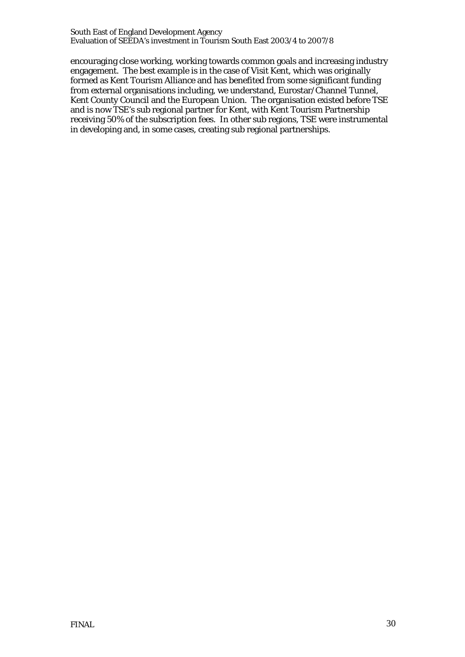encouraging close working, working towards common goals and increasing industry engagement. The best example is in the case of Visit Kent, which was originally formed as Kent Tourism Alliance and has benefited from some significant funding from external organisations including, we understand, Eurostar/Channel Tunnel, Kent County Council and the European Union. The organisation existed before TSE and is now TSE's sub regional partner for Kent, with Kent Tourism Partnership receiving 50% of the subscription fees. In other sub regions, TSE were instrumental in developing and, in some cases, creating sub regional partnerships.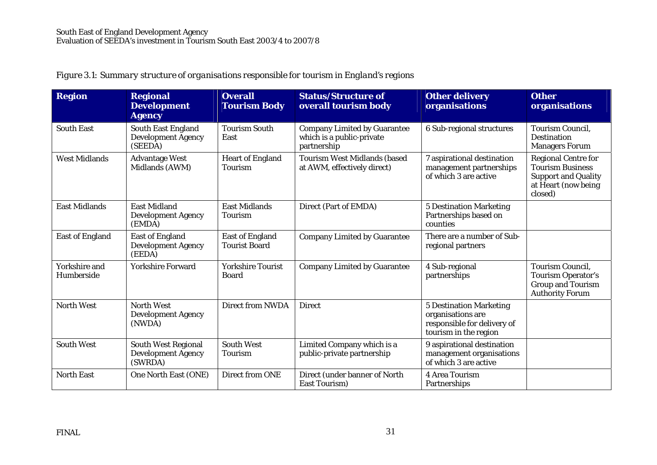| <b>Region</b>               | <b>Regional</b><br><b>Development</b><br><b>Agency</b>             | <b>Overall</b><br><b>Tourism Body</b>          | <b>Status/Structure of</b><br>overall tourism body                              | <b>Other delivery</b><br>organisations                                                                      | <b>Other</b><br>organisations                                                                                         |
|-----------------------------|--------------------------------------------------------------------|------------------------------------------------|---------------------------------------------------------------------------------|-------------------------------------------------------------------------------------------------------------|-----------------------------------------------------------------------------------------------------------------------|
| <b>South East</b>           | South East England<br><b>Development Agency</b><br>(SEEDA)         | <b>Tourism South</b><br>East                   | <b>Company Limited by Guarantee</b><br>which is a public-private<br>partnership | 6 Sub-regional structures                                                                                   | <b>Tourism Council,</b><br><b>Destination</b><br><b>Managers Forum</b>                                                |
| <b>West Midlands</b>        | <b>Advantage West</b><br>Midlands (AWM)                            | <b>Heart of England</b><br><b>Tourism</b>      | <b>Tourism West Midlands (based)</b><br>at AWM, effectively direct)             | 7 aspirational destination<br>management partnerships<br>of which 3 are active                              | <b>Regional Centre for</b><br><b>Tourism Business</b><br><b>Support and Quality</b><br>at Heart (now being<br>closed) |
| <b>East Midlands</b>        | <b>East Midland</b><br><b>Development Agency</b><br>(EMDA)         | <b>East Midlands</b><br><b>Tourism</b>         | Direct (Part of EMDA)                                                           | <b>5 Destination Marketing</b><br>Partnerships based on<br>counties                                         |                                                                                                                       |
| <b>East of England</b>      | <b>East of England</b><br><b>Development Agency</b><br>(EEDA)      | <b>East of England</b><br><b>Tourist Board</b> | <b>Company Limited by Guarantee</b>                                             | There are a number of Sub-<br>regional partners                                                             |                                                                                                                       |
| Yorkshire and<br>Humberside | <b>Yorkshire Forward</b>                                           | <b>Yorkshire Tourist</b><br><b>Board</b>       | <b>Company Limited by Guarantee</b>                                             | 4 Sub-regional<br>partnerships                                                                              | <b>Tourism Council,</b><br><b>Tourism Operator's</b><br><b>Group and Tourism</b><br><b>Authority Forum</b>            |
| <b>North West</b>           | <b>North West</b><br><b>Development Agency</b><br>(NWDA)           | <b>Direct from NWDA</b>                        | <b>Direct</b>                                                                   | <b>5 Destination Marketing</b><br>organisations are<br>responsible for delivery of<br>tourism in the region |                                                                                                                       |
| <b>South West</b>           | <b>South West Regional</b><br><b>Development Agency</b><br>(SWRDA) | <b>South West</b><br>Tourism                   | Limited Company which is a<br>public-private partnership                        | 9 aspirational destination<br>management organisations<br>of which 3 are active                             |                                                                                                                       |
| <b>North East</b>           | One North East (ONE)                                               | <b>Direct from ONE</b>                         | Direct (under banner of North<br><b>East Tourism</b> )                          | <b>4 Area Tourism</b><br>Partnerships                                                                       |                                                                                                                       |

# *Figure 3.1: Summary structure of organisations responsible for tourism in England's regions*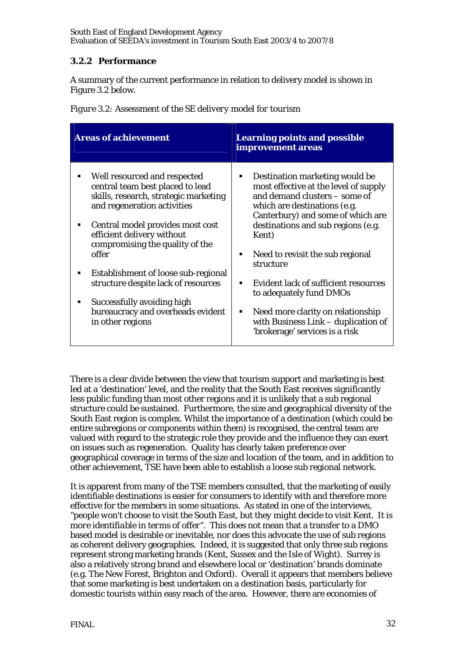# **3.2.2 Performance**

A summary of the current performance in relation to delivery model is shown in Figure 3.2 below.

|  | Figure 3.2: Assessment of the SE delivery model for tourism |  |  |  |
|--|-------------------------------------------------------------|--|--|--|
|  |                                                             |  |  |  |

| <b>Areas of achievement</b>                                                                                                                                                                                                                        | <b>Learning points and possible</b><br>improvement areas                                                                                                                                                                          |
|----------------------------------------------------------------------------------------------------------------------------------------------------------------------------------------------------------------------------------------------------|-----------------------------------------------------------------------------------------------------------------------------------------------------------------------------------------------------------------------------------|
| Well resourced and respected<br>٠<br>central team best placed to lead<br>skills, research, strategic marketing<br>and regeneration activities<br>Central model provides most cost<br>efficient delivery without<br>compromising the quality of the | Destination marketing would be<br>٠<br>most effective at the level of supply<br>and demand clusters – some of<br>which are destinations (e.g.<br>Canterbury) and some of which are<br>destinations and sub regions (e.g.<br>Kent) |
| offer                                                                                                                                                                                                                                              | Need to revisit the sub regional<br>٠<br>structure                                                                                                                                                                                |
| Establishment of loose sub-regional<br>٠<br>structure despite lack of resources                                                                                                                                                                    | <b>Evident lack of sufficient resources</b><br>٠                                                                                                                                                                                  |
| Successfully avoiding high<br>٠<br>bureaucracy and overheads evident<br>in other regions                                                                                                                                                           | to adequately fund DMOs<br>Need more clarity on relationship<br>п.<br>with Business Link - duplication of<br>'brokerage' services is a risk                                                                                       |

There is a clear divide between the view that tourism support and marketing is best led at a 'destination' level, and the reality that the South East receives significantly less public funding than most other regions and it is unlikely that a sub regional structure could be sustained. Furthermore, the size and geographical diversity of the South East region is complex. Whilst the importance of a destination (which could be entire subregions or components within them) is recognised, the central team are valued with regard to the strategic role they provide and the influence they can exert on issues such as regeneration. Quality has clearly taken preference over geographical coverage in terms of the size and location of the team, and in addition to other achievement, TSE have been able to establish a loose sub regional network.

It is apparent from many of the TSE members consulted, that the marketing of easily identifiable destinations is easier for consumers to identify with and therefore more effective for the members in some situations. As stated in one of the interviews, *"people won't choose to visit the South East, but they might decide to visit Kent. It is more identifiable in terms of offer".* This does not mean that a transfer to a DMO based model is desirable or inevitable, nor does this advocate the use of sub regions as coherent delivery geographies. Indeed, it is suggested that only three sub regions represent strong marketing brands (Kent, Sussex and the Isle of Wight). Surrey is also a relatively strong brand and elsewhere local or 'destination' brands dominate (e.g. The New Forest, Brighton and Oxford). Overall it appears that members believe that some marketing is best undertaken on a destination basis, particularly for domestic tourists within easy reach of the area. However, there are economies of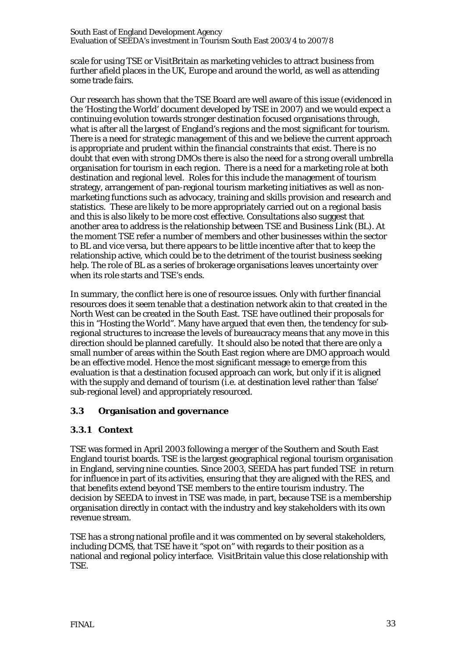scale for using TSE or VisitBritain as marketing vehicles to attract business from further afield places in the UK, Europe and around the world, as well as attending some trade fairs.

Our research has shown that the TSE Board are well aware of this issue (evidenced in the 'Hosting the World' document developed by TSE in 2007) and we would expect a continuing evolution towards stronger destination focused organisations through, what is after all the largest of England's regions and the most significant for tourism. There is a need for strategic management of this and we believe the current approach is appropriate and prudent within the financial constraints that exist. There is no doubt that even with strong DMOs there is also the need for a strong overall umbrella organisation for tourism in each region. There is a need for a marketing role at both destination and regional level. Roles for this include the management of tourism strategy, arrangement of pan-regional tourism marketing initiatives as well as nonmarketing functions such as advocacy, training and skills provision and research and statistics. These are likely to be more appropriately carried out on a regional basis and this is also likely to be more cost effective. Consultations also suggest that another area to address is the relationship between TSE and Business Link (BL). At the moment TSE refer a number of members and other businesses within the sector to BL and vice versa, but there appears to be little incentive after that to keep the relationship active, which could be to the detriment of the tourist business seeking help. The role of BL as a series of brokerage organisations leaves uncertainty over when its role starts and TSE's ends.

In summary, the conflict here is one of resource issues. Only with further financial resources does it seem tenable that a destination network akin to that created in the North West can be created in the South East. TSE have outlined their proposals for this in "Hosting the World". Many have argued that even then, the tendency for subregional structures to increase the levels of bureaucracy means that any move in this direction should be planned carefully. It should also be noted that there are only a small number of areas within the South East region where are DMO approach would be an effective model. Hence the most significant message to emerge from this evaluation is that a destination focused approach can work, but only if it is aligned with the supply and demand of tourism (i.e. at destination level rather than 'false' sub-regional level) and appropriately resourced.

#### **3.3 Organisation and governance**

#### **3.3.1 Context**

TSE was formed in April 2003 following a merger of the Southern and South East England tourist boards. TSE is the largest geographical regional tourism organisation in England, serving nine counties. Since 2003, SEEDA has part funded TSE in return for influence in part of its activities, ensuring that they are aligned with the RES, and that benefits extend beyond TSE members to the entire tourism industry. The decision by SEEDA to invest in TSE was made, in part, because TSE is a membership organisation directly in contact with the industry and key stakeholders with its own revenue stream.

TSE has a strong national profile and it was commented on by several stakeholders, including DCMS, that TSE have it "spot on" with regards to their position as a national and regional policy interface. VisitBritain value this close relationship with TSE.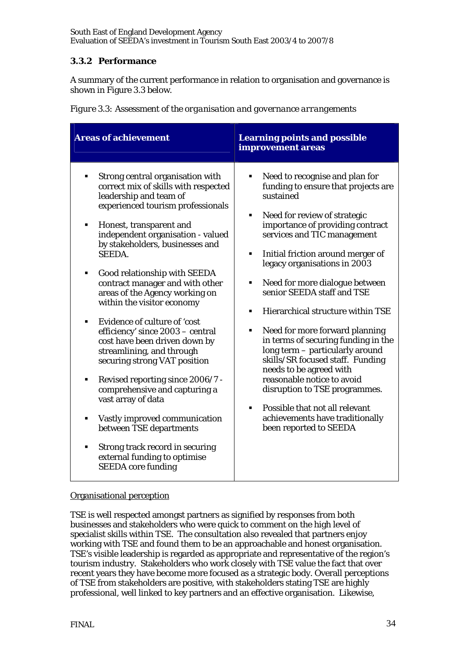# **3.3.2 Performance**

A summary of the current performance in relation to organisation and governance is shown in Figure 3.3 below.

|  |  |  | Figure 3.3: Assessment of the organisation and governance arrangements |
|--|--|--|------------------------------------------------------------------------|
|  |  |  |                                                                        |
|  |  |  |                                                                        |
|  |  |  |                                                                        |

| <b>Areas of achievement</b>                                                                                                                                                                                                                                                                                                                                                                                                                                                                                                                                                                                                                                                                                                                                                                                                                      | <b>Learning points and possible</b><br>improvement areas                                                                                                                                                                                                                                                                                                                                                                                                                                                                                                                                                                                                                                                                                            |
|--------------------------------------------------------------------------------------------------------------------------------------------------------------------------------------------------------------------------------------------------------------------------------------------------------------------------------------------------------------------------------------------------------------------------------------------------------------------------------------------------------------------------------------------------------------------------------------------------------------------------------------------------------------------------------------------------------------------------------------------------------------------------------------------------------------------------------------------------|-----------------------------------------------------------------------------------------------------------------------------------------------------------------------------------------------------------------------------------------------------------------------------------------------------------------------------------------------------------------------------------------------------------------------------------------------------------------------------------------------------------------------------------------------------------------------------------------------------------------------------------------------------------------------------------------------------------------------------------------------------|
| Strong central organisation with<br>correct mix of skills with respected<br>leadership and team of<br>experienced tourism professionals<br>Honest, transparent and<br>٠<br>independent organisation - valued<br>by stakeholders, businesses and<br><b>SEEDA.</b><br>Good relationship with SEEDA<br>٠<br>contract manager and with other<br>areas of the Agency working on<br>within the visitor economy<br>Evidence of culture of 'cost<br>efficiency' since 2003 - central<br>cost have been driven down by<br>streamlining, and through<br>securing strong VAT position<br>Revised reporting since 2006/7 -<br>٠<br>comprehensive and capturing a<br>vast array of data<br>Vastly improved communication<br>٠<br>between TSE departments<br>Strong track record in securing<br>٠<br>external funding to optimise<br><b>SEEDA</b> core funding | Need to recognise and plan for<br>funding to ensure that projects are<br>sustained<br>Need for review of strategic<br>٠<br>importance of providing contract<br>services and TIC management<br>Initial friction around merger of<br>٠<br>legacy organisations in 2003<br>Need for more dialogue between<br>٠<br>senior SEEDA staff and TSE<br>Hierarchical structure within TSE<br>$\blacksquare$<br>Need for more forward planning<br>٠<br>in terms of securing funding in the<br>long term - particularly around<br>skills/SR focused staff. Funding<br>needs to be agreed with<br>reasonable notice to avoid<br>disruption to TSE programmes.<br>Possible that not all relevant<br>٠<br>achievements have traditionally<br>been reported to SEEDA |

#### Organisational perception

TSE is well respected amongst partners as signified by responses from both businesses and stakeholders who were quick to comment on the high level of specialist skills within TSE. The consultation also revealed that partners enjoy working with TSE and found them to be an approachable and honest organisation. TSE's visible leadership is regarded as appropriate and representative of the region's tourism industry. Stakeholders who work closely with TSE value the fact that over recent years they have become more focused as a strategic body. Overall perceptions of TSE from stakeholders are positive, with stakeholders stating TSE are highly professional, well linked to key partners and an effective organisation. Likewise,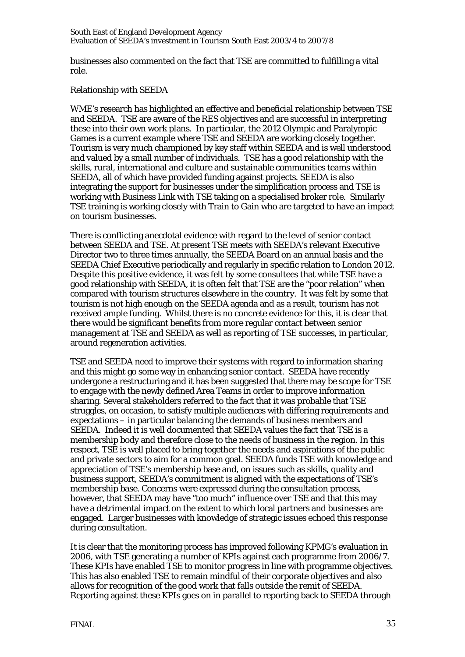businesses also commented on the fact that TSE are committed to fulfilling a vital role.

#### Relationship with SEEDA

WME's research has highlighted an effective and beneficial relationship between TSE and SEEDA. TSE are aware of the RES objectives and are successful in interpreting these into their own work plans. In particular, the 2012 Olympic and Paralympic Games is a current example where TSE and SEEDA are working closely together. Tourism is very much championed by key staff within SEEDA and is well understood and valued by a small number of individuals. TSE has a good relationship with the skills, rural, international and culture and sustainable communities teams within SEEDA, all of which have provided funding against projects. SEEDA is also integrating the support for businesses under the simplification process and TSE is working with Business Link with TSE taking on a specialised broker role. Similarly TSE training is working closely with Train to Gain who are targeted to have an impact on tourism businesses.

There is conflicting anecdotal evidence with regard to the level of senior contact between SEEDA and TSE. At present TSE meets with SEEDA's relevant Executive Director two to three times annually, the SEEDA Board on an annual basis and the SEEDA Chief Executive periodically and regularly in specific relation to London 2012. Despite this positive evidence, it was felt by some consultees that while TSE have a good relationship with SEEDA, it is often felt that TSE are the "poor relation" when compared with tourism structures elsewhere in the country. It was felt by some that tourism is not high enough on the SEEDA agenda and as a result, tourism has not received ample funding. Whilst there is no concrete evidence for this, it is clear that there would be significant benefits from more regular contact between senior management at TSE and SEEDA as well as reporting of TSE successes, in particular, around regeneration activities.

TSE and SEEDA need to improve their systems with regard to information sharing and this might go some way in enhancing senior contact. SEEDA have recently undergone a restructuring and it has been suggested that there may be scope for TSE to engage with the newly defined Area Teams in order to improve information sharing. Several stakeholders referred to the fact that it was probable that TSE struggles, on occasion, to satisfy multiple audiences with differing requirements and expectations – in particular balancing the demands of business members and SEEDA. Indeed it is well documented that SEEDA values the fact that TSE is a membership body and therefore close to the needs of business in the region. In this respect, TSE is well placed to bring together the needs and aspirations of the public and private sectors to aim for a common goal. SEEDA funds TSE with knowledge and appreciation of TSE's membership base and, on issues such as skills, quality and business support, SEEDA's commitment is aligned with the expectations of TSE's membership base. Concerns were expressed during the consultation process, however, that SEEDA may have "too much" influence over TSE and that this may have a detrimental impact on the extent to which local partners and businesses are engaged. Larger businesses with knowledge of strategic issues echoed this response during consultation.

It is clear that the monitoring process has improved following KPMG's evaluation in 2006, with TSE generating a number of KPIs against each programme from 2006/7. These KPIs have enabled TSE to monitor progress in line with programme objectives. This has also enabled TSE to remain mindful of their corporate objectives and also allows for recognition of the good work that falls outside the remit of SEEDA. Reporting against these KPIs goes on in parallel to reporting back to SEEDA through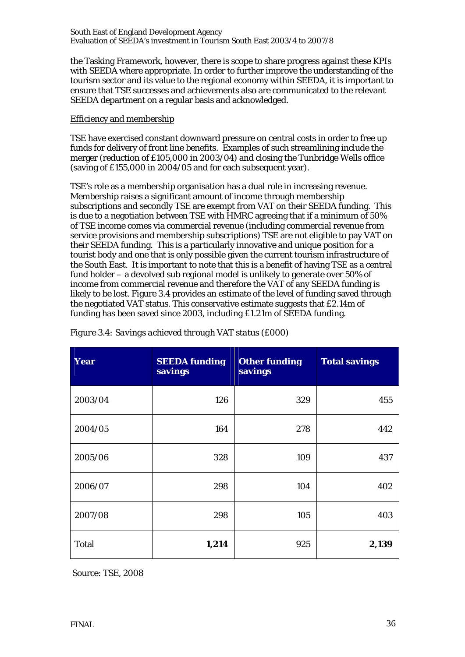the Tasking Framework, however, there is scope to share progress against these KPIs with SEEDA where appropriate. In order to further improve the understanding of the tourism sector and its value to the regional economy within SEEDA, it is important to ensure that TSE successes and achievements also are communicated to the relevant SEEDA department on a regular basis and acknowledged.

#### Efficiency and membership

TSE have exercised constant downward pressure on central costs in order to free up funds for delivery of front line benefits. Examples of such streamlining include the merger (reduction of £105,000 in 2003/04) and closing the Tunbridge Wells office (saving of £155,000 in 2004/05 and for each subsequent year).

TSE's role as a membership organisation has a dual role in increasing revenue. Membership raises a significant amount of income through membership subscriptions and secondly TSE are exempt from VAT on their SEEDA funding. This is due to a negotiation between TSE with HMRC agreeing that if a minimum of 50% of TSE income comes via commercial revenue (including commercial revenue from service provisions and membership subscriptions) TSE are not eligible to pay VAT on their SEEDA funding. This is a particularly innovative and unique position for a tourist body and one that is only possible given the current tourism infrastructure of the South East. It is important to note that this is a benefit of having TSE as a central fund holder – a devolved sub regional model is unlikely to generate over 50% of income from commercial revenue and therefore the VAT of any SEEDA funding is likely to be lost. Figure 3.4 provides an estimate of the level of funding saved through the negotiated VAT status. This conservative estimate suggests that £2.14m of funding has been saved since 2003, including £1.21m of SEEDA funding.

| <b>Year</b>  | <b>SEEDA funding</b><br>savings | <b>Other funding</b><br>savings | <b>Total savings</b> |
|--------------|---------------------------------|---------------------------------|----------------------|
| 2003/04      | 126                             | 329                             | 455                  |
| 2004/05      | 164                             | 278                             | 442                  |
| 2005/06      | 328                             | 109                             | 437                  |
| 2006/07      | 298                             | 104                             | 402                  |
| 2007/08      | 298                             | 105                             | 403                  |
| <b>Total</b> | 1,214                           | 925                             | 2,139                |

| Figure 3.4: Savings achieved through VAT status (£000) |  |  |  |
|--------------------------------------------------------|--|--|--|
|                                                        |  |  |  |

Source: TSE, 2008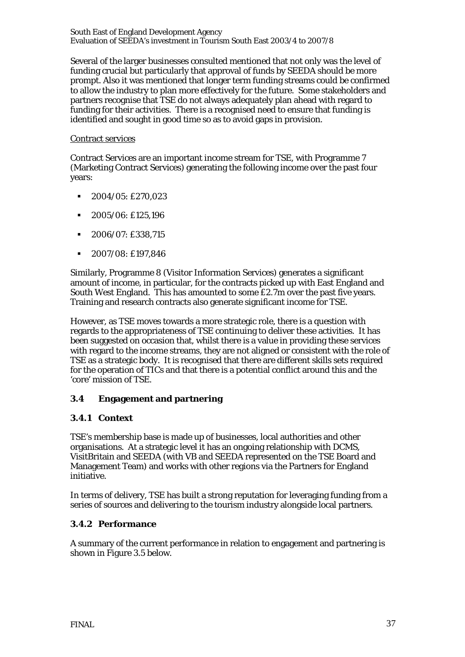Several of the larger businesses consulted mentioned that not only was the level of funding crucial but particularly that approval of funds by SEEDA should be more prompt. Also it was mentioned that longer term funding streams could be confirmed to allow the industry to plan more effectively for the future. Some stakeholders and partners recognise that TSE do not always adequately plan ahead with regard to funding for their activities. There is a recognised need to ensure that funding is identified and sought in good time so as to avoid gaps in provision.

#### Contract services

Contract Services are an important income stream for TSE, with Programme 7 (Marketing Contract Services) generating the following income over the past four years:

- $\blacksquare$  2004/05: £270,023
- $\blacksquare$  2005/06: £125,196
- 2006/07: £338,715
- $-2007/08$ : £197,846

Similarly, Programme 8 (Visitor Information Services) generates a significant amount of income, in particular, for the contracts picked up with East England and South West England. This has amounted to some £2.7m over the past five years. Training and research contracts also generate significant income for TSE.

However, as TSE moves towards a more strategic role, there is a question with regards to the appropriateness of TSE continuing to deliver these activities. It has been suggested on occasion that, whilst there is a value in providing these services with regard to the income streams, they are not aligned or consistent with the role of TSE as a strategic body. It is recognised that there are different skills sets required for the operation of TICs and that there is a potential conflict around this and the 'core' mission of TSE.

## **3.4 Engagement and partnering**

## **3.4.1 Context**

TSE's membership base is made up of businesses, local authorities and other organisations. At a strategic level it has an ongoing relationship with DCMS, VisitBritain and SEEDA (with VB and SEEDA represented on the TSE Board and Management Team) and works with other regions via the Partners for England initiative.

In terms of delivery, TSE has built a strong reputation for leveraging funding from a series of sources and delivering to the tourism industry alongside local partners.

## **3.4.2 Performance**

A summary of the current performance in relation to engagement and partnering is shown in Figure 3.5 below.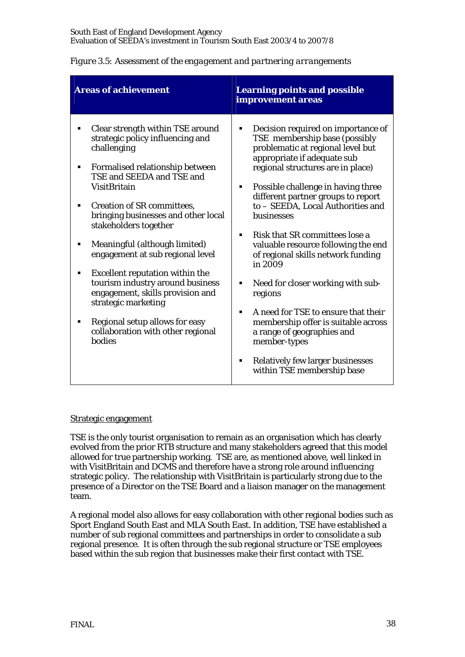| <b>Areas of achievement</b>                                                                                                                                                                                                                                                                                                                                                                                                                                                                                                                                                                      | <b>Learning points and possible</b><br>improvement areas                                                                                                                                                                                                                                                                                                                                                                                                                                                                                                                                                                                                                                                                 |
|--------------------------------------------------------------------------------------------------------------------------------------------------------------------------------------------------------------------------------------------------------------------------------------------------------------------------------------------------------------------------------------------------------------------------------------------------------------------------------------------------------------------------------------------------------------------------------------------------|--------------------------------------------------------------------------------------------------------------------------------------------------------------------------------------------------------------------------------------------------------------------------------------------------------------------------------------------------------------------------------------------------------------------------------------------------------------------------------------------------------------------------------------------------------------------------------------------------------------------------------------------------------------------------------------------------------------------------|
| Clear strength within TSE around<br>٠<br>strategic policy influencing and<br>challenging<br>Formalised relationship between<br>٠<br>TSE and SEEDA and TSE and<br>VisitBritain<br><b>Creation of SR committees,</b><br>bringing businesses and other local<br>stakeholders together<br>Meaningful (although limited)<br>٠<br>engagement at sub regional level<br><b>Excellent reputation within the</b><br>٠<br>tourism industry around business<br>engagement, skills provision and<br>strategic marketing<br>Regional setup allows for easy<br>٠<br>collaboration with other regional<br>bodies | Decision required on importance of<br>٠<br>TSE membership base (possibly<br>problematic at regional level but<br>appropriate if adequate sub<br>regional structures are in place)<br>Possible challenge in having three<br>٠<br>different partner groups to report<br>to - SEEDA, Local Authorities and<br>businesses<br>Risk that SR committees lose a<br>٠<br>valuable resource following the end<br>of regional skills network funding<br>in 2009<br>Need for closer working with sub-<br>٠<br>regions<br>A need for TSE to ensure that their<br>٠<br>membership offer is suitable across<br>a range of geographies and<br>member-types<br><b>Relatively few larger businesses</b><br>٠<br>within TSE membership base |

# *Figure 3.5: Assessment of the engagement and partnering arrangements*

## Strategic engagement

TSE is the only tourist organisation to remain as an organisation which has clearly evolved from the prior RTB structure and many stakeholders agreed that this model allowed for true partnership working. TSE are, as mentioned above, well linked in with VisitBritain and DCMS and therefore have a strong role around influencing strategic policy. The relationship with VisitBritain is particularly strong due to the presence of a Director on the TSE Board and a liaison manager on the management team.

A regional model also allows for easy collaboration with other regional bodies such as Sport England South East and MLA South East. In addition, TSE have established a number of sub regional committees and partnerships in order to consolidate a sub regional presence. It is often through the sub regional structure or TSE employees based within the sub region that businesses make their first contact with TSE.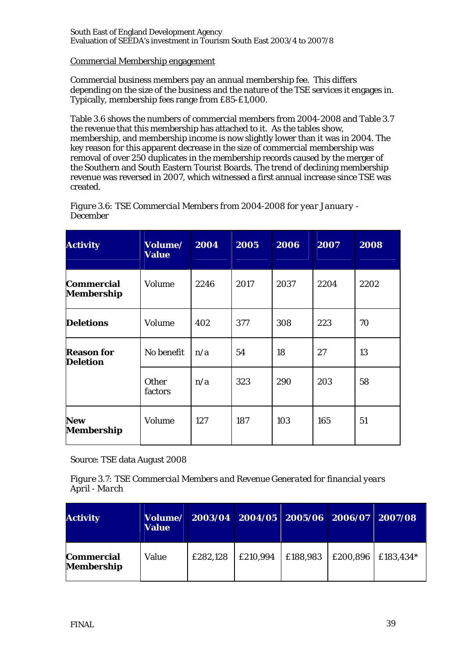## Commercial Membership engagement

Commercial business members pay an annual membership fee. This differs depending on the size of the business and the nature of the TSE services it engages in. Typically, membership fees range from £85-£1,000.

Table 3.6 shows the numbers of commercial members from 2004-2008 and Table 3.7 the revenue that this membership has attached to it. As the tables show, membership, and membership income is now slightly lower than it was in 2004. The key reason for this apparent decrease in the size of commercial membership was removal of over 250 duplicates in the membership records caused by the merger of the Southern and South Eastern Tourist Boards. The trend of declining membership revenue was reversed in 2007, which witnessed a first annual increase since TSE was created.

| <b>Activity</b>                        | Volume/<br><b>Value</b> | 2004 | 2005 | 2006 | 2007 | 2008 |
|----------------------------------------|-------------------------|------|------|------|------|------|
| <b>Commercial</b><br><b>Membership</b> | Volume                  | 2246 | 2017 | 2037 | 2204 | 2202 |
| <b>Deletions</b>                       | Volume                  | 402  | 377  | 308  | 223  | 70   |
| <b>Reason for</b><br><b>Deletion</b>   | No benefit              | n/a  | 54   | 18   | 27   | 13   |
|                                        | <b>Other</b><br>factors | n/a  | 323  | 290  | 203  | 58   |
| <b>New</b><br>Membership               | Volume                  | 127  | 187  | 103  | 165  | 51   |

*Figure 3.6: TSE Commercial Members from 2004-2008 for year January - December* 

Source: TSE data August 2008

*Figure 3.7: TSE Commercial Members and Revenue Generated for financial years April - March* 

| <b>Activity</b>                        | <b>Volume/</b><br><b>Value</b> | $2003/04$ 2004/05 2005/06 2006/07 2007/08 |          |          |          |           |
|----------------------------------------|--------------------------------|-------------------------------------------|----------|----------|----------|-----------|
| <b>Commercial</b><br><b>Membership</b> | Value                          | £282,128                                  | £210,994 | £188,983 | £200,896 | £183,434* |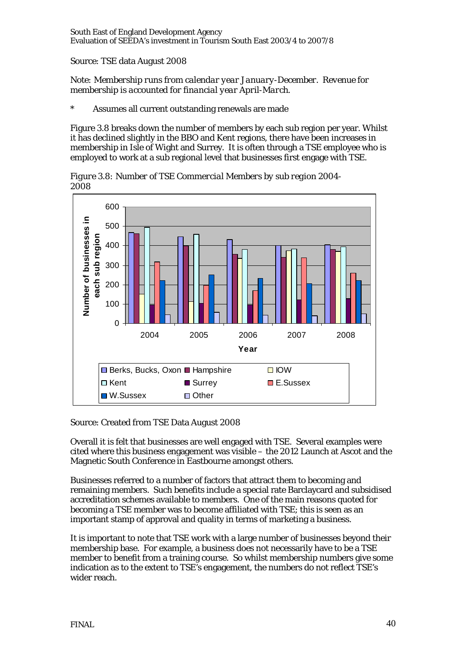Source: TSE data August 2008

*Note: Membership runs from calendar year January-December. Revenue for membership is accounted for financial year April-March.* 

Assumes all current outstanding renewals are made

Figure 3.8 breaks down the number of members by each sub region per year. Whilst it has declined slightly in the BBO and Kent regions, there have been increases in membership in Isle of Wight and Surrey. It is often through a TSE employee who is employed to work at a sub regional level that businesses first engage with TSE.

600 **Number of businesses in Number of businesses in** 500 each sub region **each sub region** 400 300 200 100  $\Omega$ 2004 2005 2006 2007 2008 **Year**  $\Box$  Berks, Bucks, Oxon  $\Box$  Hampshire  $\Box$  IOW □ Kent Surrey E.Sussex ■ W.Sussex 回 Other

*Figure 3.8: Number of TSE Commercial Members by sub region 2004- 2008*

Source: Created from TSE Data August 2008

Overall it is felt that businesses are well engaged with TSE. Several examples were cited where this business engagement was visible – the 2012 Launch at Ascot and the Magnetic South Conference in Eastbourne amongst others.

Businesses referred to a number of factors that attract them to becoming and remaining members. Such benefits include a special rate Barclaycard and subsidised accreditation schemes available to members. One of the main reasons quoted for becoming a TSE member was to become affiliated with TSE; this is seen as an important stamp of approval and quality in terms of marketing a business.

It is important to note that TSE work with a large number of businesses beyond their membership base. For example, a business does not necessarily have to be a TSE member to benefit from a training course. So whilst membership numbers give some indication as to the extent to TSE's engagement, the numbers do not reflect TSE's wider reach.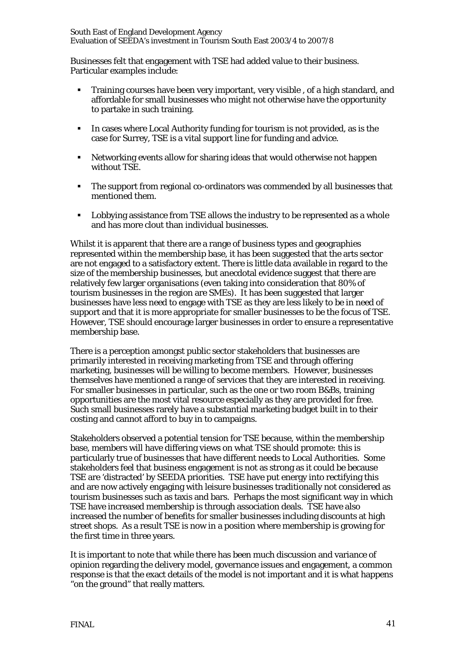Businesses felt that engagement with TSE had added value to their business. Particular examples include:

- Training courses have been very important, very visible , of a high standard, and affordable for small businesses who might not otherwise have the opportunity to partake in such training.
- In cases where Local Authority funding for tourism is not provided, as is the case for Surrey, TSE is a vital support line for funding and advice.
- Networking events allow for sharing ideas that would otherwise not happen without TSE.
- The support from regional co-ordinators was commended by all businesses that mentioned them.
- **•** Lobbying assistance from TSE allows the industry to be represented as a whole and has more clout than individual businesses.

Whilst it is apparent that there are a range of business types and geographies represented within the membership base, it has been suggested that the arts sector are not engaged to a satisfactory extent. There is little data available in regard to the size of the membership businesses, but anecdotal evidence suggest that there are relatively few larger organisations (even taking into consideration that 80% of tourism businesses in the region are SMEs). It has been suggested that larger businesses have less need to engage with TSE as they are less likely to be in need of support and that it is more appropriate for smaller businesses to be the focus of TSE. However, TSE should encourage larger businesses in order to ensure a representative membership base.

There is a perception amongst public sector stakeholders that businesses are primarily interested in receiving marketing from TSE and through offering marketing, businesses will be willing to become members. However, businesses themselves have mentioned a range of services that they are interested in receiving. For smaller businesses in particular, such as the one or two room B&Bs, training opportunities are the most vital resource especially as they are provided for free. Such small businesses rarely have a substantial marketing budget built in to their costing and cannot afford to buy in to campaigns.

Stakeholders observed a potential tension for TSE because, within the membership base, members will have differing views on what TSE should promote: this is particularly true of businesses that have different needs to Local Authorities. Some stakeholders feel that business engagement is not as strong as it could be because TSE are 'distracted' by SEEDA priorities. TSE have put energy into rectifying this and are now actively engaging with leisure businesses traditionally not considered as tourism businesses such as taxis and bars. Perhaps the most significant way in which TSE have increased membership is through association deals. TSE have also increased the number of benefits for smaller businesses including discounts at high street shops. As a result TSE is now in a position where membership is growing for the first time in three years.

It is important to note that while there has been much discussion and variance of opinion regarding the delivery model, governance issues and engagement, a common response is that the exact details of the model is not important and it is what happens "on the ground" that really matters.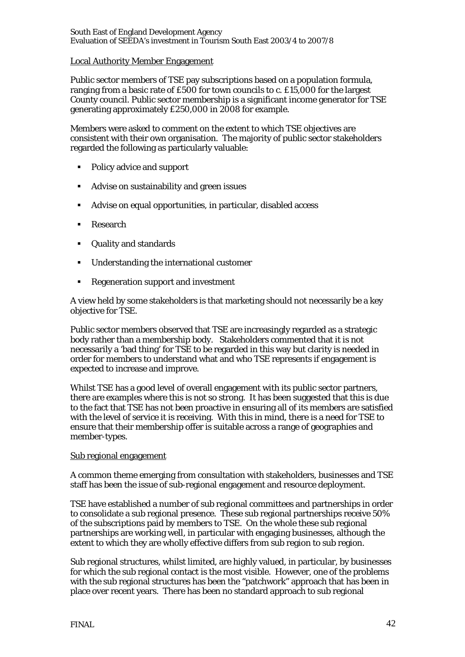## Local Authority Member Engagement

Public sector members of TSE pay subscriptions based on a population formula, ranging from a basic rate of £500 for town councils to c. £15,000 for the largest County council. Public sector membership is a significant income generator for TSE generating approximately £250,000 in 2008 for example.

Members were asked to comment on the extent to which TSE objectives are consistent with their own organisation. The majority of public sector stakeholders regarded the following as particularly valuable:

- Policy advice and support
- Advise on sustainability and green issues
- Advise on equal opportunities, in particular, disabled access
- **Research**
- Quality and standards
- Understanding the international customer
- **Regeneration support and investment**

A view held by some stakeholders is that marketing should not necessarily be a key objective for TSE.

Public sector members observed that TSE are increasingly regarded as a strategic body rather than a membership body. Stakeholders commented that it is not necessarily a 'bad thing' for TSE to be regarded in this way but clarity is needed in order for members to understand what and who TSE represents if engagement is expected to increase and improve.

Whilst TSE has a good level of overall engagement with its public sector partners, there are examples where this is not so strong. It has been suggested that this is due to the fact that TSE has not been proactive in ensuring all of its members are satisfied with the level of service it is receiving. With this in mind, there is a need for TSE to ensure that their membership offer is suitable across a range of geographies and member-types.

## Sub regional engagement

A common theme emerging from consultation with stakeholders, businesses and TSE staff has been the issue of sub-regional engagement and resource deployment.

TSE have established a number of sub regional committees and partnerships in order to consolidate a sub regional presence. These sub regional partnerships receive 50% of the subscriptions paid by members to TSE. On the whole these sub regional partnerships are working well, in particular with engaging businesses, although the extent to which they are wholly effective differs from sub region to sub region.

Sub regional structures, whilst limited, are highly valued, in particular, by businesses for which the sub regional contact is the most visible. However, one of the problems with the sub regional structures has been the "patchwork" approach that has been in place over recent years. There has been no standard approach to sub regional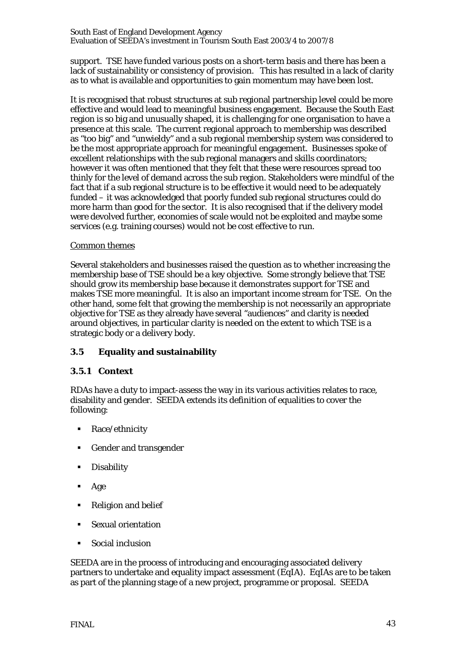support. TSE have funded various posts on a short-term basis and there has been a lack of sustainability or consistency of provision. This has resulted in a lack of clarity as to what is available and opportunities to gain momentum may have been lost.

It is recognised that robust structures at sub regional partnership level could be more effective and would lead to meaningful business engagement. Because the South East region is so big and unusually shaped, it is challenging for one organisation to have a presence at this scale. The current regional approach to membership was described as "too big" and "unwieldy" and a sub regional membership system was considered to be the most appropriate approach for meaningful engagement. Businesses spoke of excellent relationships with the sub regional managers and skills coordinators; however it was often mentioned that they felt that these were resources spread too thinly for the level of demand across the sub region. Stakeholders were mindful of the fact that if a sub regional structure is to be effective it would need to be adequately funded – it was acknowledged that poorly funded sub regional structures could do more harm than good for the sector. It is also recognised that if the delivery model were devolved further, economies of scale would not be exploited and maybe some services (e.g. training courses) would not be cost effective to run.

## Common themes

Several stakeholders and businesses raised the question as to whether increasing the membership base of TSE should be a key objective. Some strongly believe that TSE should grow its membership base because it demonstrates support for TSE and makes TSE more meaningful. It is also an important income stream for TSE. On the other hand, some felt that growing the membership is not necessarily an appropriate objective for TSE as they already have several "audiences" and clarity is needed around objectives, in particular clarity is needed on the extent to which TSE is a strategic body or a delivery body.

# **3.5 Equality and sustainability**

# **3.5.1 Context**

RDAs have a duty to impact-assess the way in its various activities relates to race, disability and gender. SEEDA extends its definition of equalities to cover the following:

- Race/ethnicity
- Gender and transgender
- **Disability**
- Age
- Religion and belief
- Sexual orientation
- Social inclusion

SEEDA are in the process of introducing and encouraging associated delivery partners to undertake and equality impact assessment (EqIA). EqIAs are to be taken as part of the planning stage of a new project, programme or proposal. SEEDA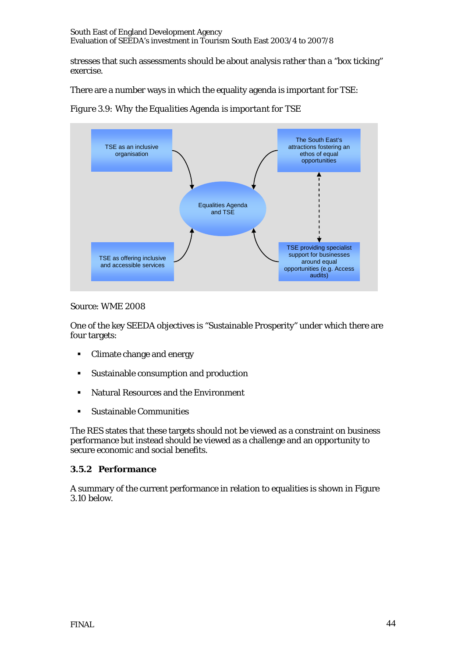stresses that such assessments should be about analysis rather than a "box ticking" exercise.

There are a number ways in which the equality agenda is important for TSE:

*Figure 3.9: Why the Equalities Agenda is important for TSE* 



Source: WME 2008

One of the key SEEDA objectives is "Sustainable Prosperity" under which there are four targets:

- Climate change and energy
- Sustainable consumption and production
- Natural Resources and the Environment
- Sustainable Communities

The RES states that these targets should not be viewed as a constraint on business performance but instead should be viewed as a challenge and an opportunity to secure economic and social benefits.

## **3.5.2 Performance**

A summary of the current performance in relation to equalities is shown in Figure 3.10 below.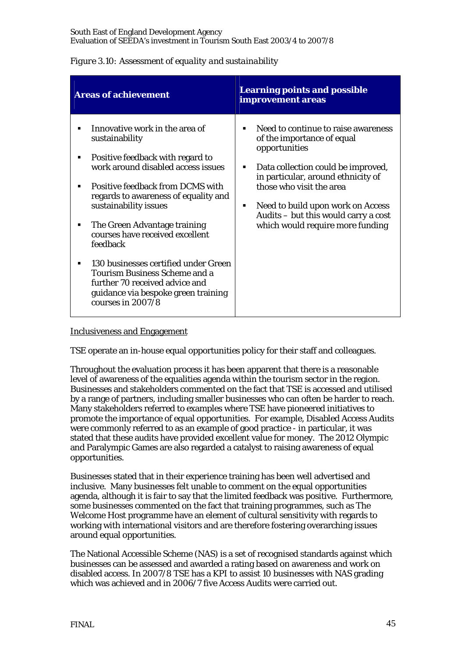| <b>Areas of achievement</b>                                                                                                                                                                                                                                                                                                                                                                                                                                                                                      | <b>Learning points and possible</b><br>improvement areas                                                                                                                                                                                                                                                                                |
|------------------------------------------------------------------------------------------------------------------------------------------------------------------------------------------------------------------------------------------------------------------------------------------------------------------------------------------------------------------------------------------------------------------------------------------------------------------------------------------------------------------|-----------------------------------------------------------------------------------------------------------------------------------------------------------------------------------------------------------------------------------------------------------------------------------------------------------------------------------------|
| Innovative work in the area of<br>sustainability<br>Positive feedback with regard to<br>٠<br>work around disabled access issues<br>Positive feedback from DCMS with<br>٠<br>regards to awareness of equality and<br>sustainability issues<br>The Green Advantage training<br>٠<br>courses have received excellent<br>feedback<br>130 businesses certified under Green<br>٠<br><b>Tourism Business Scheme and a</b><br>further 70 received advice and<br>guidance via bespoke green training<br>courses in 2007/8 | Need to continue to raise awareness<br>٠<br>of the importance of equal<br>opportunities<br>Data collection could be improved,<br>٠<br>in particular, around ethnicity of<br>those who visit the area<br>Need to build upon work on Access<br>$\blacksquare$<br>Audits – but this would carry a cost<br>which would require more funding |

## *Figure 3.10: Assessment of equality and sustainability*

## Inclusiveness and Engagement

TSE operate an in-house equal opportunities policy for their staff and colleagues.

Throughout the evaluation process it has been apparent that there is a reasonable level of awareness of the equalities agenda within the tourism sector in the region. Businesses and stakeholders commented on the fact that TSE is accessed and utilised by a range of partners, including smaller businesses who can often be harder to reach. Many stakeholders referred to examples where TSE have pioneered initiatives to promote the importance of equal opportunities. For example, Disabled Access Audits were commonly referred to as an example of good practice - in particular, it was stated that these audits have provided excellent value for money. The 2012 Olympic and Paralympic Games are also regarded a catalyst to raising awareness of equal opportunities.

Businesses stated that in their experience training has been well advertised and inclusive. Many businesses felt unable to comment on the equal opportunities agenda, although it is fair to say that the limited feedback was positive. Furthermore, some businesses commented on the fact that training programmes, such as The Welcome Host programme have an element of cultural sensitivity with regards to working with international visitors and are therefore fostering overarching issues around equal opportunities.

The National Accessible Scheme (NAS) is a set of recognised standards against which businesses can be assessed and awarded a rating based on awareness and work on disabled access. In 2007/8 TSE has a KPI to assist 10 businesses with NAS grading which was achieved and in 2006/7 five Access Audits were carried out.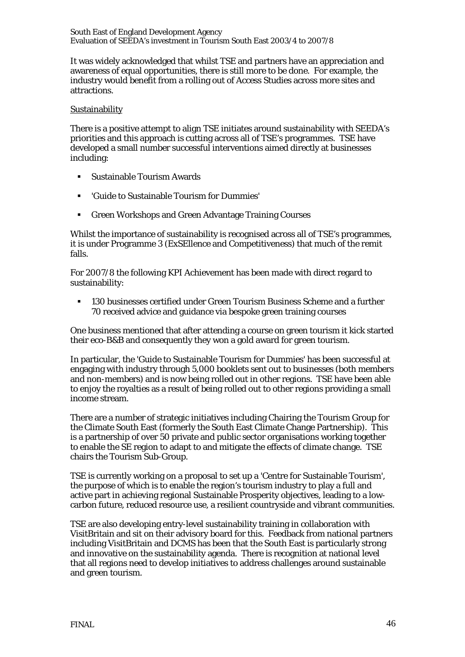It was widely acknowledged that whilst TSE and partners have an appreciation and awareness of equal opportunities, there is still more to be done. For example, the industry would benefit from a rolling out of Access Studies across more sites and attractions.

#### **Sustainability**

There is a positive attempt to align TSE initiates around sustainability with SEEDA's priorities and this approach is cutting across all of TSE's programmes. TSE have developed a small number successful interventions aimed directly at businesses including:

- Sustainable Tourism Awards
- 'Guide to Sustainable Tourism for Dummies'
- Green Workshops and Green Advantage Training Courses

Whilst the importance of sustainability is recognised across all of TSE's programmes, it is under Programme 3 (ExSEllence and Competitiveness) that much of the remit falls.

For 2007/8 the following KPI Achievement has been made with direct regard to sustainability:

 130 businesses certified under Green Tourism Business Scheme and a further 70 received advice and guidance via bespoke green training courses

One business mentioned that after attending a course on green tourism it kick started their eco-B&B and consequently they won a gold award for green tourism.

In particular, the 'Guide to Sustainable Tourism for Dummies' has been successful at engaging with industry through 5,000 booklets sent out to businesses (both members and non-members) and is now being rolled out in other regions. TSE have been able to enjoy the royalties as a result of being rolled out to other regions providing a small income stream.

There are a number of strategic initiatives including Chairing the Tourism Group for the Climate South East (formerly the South East Climate Change Partnership). This is a partnership of over 50 private and public sector organisations working together to enable the SE region to adapt to and mitigate the effects of climate change. TSE chairs the Tourism Sub-Group.

TSE is currently working on a proposal to set up a 'Centre for Sustainable Tourism', the purpose of which is to enable the region's tourism industry to play a full and active part in achieving regional Sustainable Prosperity objectives, leading to a lowcarbon future, reduced resource use, a resilient countryside and vibrant communities.

TSE are also developing entry-level sustainability training in collaboration with VisitBritain and sit on their advisory board for this. Feedback from national partners including VisitBritain and DCMS has been that the South East is particularly strong and innovative on the sustainability agenda. There is recognition at national level that all regions need to develop initiatives to address challenges around sustainable and green tourism.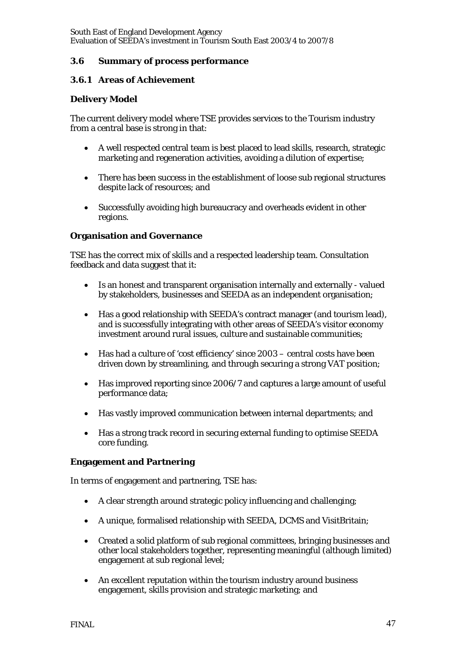## **3.6 Summary of process performance**

## **3.6.1 Areas of Achievement**

## **Delivery Model**

The current delivery model where TSE provides services to the Tourism industry from a central base is strong in that:

- A well respected central team is best placed to lead skills, research, strategic marketing and regeneration activities, avoiding a dilution of expertise;
- There has been success in the establishment of loose sub regional structures despite lack of resources; and
- Successfully avoiding high bureaucracy and overheads evident in other regions.

## **Organisation and Governance**

TSE has the correct mix of skills and a respected leadership team. Consultation feedback and data suggest that it:

- Is an honest and transparent organisation internally and externally valued by stakeholders, businesses and SEEDA as an independent organisation;
- Has a good relationship with SEEDA's contract manager (and tourism lead), and is successfully integrating with other areas of SEEDA's visitor economy investment around rural issues, culture and sustainable communities;
- Has had a culture of 'cost efficiency' since 2003 central costs have been driven down by streamlining, and through securing a strong VAT position;
- Has improved reporting since 2006/7 and captures a large amount of useful performance data;
- Has vastly improved communication between internal departments; and
- Has a strong track record in securing external funding to optimise SEEDA core funding.

## **Engagement and Partnering**

In terms of engagement and partnering, TSE has:

- A clear strength around strategic policy influencing and challenging;
- A unique, formalised relationship with SEEDA, DCMS and VisitBritain;
- Created a solid platform of sub regional committees, bringing businesses and other local stakeholders together, representing meaningful (although limited) engagement at sub regional level;
- An excellent reputation within the tourism industry around business engagement, skills provision and strategic marketing; and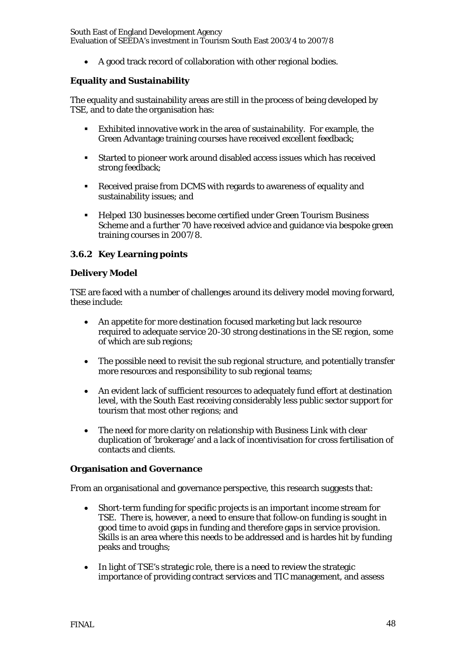• A good track record of collaboration with other regional bodies.

## **Equality and Sustainability**

The equality and sustainability areas are still in the process of being developed by TSE, and to date the organisation has:

- Exhibited innovative work in the area of sustainability. For example, the Green Advantage training courses have received excellent feedback;
- Started to pioneer work around disabled access issues which has received strong feedback;
- Received praise from DCMS with regards to awareness of equality and sustainability issues; and
- Helped 130 businesses become certified under Green Tourism Business Scheme and a further 70 have received advice and guidance via bespoke green training courses in 2007/8.

## **3.6.2 Key Learning points**

## **Delivery Model**

TSE are faced with a number of challenges around its delivery model moving forward, these include:

- An appetite for more destination focused marketing but lack resource required to adequate service 20-30 strong destinations in the SE region, some of which are sub regions;
- The possible need to revisit the sub regional structure, and potentially transfer more resources and responsibility to sub regional teams;
- An evident lack of sufficient resources to adequately fund effort at destination level, with the South East receiving considerably less public sector support for tourism that most other regions; and
- The need for more clarity on relationship with Business Link with clear duplication of 'brokerage' and a lack of incentivisation for cross fertilisation of contacts and clients.

## **Organisation and Governance**

From an organisational and governance perspective, this research suggests that:

- Short-term funding for specific projects is an important income stream for TSE. There is, however, a need to ensure that follow-on funding is sought in good time to avoid gaps in funding and therefore gaps in service provision. Skills is an area where this needs to be addressed and is hardes hit by funding peaks and troughs;
- In light of TSE's strategic role, there is a need to review the strategic importance of providing contract services and TIC management, and assess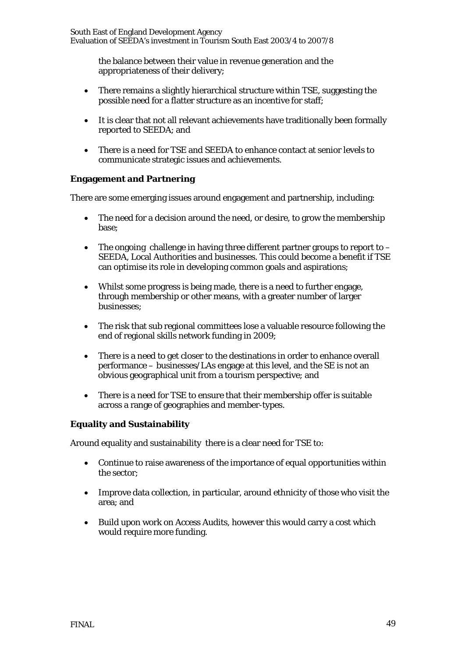the balance between their value in revenue generation and the appropriateness of their delivery;

- There remains a slightly hierarchical structure within TSE, suggesting the possible need for a flatter structure as an incentive for staff;
- It is clear that not all relevant achievements have traditionally been formally reported to SEEDA; and
- There is a need for TSE and SEEDA to enhance contact at senior levels to communicate strategic issues and achievements.

## **Engagement and Partnering**

There are some emerging issues around engagement and partnership, including:

- The need for a decision around the need, or desire, to grow the membership base;
- The ongoing challenge in having three different partner groups to report to  $-$ SEEDA, Local Authorities and businesses. This could become a benefit if TSE can optimise its role in developing common goals and aspirations;
- Whilst some progress is being made, there is a need to further engage, through membership or other means, with a greater number of larger businesses;
- The risk that sub regional committees lose a valuable resource following the end of regional skills network funding in 2009;
- There is a need to get closer to the destinations in order to enhance overall performance – businesses/LAs engage at this level, and the SE is not an obvious geographical unit from a tourism perspective; and
- There is a need for TSE to ensure that their membership offer is suitable across a range of geographies and member-types.

## **Equality and Sustainability**

Around equality and sustainability there is a clear need for TSE to:

- Continue to raise awareness of the importance of equal opportunities within the sector;
- Improve data collection, in particular, around ethnicity of those who visit the area; and
- Build upon work on Access Audits, however this would carry a cost which would require more funding.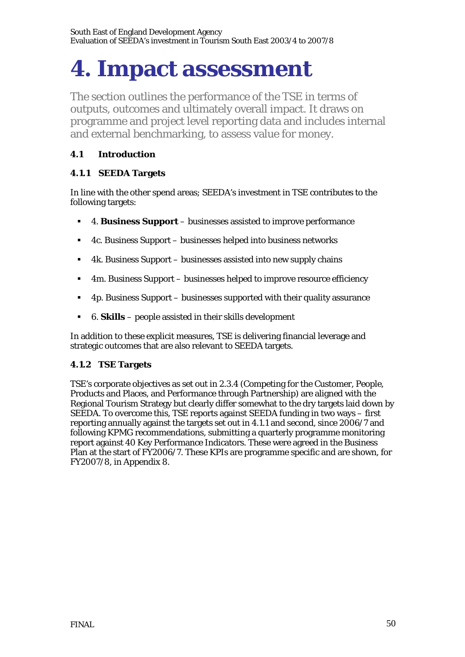# **4. Impact assessment**

The section outlines the performance of the TSE in terms of outputs, outcomes and ultimately overall impact. It draws on programme and project level reporting data and includes internal and external benchmarking, to assess value for money.

# **4.1 Introduction**

# **4.1.1 SEEDA Targets**

In line with the other spend areas; SEEDA's investment in TSE contributes to the following targets:

- 4. **Business Support** businesses assisted to improve performance
- 4c. Business Support businesses helped into business networks
- 4k. Business Support businesses assisted into new supply chains
- 4m. Business Support businesses helped to improve resource efficiency
- $\blacksquare$  4p. Business Support businesses supported with their quality assurance
- 6. **Skills**  people assisted in their skills development

In addition to these explicit measures, TSE is delivering financial leverage and strategic outcomes that are also relevant to SEEDA targets.

# **4.1.2 TSE Targets**

TSE's corporate objectives as set out in 2.3.4 (Competing for the Customer, People, Products and Places, and Performance through Partnership) are aligned with the Regional Tourism Strategy but clearly differ somewhat to the dry targets laid down by SEEDA. To overcome this, TSE reports against SEEDA funding in two ways – first reporting annually against the targets set out in 4.1.1 and second, since 2006/7 and following KPMG recommendations, submitting a quarterly programme monitoring report against 40 Key Performance Indicators. These were agreed in the Business Plan at the start of FY2006/7. These KPIs are programme specific and are shown, for FY2007/8, in Appendix 8.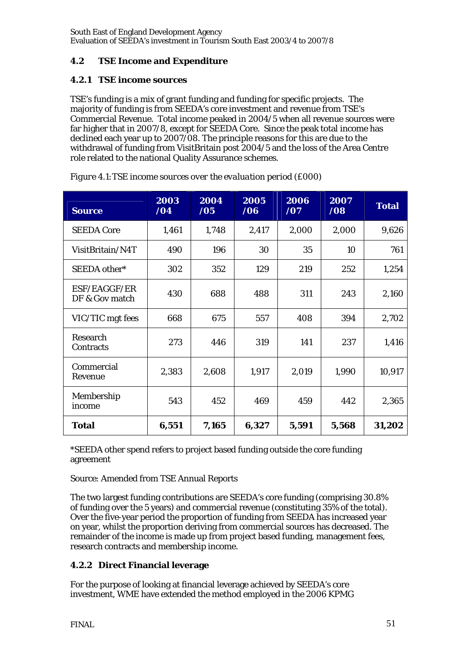# **4.2 TSE Income and Expenditure**

## **4.2.1 TSE income sources**

TSE's funding is a mix of grant funding and funding for specific projects. The majority of funding is from SEEDA's core investment and revenue from TSE's Commercial Revenue. Total income peaked in 2004/5 when all revenue sources were far higher that in 2007/8, except for SEEDA Core. Since the peak total income has declined each year up to 2007/08. The principle reasons for this are due to the withdrawal of funding from VisitBritain post 2004/5 and the loss of the Area Centre role related to the national Quality Assurance schemes.

| <b>Source</b>                  | 2003<br>/04 | 2004<br>/05 | 2005<br>/06 | 2006<br>/07 | 2007<br>/08 | <b>Total</b> |
|--------------------------------|-------------|-------------|-------------|-------------|-------------|--------------|
| <b>SEEDA Core</b>              | 1,461       | 1,748       | 2,417       | 2,000       | 2,000       | 9,626        |
| VisitBritain/N4T               | 490         | 196         | 30          | 35          | 10          | 761          |
| SEEDA other*                   | 302         | 352         | 129         | 219         | 252         | 1,254        |
| ESF/EAGGF/ER<br>DF & Gov match | 430         | 688         | 488         | 311         | 243         | 2,160        |
| VIC/TIC mgt fees               | 668         | 675         | 557         | 408         | 394         | 2,702        |
| Research<br>Contracts          | 273         | 446         | 319         | 141         | 237         | 1,416        |
| Commercial<br>Revenue          | 2,383       | 2,608       | 1,917       | 2,019       | 1,990       | 10,917       |
| Membership<br>income           | 543         | 452         | 469         | 459         | 442         | 2,365        |
| <b>Total</b>                   | 6,551       | 7,165       | 6,327       | 5,591       | 5,568       | 31,202       |

| Figure 4.1: TSE income sources over the evaluation period (£000) |  |  |
|------------------------------------------------------------------|--|--|
|------------------------------------------------------------------|--|--|

\*SEEDA other spend refers to project based funding outside the core funding agreement

## Source: Amended from TSE Annual Reports

The two largest funding contributions are SEEDA's core funding (comprising 30.8% of funding over the 5 years) and commercial revenue (constituting 35% of the total). Over the five-year period the proportion of funding from SEEDA has increased year on year, whilst the proportion deriving from commercial sources has decreased. The remainder of the income is made up from project based funding, management fees, research contracts and membership income.

# **4.2.2 Direct Financial leverage**

For the purpose of looking at financial leverage achieved by SEEDA's core investment, WME have extended the method employed in the 2006 KPMG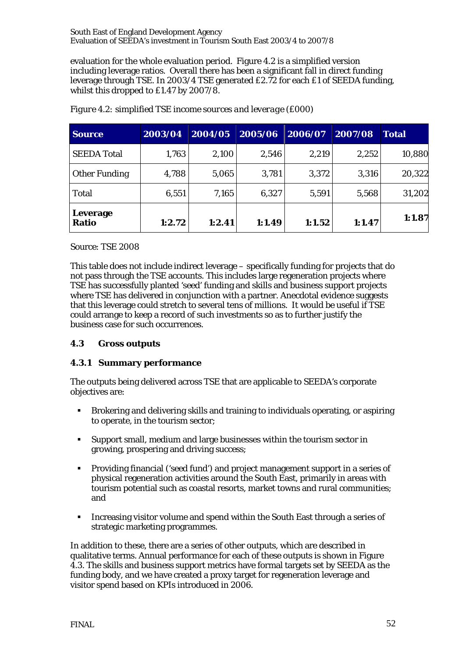evaluation for the whole evaluation period. Figure 4.2 is a simplified version including leverage ratios. Overall there has been a significant fall in direct funding leverage through TSE. In 2003/4 TSE generated £2.72 for each £1 of SEEDA funding, whilst this dropped to £1.47 by 2007/8.

| <b>Source</b>            | 2003/04 | 2004/05 | 2005/06 | 2006/07 | 2007/08 | <b>Total</b> |
|--------------------------|---------|---------|---------|---------|---------|--------------|
| <b>SEEDA Total</b>       | 1,763   | 2,100   | 2,546   | 2,219   | 2,252   | 10,880       |
| <b>Other Funding</b>     | 4,788   | 5,065   | 3,781   | 3,372   | 3,316   | 20,322       |
| <b>Total</b>             | 6,551   | 7,165   | 6,327   | 5,591   | 5,568   | 31,202       |
| Leverage<br><b>Ratio</b> | 1:2.72  | 1:2.41  | 1:1.49  | 1:1.52  | 1:1.47  | 1:1.87       |

*Figure 4.2: simplified TSE income sources and leverage (£000)* 

Source: TSE 2008

This table does not include indirect leverage – specifically funding for projects that do not pass through the TSE accounts. This includes large regeneration projects where TSE has successfully planted 'seed' funding and skills and business support projects where TSE has delivered in conjunction with a partner. Anecdotal evidence suggests that this leverage could stretch to several tens of millions. It would be useful if TSE could arrange to keep a record of such investments so as to further justify the business case for such occurrences.

# **4.3 Gross outputs**

# **4.3.1 Summary performance**

The outputs being delivered across TSE that are applicable to SEEDA's corporate objectives are:

- Brokering and delivering skills and training to individuals operating, or aspiring to operate, in the tourism sector;
- Support small, medium and large businesses within the tourism sector in growing, prospering and driving success;
- Providing financial ('seed fund') and project management support in a series of physical regeneration activities around the South East, primarily in areas with tourism potential such as coastal resorts, market towns and rural communities; and
- Increasing visitor volume and spend within the South East through a series of strategic marketing programmes.

In addition to these, there are a series of other outputs, which are described in qualitative terms. Annual performance for each of these outputs is shown in Figure 4.3. The skills and business support metrics have formal targets set by SEEDA as the funding body, and we have created a proxy target for regeneration leverage and visitor spend based on KPIs introduced in 2006.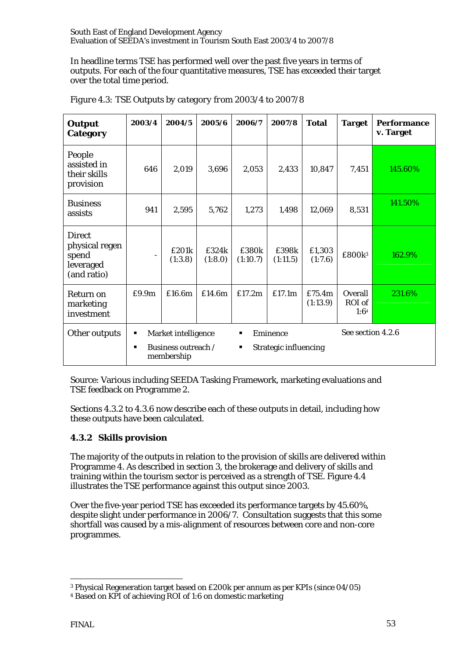In headline terms TSE has performed well over the past five years in terms of outputs. For each of the four quantitative measures, TSE has exceeded their target over the total time period.

| <b>Output</b><br>Category                                            | 2003/4                                                                                                                                                     | 2004/5           | 2005/6           | 2006/7            | 2007/8            | <b>Total</b>       | <b>Target</b>             | <b>Performance</b><br>v. Target |
|----------------------------------------------------------------------|------------------------------------------------------------------------------------------------------------------------------------------------------------|------------------|------------------|-------------------|-------------------|--------------------|---------------------------|---------------------------------|
| People<br>assisted in<br>their skills<br>provision                   | 646                                                                                                                                                        | 2,019            | 3,696            | 2,053             | 2,433             | 10,847             | 7,451                     | 145.60%                         |
| <b>Business</b><br>assists                                           | 941                                                                                                                                                        | 2,595            | 5,762            | 1,273             | 1,498             | 12,069             | 8,531                     | 141.50%                         |
| <b>Direct</b><br>physical regen<br>spend<br>leveraged<br>(and ratio) | $\overline{\phantom{a}}$                                                                                                                                   | £201k<br>(1:3.8) | £324k<br>(1:8.0) | £380k<br>(1:10.7) | £398k<br>(1:11.5) | £1,303<br>(1:7.6)  | £800k3                    | 162.9%                          |
| Return on<br>marketing<br>investment                                 | £9.9m                                                                                                                                                      | £16.6m           | £14.6m           | £17.2m            | £17.1m            | £75.4m<br>(1:13.9) | Overall<br>ROI of<br>1:64 | 231.6%                          |
| Other outputs                                                        | See section 4.2.6<br>Eminence<br>Market intelligence<br>Е<br>п<br>Business outreach /<br><b>Strategic influencing</b><br>$\blacksquare$<br>٠<br>membership |                  |                  |                   |                   |                    |                           |                                 |

*Figure 4.3: TSE Outputs by category from 2003/4 to 2007/8* 

Source: Various including SEEDA Tasking Framework, marketing evaluations and TSE feedback on Programme 2.

Sections 4.3.2 to 4.3.6 now describe each of these outputs in detail, including how these outputs have been calculated.

# **4.3.2 Skills provision**

The majority of the outputs in relation to the provision of skills are delivered within Programme 4. As described in section 3, the brokerage and delivery of skills and training within the tourism sector is perceived as a strength of TSE. Figure 4.4 illustrates the TSE performance against this output since 2003.

Over the five-year period TSE has exceeded its performance targets by 45.60%, despite slight under performance in 2006/7. Consultation suggests that this some shortfall was caused by a mis-alignment of resources between core and non-core programmes.

 $\overline{a}$ 3 Physical Regeneration target based on £200k per annum as per KPIs (since 04/05)

<sup>4</sup> Based on KPI of achieving ROI of 1:6 on domestic marketing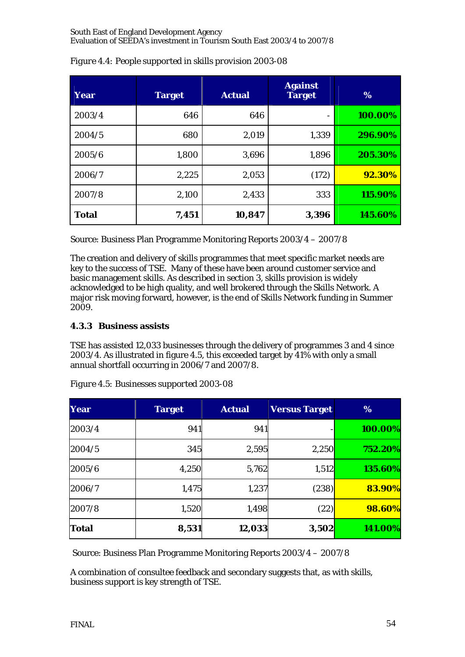| Year         | <b>Target</b> | <b>Actual</b> | <b>Against</b><br><b>Target</b> | %       |
|--------------|---------------|---------------|---------------------------------|---------|
| 2003/4       | 646           | 646           | $\overline{\phantom{a}}$        | 100.00% |
| 2004/5       | 680           | 2,019         | 1,339                           | 296.90% |
| 2005/6       | 1,800         | 3,696         | 1,896                           | 205.30% |
| 2006/7       | 2,225         | 2,053         | (172)                           | 92.30%  |
| 2007/8       | 2,100         | 2,433         | 333                             | 115.90% |
| <b>Total</b> | 7,451         | 10,847        | 3,396                           | 145.60% |

*Figure 4.4: People supported in skills provision 2003-08* 

Source: Business Plan Programme Monitoring Reports 2003/4 – 2007/8

The creation and delivery of skills programmes that meet specific market needs are key to the success of TSE. Many of these have been around customer service and basic management skills. As described in section 3, skills provision is widely acknowledged to be high quality, and well brokered through the Skills Network. A major risk moving forward, however, is the end of Skills Network funding in Summer 2009.

# **4.3.3 Business assists**

TSE has assisted 12,033 businesses through the delivery of programmes 3 and 4 since 2003/4. As illustrated in figure 4.5, this exceeded target by 41% with only a small annual shortfall occurring in 2006/7 and 2007/8.

| Year         | <b>Target</b> | <b>Actual</b> | <b>Versus Target</b> | %       |
|--------------|---------------|---------------|----------------------|---------|
| 2003/4       | 941           | 941           |                      | 100.00% |
| 2004/5       | 345           | 2,595         | 2,250                | 752.20% |
| 2005/6       | 4,250         | 5,762         | 1,512                | 135.60% |
| 2006/7       | 1,475         | 1,237         | (238)                | 83.90%  |
| 2007/8       | 1,520         | 1,498         | (22)                 | 98.60%  |
| <b>Total</b> | 8,531         | 12,033        | 3,502                | 141.00% |

*Figure 4.5: Businesses supported 2003-08* 

Source: Business Plan Programme Monitoring Reports 2003/4 – 2007/8

A combination of consultee feedback and secondary suggests that, as with skills, business support is key strength of TSE.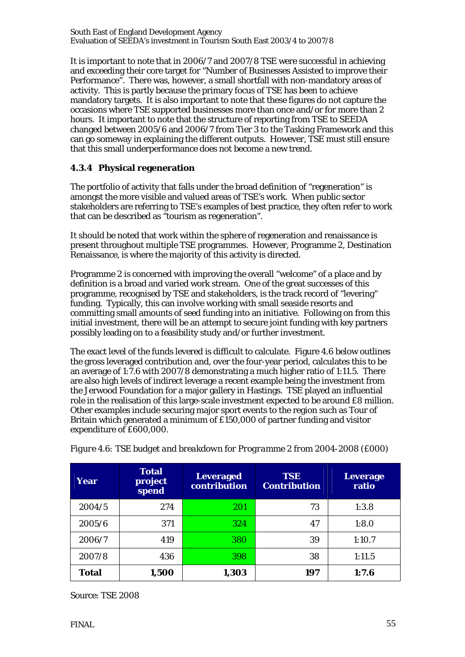It is important to note that in 2006/7 and 2007/8 TSE were successful in achieving and exceeding their core target for "Number of Businesses Assisted to improve their Performance". There was, however, a small shortfall with non-mandatory areas of activity. This is partly because the primary focus of TSE has been to achieve mandatory targets. It is also important to note that these figures do not capture the occasions where TSE supported businesses more than once and/or for more than 2 hours. It important to note that the structure of reporting from TSE to SEEDA changed between 2005/6 and 2006/7 from Tier 3 to the Tasking Framework and this can go someway in explaining the different outputs. However, TSE must still ensure that this small underperformance does not become a new trend.

# **4.3.4 Physical regeneration**

The portfolio of activity that falls under the broad definition of "regeneration" is amongst the more visible and valued areas of TSE's work. When public sector stakeholders are referring to TSE's examples of best practice, they often refer to work that can be described as "tourism as regeneration".

It should be noted that work within the sphere of regeneration and renaissance is present throughout multiple TSE programmes. However, Programme 2, Destination Renaissance, is where the majority of this activity is directed.

Programme 2 is concerned with improving the overall "welcome" of a place and by definition is a broad and varied work stream. One of the great successes of this programme, recognised by TSE and stakeholders, is the track record of "levering" funding. Typically, this can involve working with small seaside resorts and committing small amounts of seed funding into an initiative. Following on from this initial investment, there will be an attempt to secure joint funding with key partners possibly leading on to a feasibility study and/or further investment.

The exact level of the funds levered is difficult to calculate. Figure 4.6 below outlines the gross leveraged contribution and, over the four-year period, calculates this to be an average of 1:7.6 with 2007/8 demonstrating a much higher ratio of 1:11.5. There are also high levels of indirect leverage a recent example being the investment from the Jerwood Foundation for a major gallery in Hastings. TSE played an influential role in the realisation of this large-scale investment expected to be around £8 million. Other examples include securing major sport events to the region such as Tour of Britain which generated a minimum of £150,000 of partner funding and visitor expenditure of £600,000.

| Year         | <b>Total</b><br>project<br>spend | <b>Leveraged</b><br>contribution | <b>TSE</b><br><b>Contribution</b> | <b>Leverage</b><br>ratio |
|--------------|----------------------------------|----------------------------------|-----------------------------------|--------------------------|
| 2004/5       | 274                              | 201                              | 73                                | 1:3.8                    |
| 2005/6       | 371                              | 324                              | 47                                | 1:8.0                    |
| 2006/7       | 419                              | 380                              | 39                                | 1:10.7                   |
| 2007/8       | 436                              | 398                              | 38                                | 1:11.5                   |
| <b>Total</b> | 1,500                            | 1,303                            | 197                               | 1:7.6                    |

*Figure 4.6: TSE budget and breakdown for Programme 2 from 2004-2008 (£000)* 

Source: TSE 2008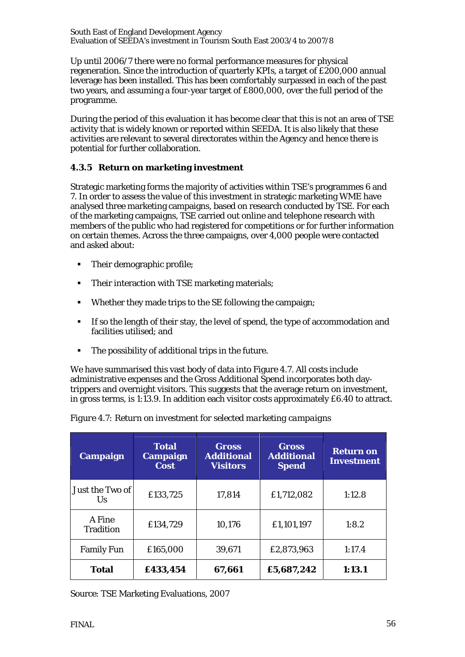Up until 2006/7 there were no formal performance measures for physical regeneration. Since the introduction of quarterly KPIs, a target of £200,000 annual leverage has been installed. This has been comfortably surpassed in each of the past two years, and assuming a four-year target of £800,000, over the full period of the programme.

During the period of this evaluation it has become clear that this is not an area of TSE activity that is widely known or reported within SEEDA. It is also likely that these activities are relevant to several directorates within the Agency and hence there is potential for further collaboration.

# **4.3.5 Return on marketing investment**

Strategic marketing forms the majority of activities within TSE's programmes 6 and 7. In order to assess the value of this investment in strategic marketing WME have analysed three marketing campaigns, based on research conducted by TSE. For each of the marketing campaigns, TSE carried out online and telephone research with members of the public who had registered for competitions or for further information on certain themes. Across the three campaigns, over 4,000 people were contacted and asked about:

- Their demographic profile;
- Their interaction with TSE marketing materials;
- Whether they made trips to the SE following the campaign;
- If so the length of their stay, the level of spend, the type of accommodation and facilities utilised; and
- The possibility of additional trips in the future.

We have summarised this vast body of data into Figure 4.7. All costs include administrative expenses and the Gross Additional Spend incorporates both daytrippers and overnight visitors. This suggests that the average return on investment, in gross terms, is 1:13.9. In addition each visitor costs approximately £6.40 to attract.

| <b>Campaign</b>            | <b>Total</b><br>Campaign<br><b>Cost</b> | <b>Gross</b><br><b>Additional</b><br><b>Visitors</b> | Gross<br><b>Additional</b><br><b>Spend</b> | <b>Return on</b><br><b>Investment</b> |
|----------------------------|-----------------------------------------|------------------------------------------------------|--------------------------------------------|---------------------------------------|
| Just the Two of<br>Us      | £133,725                                | 17,814                                               | £1,712,082                                 | 1:12.8                                |
| A Fine<br><b>Tradition</b> | £134,729                                | 10,176                                               | £1,101,197                                 | 1:8.2                                 |
| <b>Family Fun</b>          | £165,000                                | 39,671                                               | £2,873,963                                 | 1:17.4                                |
| <b>Total</b>               | £433,454                                | 67,661                                               | £5,687,242                                 | 1:13.1                                |

|  | Figure 4.7: Return on investment for selected marketing campaigns |  |  |
|--|-------------------------------------------------------------------|--|--|
|  |                                                                   |  |  |

Source: TSE Marketing Evaluations, 2007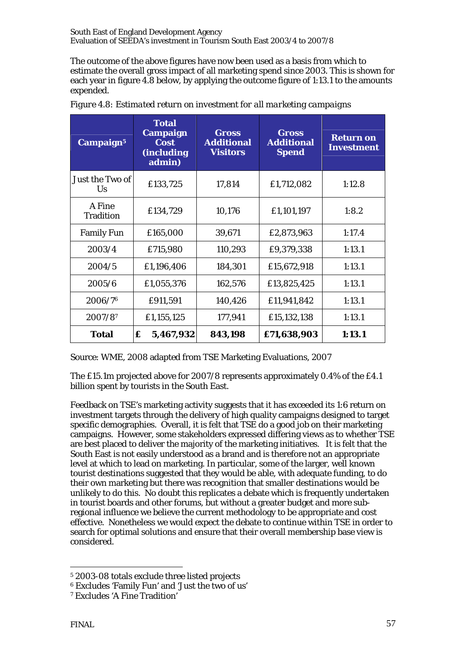The outcome of the above figures have now been used as a basis from which to estimate the overall gross impact of all marketing spend since 2003. This is shown for each year in figure 4.8 below, by applying the outcome figure of 1:13.1 to the amounts expended.

| Campaign <sup>5</sup>        | <b>Total</b><br><b>Campaign</b><br><b>Cost</b><br>(including<br>admin) | <b>Gross</b><br><b>Additional</b><br><b>Visitors</b> | <b>Gross</b><br><b>Additional</b><br><b>Spend</b> | <b>Return on</b><br><b>Investment</b> |
|------------------------------|------------------------------------------------------------------------|------------------------------------------------------|---------------------------------------------------|---------------------------------------|
| Just the Two of<br><b>Us</b> | £133,725                                                               | 17,814                                               | £1,712,082                                        | 1:12.8                                |
| A Fine<br><b>Tradition</b>   | £134,729                                                               | 10,176                                               | £1,101,197                                        | 1:8.2                                 |
| <b>Family Fun</b>            | £165,000                                                               | 39,671                                               | £2,873,963                                        | 1:17.4                                |
| 2003/4                       | £715,980                                                               | 110,293                                              | £9,379,338                                        | 1:13.1                                |
| 2004/5                       | £1,196,406                                                             | 184,301                                              | £15,672,918                                       | 1:13.1                                |
| 2005/6                       | £1,055,376                                                             | 162,576                                              | £13,825,425                                       | 1:13.1                                |
| 2006/76                      | £911,591                                                               | 140,426                                              | £11,941,842                                       | 1:13.1                                |
| $2007/8^7$                   | £1,155,125                                                             | 177,941                                              | £15,132,138                                       | 1:13.1                                |
| <b>Total</b>                 | £<br>5,467,932                                                         | 843,198                                              | £71,638,903                                       | 1:13.1                                |

*Figure 4.8: Estimated return on investment for all marketing campaigns* 

Source: WME, 2008 adapted from TSE Marketing Evaluations, 2007

The £15.1m projected above for 2007/8 represents approximately 0.4% of the £4.1 billion spent by tourists in the South East.

Feedback on TSE's marketing activity suggests that it has exceeded its 1:6 return on investment targets through the delivery of high quality campaigns designed to target specific demographies. Overall, it is felt that TSE do a good job on their marketing campaigns. However, some stakeholders expressed differing views as to whether TSE are best placed to deliver the majority of the marketing initiatives. It is felt that the South East is not easily understood as a brand and is therefore not an appropriate level at which to lead on marketing. In particular, some of the larger, well known tourist destinations suggested that they would be able, with adequate funding, to do their own marketing but there was recognition that smaller destinations would be unlikely to do this. No doubt this replicates a debate which is frequently undertaken in tourist boards and other forums, but without a greater budget and more subregional influence we believe the current methodology to be appropriate and cost effective. Nonetheless we would expect the debate to continue within TSE in order to search for optimal solutions and ensure that their overall membership base view is considered.

 $\overline{a}$ 

<sup>5 2003-08</sup> totals exclude three listed projects

<sup>6</sup> Excludes 'Family Fun' and 'Just the two of us'

<sup>7</sup> Excludes 'A Fine Tradition'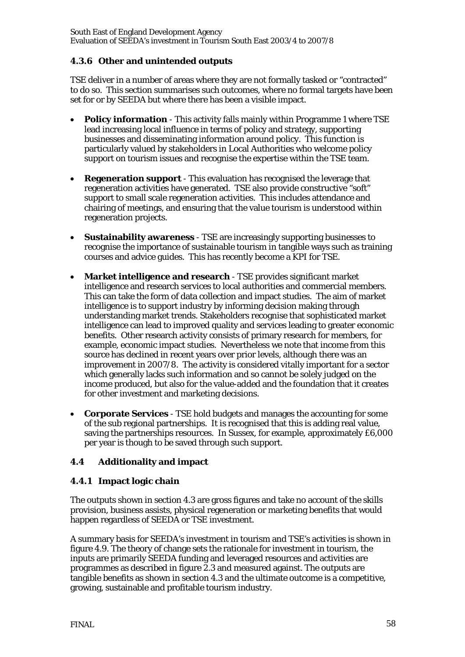# **4.3.6 Other and unintended outputs**

TSE deliver in a number of areas where they are not formally tasked or "contracted" to do so. This section summarises such outcomes, where no formal targets have been set for or by SEEDA but where there has been a visible impact.

- **Policy information**  This activity falls mainly within Programme 1 where TSE lead increasing local influence in terms of policy and strategy, supporting businesses and disseminating information around policy. This function is particularly valued by stakeholders in Local Authorities who welcome policy support on tourism issues and recognise the expertise within the TSE team.
- **Regeneration support**  This evaluation has recognised the leverage that regeneration activities have generated. TSE also provide constructive "soft" support to small scale regeneration activities. This includes attendance and chairing of meetings, and ensuring that the value tourism is understood within regeneration projects.
- **Sustainability awareness** TSE are increasingly supporting businesses to recognise the importance of sustainable tourism in tangible ways such as training courses and advice guides. This has recently become a KPI for TSE.
- **Market intelligence and research**  TSE provides significant market intelligence and research services to local authorities and commercial members. This can take the form of data collection and impact studies. The aim of market intelligence is to support industry by informing decision making through understanding market trends. Stakeholders recognise that sophisticated market intelligence can lead to improved quality and services leading to greater economic benefits. Other research activity consists of primary research for members, for example, economic impact studies. Nevertheless we note that income from this source has declined in recent years over prior levels, although there was an improvement in 2007/8. The activity is considered vitally important for a sector which generally lacks such information and so cannot be solely judged on the income produced, but also for the value-added and the foundation that it creates for other investment and marketing decisions.
- **Corporate Services** TSE hold budgets and manages the accounting for some of the sub regional partnerships. It is recognised that this is adding real value, saving the partnerships resources. In Sussex, for example, approximately £6,000 per year is though to be saved through such support.

# **4.4 Additionality and impact**

# **4.4.1 Impact logic chain**

The outputs shown in section 4.3 are gross figures and take no account of the skills provision, business assists, physical regeneration or marketing benefits that would happen regardless of SEEDA or TSE investment.

A summary basis for SEEDA's investment in tourism and TSE's activities is shown in figure 4.9. The theory of change sets the rationale for investment in tourism, the inputs are primarily SEEDA funding and leveraged resources and activities are programmes as described in figure 2.3 and measured against. The outputs are tangible benefits as shown in section 4.3 and the ultimate outcome is a competitive, growing, sustainable and profitable tourism industry.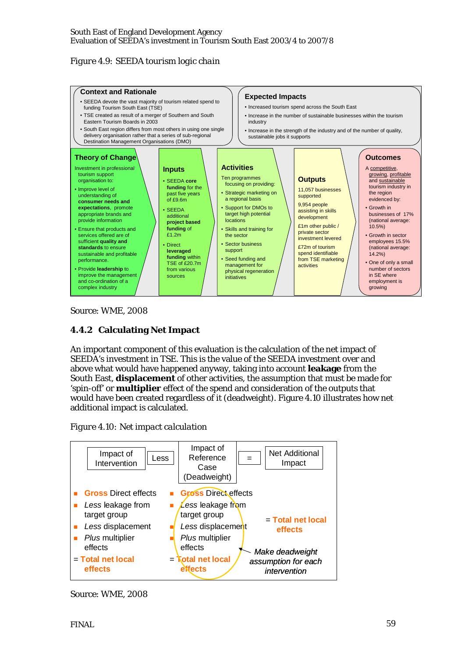# *Figure 4.9: SEEDA tourism logic chain*



Source: WME, 2008

# **4.4.2 Calculating Net Impact**

An important component of this evaluation is the calculation of the net impact of SEEDA's investment in TSE. This is the value of the SEEDA investment over and above what would have happened anyway, taking into account **leakage** from the South East, **displacement** of other activities, the assumption that must be made for 'spin-off' or **multiplier** effect of the spend and consideration of the outputs that would have been created regardless of it (deadweight). Figure 4.10 illustrates how net additional impact is calculated.





Source: WME, 2008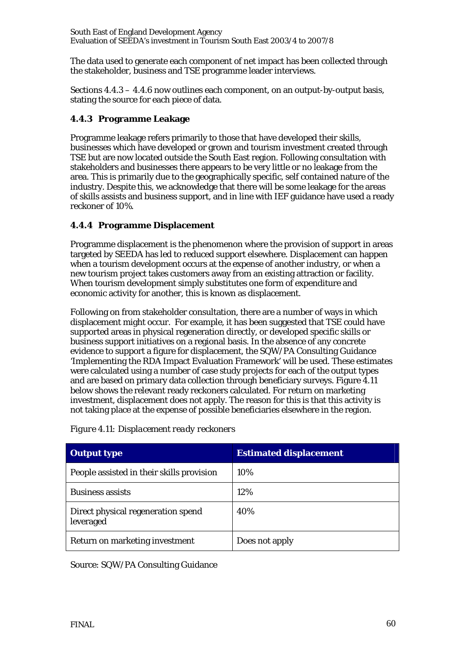The data used to generate each component of net impact has been collected through the stakeholder, business and TSE programme leader interviews.

Sections 4.4.3 – 4.4.6 now outlines each component, on an output-by-output basis, stating the source for each piece of data.

# **4.4.3 Programme Leakage**

Programme leakage refers primarily to those that have developed their skills, businesses which have developed or grown and tourism investment created through TSE but are now located outside the South East region. Following consultation with stakeholders and businesses there appears to be very little or no leakage from the area. This is primarily due to the geographically specific, self contained nature of the industry. Despite this, we acknowledge that there will be some leakage for the areas of skills assists and business support, and in line with IEF guidance have used a ready reckoner of 10%.

# **4.4.4 Programme Displacement**

Programme displacement is the phenomenon where the provision of support in areas targeted by SEEDA has led to reduced support elsewhere. Displacement can happen when a tourism development occurs at the expense of another industry, or when a new tourism project takes customers away from an existing attraction or facility. When tourism development simply substitutes one form of expenditure and economic activity for another, this is known as displacement.

Following on from stakeholder consultation, there are a number of ways in which displacement might occur. For example, it has been suggested that TSE could have supported areas in physical regeneration directly, or developed specific skills or business support initiatives on a regional basis. In the absence of any concrete evidence to support a figure for displacement, the SQW/PA Consulting Guidance 'Implementing the RDA Impact Evaluation Framework' will be used. These estimates were calculated using a number of case study projects for each of the output types and are based on primary data collection through beneficiary surveys. Figure 4.11 below shows the relevant ready reckoners calculated. For return on marketing investment, displacement does not apply. The reason for this is that this activity is not taking place at the expense of possible beneficiaries elsewhere in the region.

| <b>Output type</b>                              | <b>Estimated displacement</b> |
|-------------------------------------------------|-------------------------------|
| People assisted in their skills provision       | 10%                           |
| <b>Business assists</b>                         | 12%                           |
| Direct physical regeneration spend<br>leveraged | 40%                           |
| Return on marketing investment                  | Does not apply                |

*Figure 4.11: Displacement ready reckoners* 

Source: SQW/PA Consulting Guidance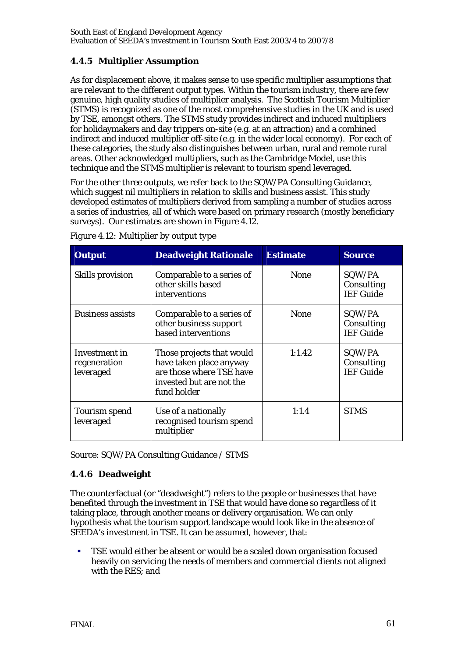# **4.4.5 Multiplier Assumption**

As for displacement above, it makes sense to use specific multiplier assumptions that are relevant to the different output types. Within the tourism industry, there are few genuine, high quality studies of multiplier analysis. The Scottish Tourism Multiplier (STMS) is recognized as one of the most comprehensive studies in the UK and is used by TSE, amongst others. The STMS study provides indirect and induced multipliers for holidaymakers and day trippers on-site (e.g. at an attraction) and a combined indirect and induced multiplier off-site (e.g. in the wider local economy). For each of these categories, the study also distinguishes between urban, rural and remote rural areas. Other acknowledged multipliers, such as the Cambridge Model, use this technique and the STMS multiplier is relevant to tourism spend leveraged.

For the other three outputs, we refer back to the SQW/PA Consulting Guidance, which suggest nil multipliers in relation to skills and business assist. This study developed estimates of multipliers derived from sampling a number of studies across a series of industries, all of which were based on primary research (mostly beneficiary surveys). Our estimates are shown in Figure 4.12.

| <b>Output</b>                              | <b>Deadweight Rationale</b>                                                                                                 | <b>Estimate</b> | <b>Source</b>                            |
|--------------------------------------------|-----------------------------------------------------------------------------------------------------------------------------|-----------------|------------------------------------------|
| Skills provision                           | Comparable to a series of<br>other skills based<br>interventions                                                            | <b>None</b>     | SQW/PA<br>Consulting<br><b>IEF</b> Guide |
| <b>Business assists</b>                    | Comparable to a series of<br>other business support<br>based interventions                                                  | <b>None</b>     | SQW/PA<br>Consulting<br><b>IEF</b> Guide |
| Investment in<br>regeneration<br>leveraged | Those projects that would<br>have taken place anyway<br>are those where TSE have<br>invested but are not the<br>fund holder | 1:1.42          | SQW/PA<br>Consulting<br><b>IEF Guide</b> |
| Tourism spend<br>leveraged                 | Use of a nationally<br>recognised tourism spend<br>multiplier                                                               | 1:1.4           | <b>STMS</b>                              |

*Figure 4.12: Multiplier by output type* 

Source: SQW/PA Consulting Guidance / STMS

# **4.4.6 Deadweight**

The counterfactual (or "deadweight") refers to the people or businesses that have benefited through the investment in TSE that would have done so regardless of it taking place, through another means or delivery organisation. We can only hypothesis what the tourism support landscape would look like in the absence of SEEDA's investment in TSE. It can be assumed, however, that:

 TSE would either be absent or would be a scaled down organisation focused heavily on servicing the needs of members and commercial clients not aligned with the RES; and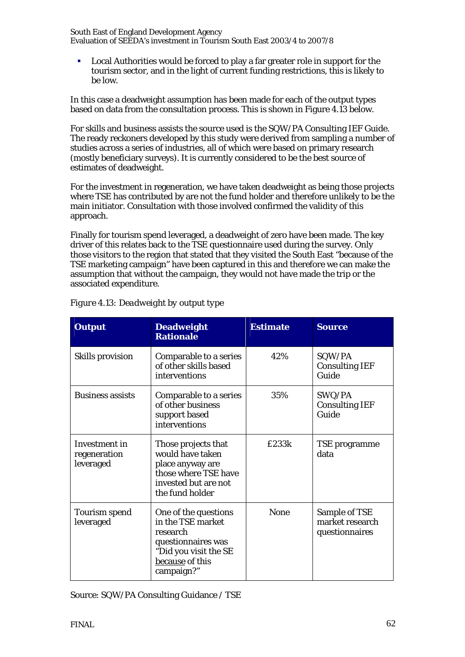Local Authorities would be forced to play a far greater role in support for the tourism sector, and in the light of current funding restrictions, this is likely to be low.

In this case a deadweight assumption has been made for each of the output types based on data from the consultation process. This is shown in Figure 4.13 below.

For skills and business assists the source used is the SQW/PA Consulting IEF Guide. The ready reckoners developed by this study were derived from sampling a number of studies across a series of industries, all of which were based on primary research (mostly beneficiary surveys). It is currently considered to be the best source of estimates of deadweight.

For the investment in regeneration, we have taken deadweight as being those projects where TSE has contributed by are not the fund holder and therefore unlikely to be the main initiator. Consultation with those involved confirmed the validity of this approach.

Finally for tourism spend leveraged, a deadweight of zero have been made. The key driver of this relates back to the TSE questionnaire used during the survey. Only those visitors to the region that stated that they visited the South East "because of the TSE marketing campaign" have been captured in this and therefore we can make the assumption that without the campaign, they would not have made the trip or the associated expenditure.

| <b>Output</b>                              | <b>Deadweight</b><br><b>Rationale</b>                                                                                                 | <b>Estimate</b> | <b>Source</b>                                      |
|--------------------------------------------|---------------------------------------------------------------------------------------------------------------------------------------|-----------------|----------------------------------------------------|
| Skills provision                           | Comparable to a series<br>of other skills based<br>interventions                                                                      | 42%             | SQW/PA<br><b>Consulting IEF</b><br>Guide           |
| <b>Business assists</b>                    | Comparable to a series<br>of other business<br>support based<br>interventions                                                         | 35%             | SWQ/PA<br><b>Consulting IEF</b><br>Guide           |
| Investment in<br>regeneration<br>leveraged | Those projects that<br>would have taken<br>place anyway are<br>those where TSE have<br>invested but are not<br>the fund holder        | £233k           | TSE programme<br>data                              |
| <b>Tourism spend</b><br>leveraged          | One of the questions<br>in the TSE market<br>research<br>questionnaires was<br>"Did you visit the SE<br>because of this<br>campaign?" | <b>None</b>     | Sample of TSE<br>market research<br>questionnaires |

## *Figure 4.13: Deadweight by output type*

Source: SQW/PA Consulting Guidance / TSE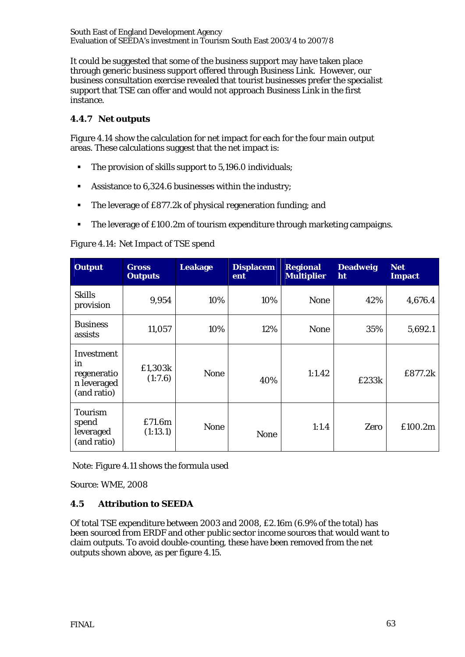It could be suggested that some of the business support may have taken place through generic business support offered through Business Link. However, our business consultation exercise revealed that tourist businesses prefer the specialist support that TSE can offer and would not approach Business Link in the first instance.

# **4.4.7 Net outputs**

Figure 4.14 show the calculation for net impact for each for the four main output areas. These calculations suggest that the net impact is:

- The provision of skills support to 5,196.0 individuals;
- Assistance to 6,324.6 businesses within the industry;
- The leverage of £877.2k of physical regeneration funding; and
- The leverage of £100.2m of tourism expenditure through marketing campaigns.

# *Figure 4.14: Net Impact of TSE spend*

| <b>Output</b>                                                 | <b>Gross</b><br><b>Outputs</b> | <b>Leakage</b> | <b>Displacem</b><br>ent | <b>Regional</b><br><b>Multiplier</b> | <b>Deadweig</b><br>ht | <b>Net</b><br><b>Impact</b> |
|---------------------------------------------------------------|--------------------------------|----------------|-------------------------|--------------------------------------|-----------------------|-----------------------------|
| <b>Skills</b><br>provision                                    | 9,954                          | 10%            | 10%                     | <b>None</b>                          | 42%                   | 4,676.4                     |
| <b>Business</b><br>assists                                    | 11,057                         | 10%            | 12%                     | <b>None</b>                          | 35%                   | 5,692.1                     |
| Investment<br>in<br>regeneratio<br>n leveraged<br>(and ratio) | £1,303k<br>(1:7.6)             | <b>None</b>    | 40%                     | 1:1.42                               | £233k                 | £877.2k                     |
| Tourism<br>spend<br>leveraged<br>(and ratio)                  | £71.6m<br>(1:13.1)             | <b>None</b>    | <b>None</b>             | 1:1.4                                | Zero                  | £100.2m                     |

Note: Figure 4.11 shows the formula used

Source: WME, 2008

# **4.5 Attribution to SEEDA**

Of total TSE expenditure between 2003 and 2008, £2.16m (6.9% of the total) has been sourced from ERDF and other public sector income sources that would want to claim outputs. To avoid double-counting, these have been removed from the net outputs shown above, as per figure 4.15.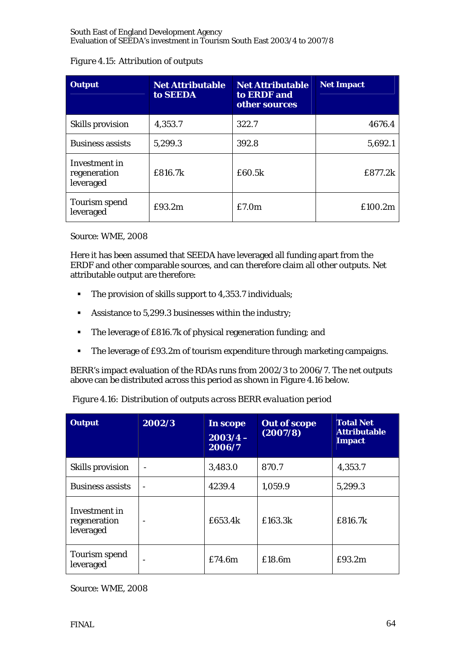|  | <b>Figure 4.15: Attribution of outputs</b> |  |
|--|--------------------------------------------|--|
|  |                                            |  |

| <b>Output</b>                              | <b>Net Attributable</b><br>to SEEDA | <b>Net Attributable</b><br>to ERDF and<br>other sources | <b>Net Impact</b> |
|--------------------------------------------|-------------------------------------|---------------------------------------------------------|-------------------|
| Skills provision                           | 4,353.7                             | 322.7                                                   | 4676.4            |
| <b>Business assists</b>                    | 5,299.3                             | 392.8                                                   | 5,692.1           |
| Investment in<br>regeneration<br>leveraged | £816.7k                             | £60.5k                                                  | £877.2k           |
| Tourism spend<br>leveraged                 | £93.2m                              | £7.0m                                                   | £100.2m           |

Source: WME, 2008

Here it has been assumed that SEEDA have leveraged all funding apart from the ERDF and other comparable sources, and can therefore claim all other outputs. Net attributable output are therefore:

- The provision of skills support to 4,353.7 individuals;
- Assistance to 5,299.3 businesses within the industry;
- The leverage of £816.7k of physical regeneration funding; and
- The leverage of £93.2m of tourism expenditure through marketing campaigns.

BERR's impact evaluation of the RDAs runs from 2002/3 to 2006/7. The net outputs above can be distributed across this period as shown in Figure 4.16 below.

| <b>Output</b>                              | 2002/3 | In scope<br>$2003/4 -$<br>2006/7 | <b>Out of scope</b><br>(2007/8) | <b>Total Net</b><br><b>Attributable</b><br><b>Impact</b> |
|--------------------------------------------|--------|----------------------------------|---------------------------------|----------------------------------------------------------|
| Skills provision                           |        | 3,483.0                          | 870.7                           | 4,353.7                                                  |
| <b>Business assists</b>                    |        | 4239.4                           | 1,059.9                         | 5,299.3                                                  |
| Investment in<br>regeneration<br>leveraged |        | £653.4k                          | £163.3k                         | £816.7k                                                  |
| Tourism spend<br>leveraged                 |        | £74.6m                           | £18.6m                          | £93.2m                                                   |

*Figure 4.16: Distribution of outputs across BERR evaluation period* 

Source: WME, 2008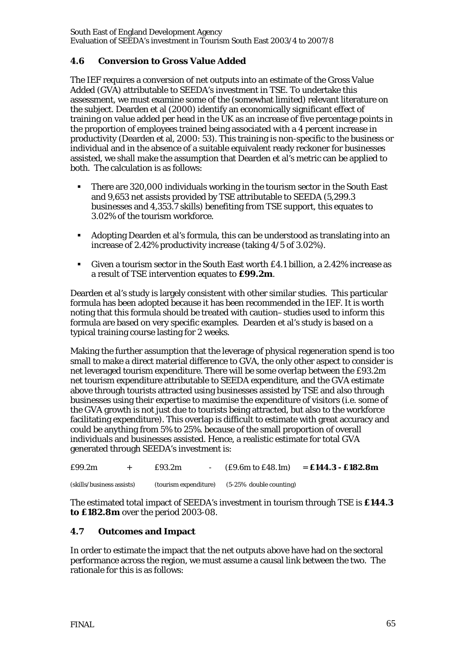# **4.6 Conversion to Gross Value Added**

The IEF requires a conversion of net outputs into an estimate of the Gross Value Added (GVA) attributable to SEEDA's investment in TSE. To undertake this assessment, we must examine some of the (somewhat limited) relevant literature on the subject. Dearden et al (2000) identify an economically significant effect of training on value added per head in the UK as an increase of five percentage points in the proportion of employees trained being associated with a 4 percent increase in productivity (Dearden et al, 2000: 53). This training is non-specific to the business or individual and in the absence of a suitable equivalent ready reckoner for businesses assisted, we shall make the assumption that Dearden et al's metric can be applied to both. The calculation is as follows:

- There are 320,000 individuals working in the tourism sector in the South East and 9,653 net assists provided by TSE attributable to SEEDA (5,299.3 businesses and 4,353.7 skills) benefiting from TSE support, this equates to 3.02% of the tourism workforce.
- Adopting Dearden et al's formula, this can be understood as translating into an increase of 2.42% productivity increase (taking 4/5 of 3.02%).
- Given a tourism sector in the South East worth £4.1 billion, a 2.42% increase as a result of TSE intervention equates to **£99.2m**.

Dearden et al's study is largely consistent with other similar studies. This particular formula has been adopted because it has been recommended in the IEF. It is worth noting that this formula should be treated with caution–studies used to inform this formula are based on very specific examples. Dearden et al's study is based on a typical training course lasting for 2 weeks.

Making the further assumption that the leverage of physical regeneration spend is too small to make a direct material difference to GVA, the only other aspect to consider is net leveraged tourism expenditure. There will be some overlap between the £93.2m net tourism expenditure attributable to SEEDA expenditure, and the GVA estimate above through tourists attracted using businesses assisted by TSE and also through businesses using their expertise to maximise the expenditure of visitors (i.e. some of the GVA growth is not just due to tourists being attracted, but also to the workforce facilitating expenditure). This overlap is difficult to estimate with great accuracy and could be anything from 5% to 25%. because of the small proportion of overall individuals and businesses assisted. Hence, a realistic estimate for total GVA generated through SEEDA's investment is:

| £99.2m                    | $+$ | £93.2m                | $(E9.6m \text{ to } E48.1m)$ | $=$ £144.3 - £182.8m |
|---------------------------|-----|-----------------------|------------------------------|----------------------|
| (skills/business assists) |     | (tourism expenditure) | $(5-25\%$ double counting)   |                      |

The estimated total impact of SEEDA's investment in tourism through TSE is **£144.3 to £182.8m** over the period 2003-08.

## **4.7 Outcomes and Impact**

In order to estimate the impact that the net outputs above have had on the sectoral performance across the region, we must assume a causal link between the two. The rationale for this is as follows: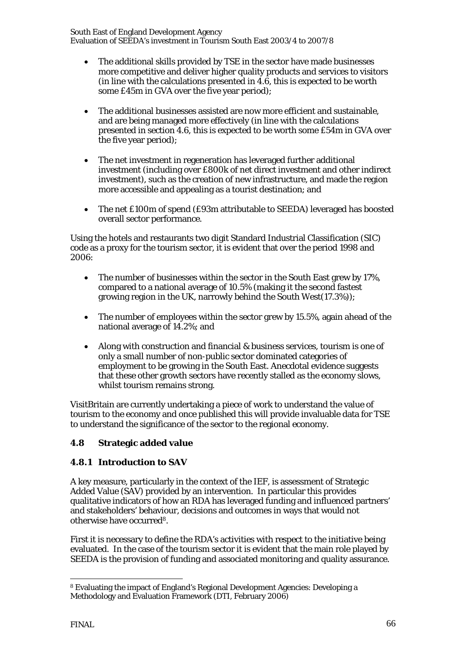- The additional skills provided by TSE in the sector have made businesses more competitive and deliver higher quality products and services to visitors (in line with the calculations presented in 4.6, this is expected to be worth some £45m in GVA over the five year period);
- The additional businesses assisted are now more efficient and sustainable, and are being managed more effectively (in line with the calculations presented in section 4.6, this is expected to be worth some £54m in GVA over the five year period);
- The net investment in regeneration has leveraged further additional investment (including over £800k of net direct investment and other indirect investment), such as the creation of new infrastructure, and made the region more accessible and appealing as a tourist destination; and
- The net £100m of spend (£93m attributable to SEEDA) leveraged has boosted overall sector performance.

Using the hotels and restaurants two digit Standard Industrial Classification (SIC) code as a proxy for the tourism sector, it is evident that over the period 1998 and 2006:

- The number of businesses within the sector in the South East grew by 17%, compared to a national average of 10.5% (making it the second fastest growing region in the UK, narrowly behind the South West(17.3%));
- The number of employees within the sector grew by 15.5%, again ahead of the national average of 14.2%; and
- Along with construction and financial & business services, tourism is one of only a small number of non-public sector dominated categories of employment to be growing in the South East. Anecdotal evidence suggests that these other growth sectors have recently stalled as the economy slows, whilst tourism remains strong.

VisitBritain are currently undertaking a piece of work to understand the value of tourism to the economy and once published this will provide invaluable data for TSE to understand the significance of the sector to the regional economy.

# **4.8 Strategic added value**

# **4.8.1 Introduction to SAV**

A key measure, particularly in the context of the IEF, is assessment of Strategic Added Value (SAV) provided by an intervention. In particular this provides qualitative indicators of how an RDA has leveraged funding and influenced partners' and stakeholders' behaviour, decisions and outcomes in ways that would not otherwise have occurred8.

First it is necessary to define the RDA's activities with respect to the initiative being evaluated. In the case of the tourism sector it is evident that the main role played by SEEDA is the provision of funding and associated monitoring and quality assurance.

 $\overline{a}$ 8 Evaluating the impact of England's Regional Development Agencies: Developing a Methodology and Evaluation Framework (DTI, February 2006)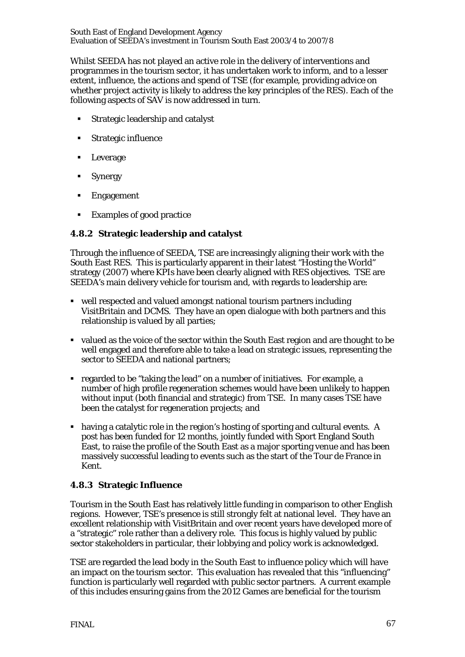Whilst SEEDA has not played an active role in the delivery of interventions and programmes in the tourism sector, it has undertaken work to inform, and to a lesser extent, influence, the actions and spend of TSE (for example, providing advice on whether project activity is likely to address the key principles of the RES). Each of the following aspects of SAV is now addressed in turn.

- **Strategic leadership and catalyst**
- Strategic influence
- Leverage
- **Synergy**
- **Engagement**
- Examples of good practice

## **4.8.2 Strategic leadership and catalyst**

Through the influence of SEEDA, TSE are increasingly aligning their work with the South East RES. This is particularly apparent in their latest "Hosting the World" strategy (2007) where KPIs have been clearly aligned with RES objectives. TSE are SEEDA's main delivery vehicle for tourism and, with regards to leadership are:

- well respected and valued amongst national tourism partners including VisitBritain and DCMS. They have an open dialogue with both partners and this relationship is valued by all parties;
- valued as the voice of the sector within the South East region and are thought to be well engaged and therefore able to take a lead on strategic issues, representing the sector to SEEDA and national partners;
- regarded to be "taking the lead" on a number of initiatives. For example, a number of high profile regeneration schemes would have been unlikely to happen without input (both financial and strategic) from TSE. In many cases TSE have been the catalyst for regeneration projects; and
- having a catalytic role in the region's hosting of sporting and cultural events. A post has been funded for 12 months, jointly funded with Sport England South East, to raise the profile of the South East as a major sporting venue and has been massively successful leading to events such as the start of the Tour de France in Kent.

## **4.8.3 Strategic Influence**

Tourism in the South East has relatively little funding in comparison to other English regions. However, TSE's presence is still strongly felt at national level. They have an excellent relationship with VisitBritain and over recent years have developed more of a "strategic" role rather than a delivery role. This focus is highly valued by public sector stakeholders in particular, their lobbying and policy work is acknowledged.

TSE are regarded the lead body in the South East to influence policy which will have an impact on the tourism sector. This evaluation has revealed that this "influencing" function is particularly well regarded with public sector partners. A current example of this includes ensuring gains from the 2012 Games are beneficial for the tourism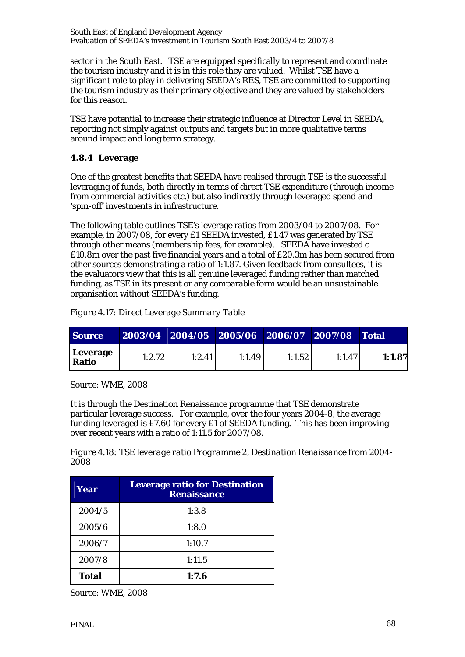sector in the South East. TSE are equipped specifically to represent and coordinate the tourism industry and it is in this role they are valued. Whilst TSE have a significant role to play in delivering SEEDA's RES, TSE are committed to supporting the tourism industry as their primary objective and they are valued by stakeholders for this reason.

TSE have potential to increase their strategic influence at Director Level in SEEDA, reporting not simply against outputs and targets but in more qualitative terms around impact and long term strategy.

# **4.8.4 Leverage**

One of the greatest benefits that SEEDA have realised through TSE is the successful leveraging of funds, both directly in terms of direct TSE expenditure (through income from commercial activities etc.) but also indirectly through leveraged spend and 'spin-off' investments in infrastructure.

The following table outlines TSE's leverage ratios from 2003/04 to 2007/08. For example, in 2007/08, for every £1 SEEDA invested, £1.47 was generated by TSE through other means (membership fees, for example). SEEDA have invested c £10.8m over the past five financial years and a total of £20.3m has been secured from other sources demonstrating a ratio of 1:1.87. Given feedback from consultees, it is the evaluators view that this is all genuine leveraged funding rather than matched funding, as TSE in its present or any comparable form would be an unsustainable organisation without SEEDA's funding.

| <b>Source</b>            |        | 2003/04 2004/05 2005/06 2006/07 2007/08 Total |        |        |        |        |
|--------------------------|--------|-----------------------------------------------|--------|--------|--------|--------|
| Leverage<br><b>Ratio</b> | 1:2.72 | 1:2.41                                        | 1:1.49 | 1:1.52 | 1:1.47 | 1:1.87 |

*Figure 4.17: Direct Leverage Summary Table* 

Source: WME, 2008

It is through the Destination Renaissance programme that TSE demonstrate particular leverage success. For example, over the four years 2004-8, the average funding leveraged is £7.60 for every £1 of SEEDA funding. This has been improving over recent years with a ratio of 1:11.5 for 2007/08.

*Figure 4.18: TSE leverage ratio Programme 2, Destination Renaissance from 2004- 2008* 

| Year         | <b>Leverage ratio for Destination</b><br><b>Renaissance</b> |  |  |  |
|--------------|-------------------------------------------------------------|--|--|--|
| 2004/5       | 1:3.8                                                       |  |  |  |
| 2005/6       | 1:8.0                                                       |  |  |  |
| 2006/7       | 1:10.7                                                      |  |  |  |
| 2007/8       | 1:11.5                                                      |  |  |  |
| <b>Total</b> | 1:7.6                                                       |  |  |  |

Source: WME, 2008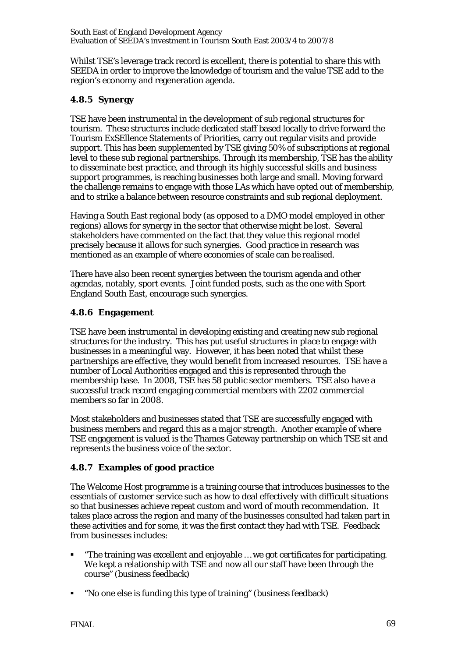Whilst TSE's leverage track record is excellent, there is potential to share this with SEEDA in order to improve the knowledge of tourism and the value TSE add to the region's economy and regeneration agenda.

# **4.8.5 Synergy**

TSE have been instrumental in the development of sub regional structures for tourism. These structures include dedicated staff based locally to drive forward the Tourism ExSEllence Statements of Priorities, carry out regular visits and provide support. This has been supplemented by TSE giving 50% of subscriptions at regional level to these sub regional partnerships. Through its membership, TSE has the ability to disseminate best practice, and through its highly successful skills and business support programmes, is reaching businesses both large and small. Moving forward the challenge remains to engage with those LAs which have opted out of membership, and to strike a balance between resource constraints and sub regional deployment.

Having a South East regional body (as opposed to a DMO model employed in other regions) allows for synergy in the sector that otherwise might be lost. Several stakeholders have commented on the fact that they value this regional model precisely because it allows for such synergies. Good practice in research was mentioned as an example of where economies of scale can be realised.

There have also been recent synergies between the tourism agenda and other agendas, notably, sport events. Joint funded posts, such as the one with Sport England South East, encourage such synergies.

# **4.8.6 Engagement**

TSE have been instrumental in developing existing and creating new sub regional structures for the industry. This has put useful structures in place to engage with businesses in a meaningful way. However, it has been noted that whilst these partnerships are effective, they would benefit from increased resources.TSE have a number of Local Authorities engaged and this is represented through the membership base. In 2008, TSE has 58 public sector members. TSE also have a successful track record engaging commercial members with 2202 commercial members so far in 2008.

Most stakeholders and businesses stated that TSE are successfully engaged with business members and regard this as a major strength. Another example of where TSE engagement is valued is the Thames Gateway partnership on which TSE sit and represents the business voice of the sector.

# **4.8.7 Examples of good practice**

The Welcome Host programme is a training course that introduces businesses to the essentials of customer service such as how to deal effectively with difficult situations so that businesses achieve repeat custom and word of mouth recommendation. It takes place across the region and many of the businesses consulted had taken part in these activities and for some, it was the first contact they had with TSE. Feedback from businesses includes:

- "The training was excellent and enjoyable … we got certificates for participating. We kept a relationship with TSE and now all our staff have been through the course" (business feedback)
- "No one else is funding this type of training" (business feedback)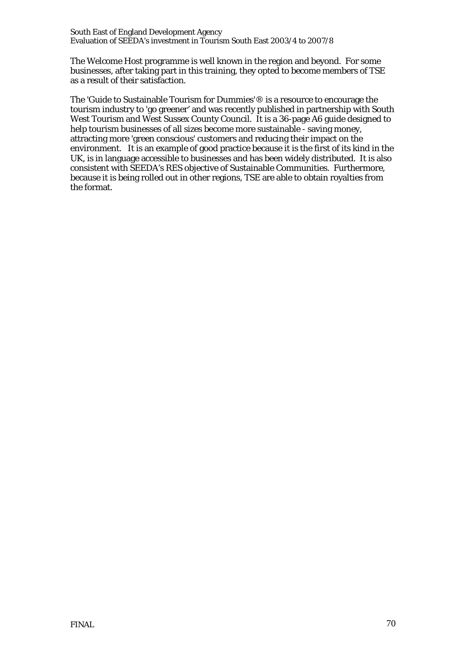The Welcome Host programme is well known in the region and beyond. For some businesses, after taking part in this training, they opted to become members of TSE as a result of their satisfaction.

The 'Guide to Sustainable Tourism for Dummies'® is a resource to encourage the tourism industry to 'go greener' and was recently published in partnership with South West Tourism and West Sussex County Council. It is a 36-page A6 guide designed to help tourism businesses of all sizes become more sustainable - saving money, attracting more 'green conscious' customers and reducing their impact on the environment. It is an example of good practice because it is the first of its kind in the UK, is in language accessible to businesses and has been widely distributed. It is also consistent with SEEDA's RES objective of Sustainable Communities. Furthermore, because it is being rolled out in other regions, TSE are able to obtain royalties from the format.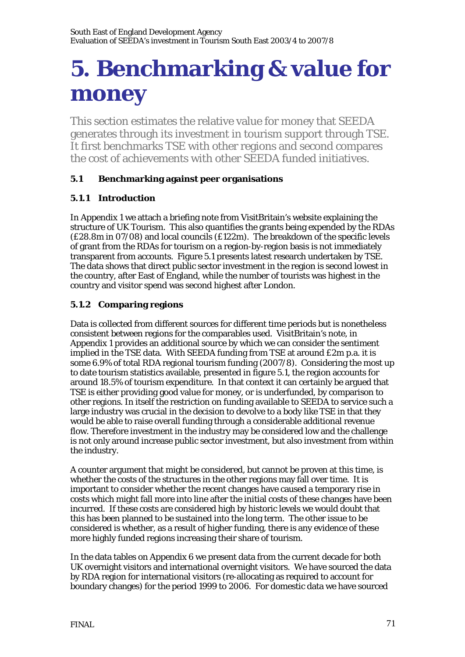# **5. Benchmarking & value for money**

This section estimates the relative value for money that SEEDA generates through its investment in tourism support through TSE. It first benchmarks TSE with other regions and second compares the cost of achievements with other SEEDA funded initiatives.

# **5.1 Benchmarking against peer organisations**

# **5.1.1 Introduction**

In Appendix 1 we attach a briefing note from VisitBritain's website explaining the structure of UK Tourism. This also quantifies the grants being expended by the RDAs (£28.8m in 07/08) and local councils (£122m). The breakdown of the specific levels of grant from the RDAs for tourism on a region-by-region basis is not immediately transparent from accounts. Figure 5.1 presents latest research undertaken by TSE. The data shows that direct public sector investment in the region is second lowest in the country, after East of England, while the number of tourists was highest in the country and visitor spend was second highest after London.

# **5.1.2 Comparing regions**

Data is collected from different sources for different time periods but is nonetheless consistent between regions for the comparables used. VisitBritain's note, in Appendix 1 provides an additional source by which we can consider the sentiment implied in the TSE data. With SEEDA funding from TSE at around £2m p.a. it is some 6.9% of total RDA regional tourism funding (2007/8). Considering the most up to date tourism statistics available, presented in figure 5.1, the region accounts for around 18.5% of tourism expenditure. In that context it can certainly be argued that TSE is either providing good value for money, or is underfunded, by comparison to other regions. In itself the restriction on funding available to SEEDA to service such a large industry was crucial in the decision to devolve to a body like TSE in that they would be able to raise overall funding through a considerable additional revenue flow. Therefore investment in the industry may be considered low and the challenge is not only around increase public sector investment, but also investment from within the industry.

A counter argument that might be considered, but cannot be proven at this time, is whether the costs of the structures in the other regions may fall over time. It is important to consider whether the recent changes have caused a temporary rise in costs which might fall more into line after the initial costs of these changes have been incurred. If these costs are considered high by historic levels we would doubt that this has been planned to be sustained into the long term. The other issue to be considered is whether, as a result of higher funding, there is any evidence of these more highly funded regions increasing their share of tourism.

In the data tables on Appendix 6 we present data from the current decade for both UK overnight visitors and international overnight visitors. We have sourced the data by RDA region for international visitors (re-allocating as required to account for boundary changes) for the period 1999 to 2006. For domestic data we have sourced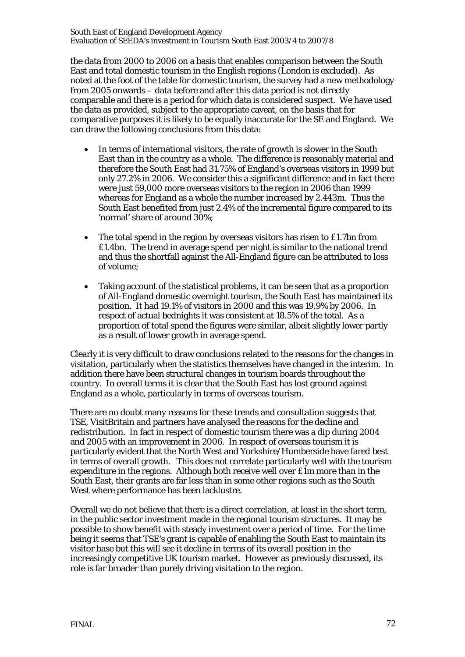South East of England Development Agency Evaluation of SEEDA's investment in Tourism South East 2003/4 to 2007/8

the data from 2000 to 2006 on a basis that enables comparison between the South East and total domestic tourism in the English regions (London is excluded). As noted at the foot of the table for domestic tourism, the survey had a new methodology from 2005 onwards – data before and after this data period is not directly comparable and there is a period for which data is considered suspect. We have used the data as provided, subject to the appropriate caveat, on the basis that for comparative purposes it is likely to be equally inaccurate for the SE and England. We can draw the following conclusions from this data:

- In terms of international visitors, the rate of growth is slower in the South East than in the country as a whole. The difference is reasonably material and therefore the South East had 31.75% of England's overseas visitors in 1999 but only 27.2% in 2006. We consider this a significant difference and in fact there were just 59,000 more overseas visitors to the region in 2006 than 1999 whereas for England as a whole the number increased by 2.443m. Thus the South East benefited from just 2.4% of the incremental figure compared to its 'normal' share of around 30%;
- The total spend in the region by overseas visitors has risen to £1.7bn from £1.4bn. The trend in average spend per night is similar to the national trend and thus the shortfall against the All-England figure can be attributed to loss of volume;
- Taking account of the statistical problems, it can be seen that as a proportion of All-England domestic overnight tourism, the South East has maintained its position. It had 19.1% of visitors in 2000 and this was 19.9% by 2006. In respect of actual bednights it was consistent at 18.5% of the total. As a proportion of total spend the figures were similar, albeit slightly lower partly as a result of lower growth in average spend.

Clearly it is very difficult to draw conclusions related to the reasons for the changes in visitation, particularly when the statistics themselves have changed in the interim. In addition there have been structural changes in tourism boards throughout the country. In overall terms it is clear that the South East has lost ground against England as a whole, particularly in terms of overseas tourism.

There are no doubt many reasons for these trends and consultation suggests that TSE, VisitBritain and partners have analysed the reasons for the decline and redistribution. In fact in respect of domestic tourism there was a dip during 2004 and 2005 with an improvement in 2006. In respect of overseas tourism it is particularly evident that the North West and Yorkshire/Humberside have fared best in terms of overall growth. This does not correlate particularly well with the tourism expenditure in the regions. Although both receive well over £1m more than in the South East, their grants are far less than in some other regions such as the South West where performance has been lacklustre.

Overall we do not believe that there is a direct correlation, at least in the short term, in the public sector investment made in the regional tourism structures. It may be possible to show benefit with steady investment over a period of time. For the time being it seems that TSE's grant is capable of enabling the South East to maintain its visitor base but this will see it decline in terms of its overall position in the increasingly competitive UK tourism market. However as previously discussed, its role is far broader than purely driving visitation to the region.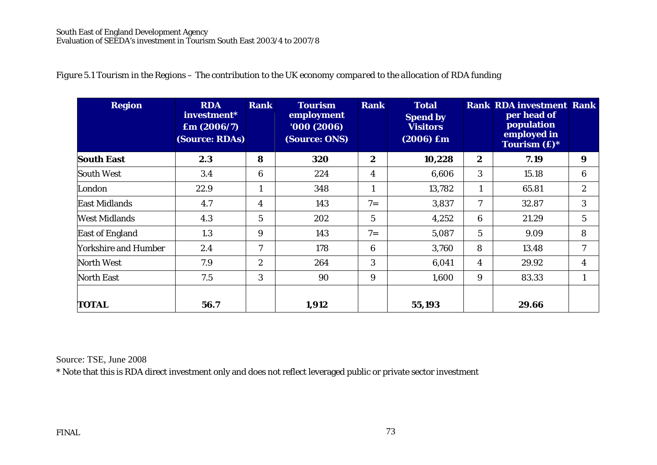| <b>Region</b>               | <b>RDA</b><br>investment*<br>$\mathbf{Em} (2006/7)$<br>(Source: RDAs) | <b>Rank</b>      | <b>Tourism</b><br>employment<br>'000(2006)<br>(Source: ONS) | <b>Rank</b>             | <b>Total</b><br><b>Spend by</b><br><b>Visitors</b><br>$(2006)$ £m |                  | <b>Rank RDA investment Rank</b><br>per head of<br>population<br>employed in<br>Tourism $(f^*)^*$ |                |
|-----------------------------|-----------------------------------------------------------------------|------------------|-------------------------------------------------------------|-------------------------|-------------------------------------------------------------------|------------------|--------------------------------------------------------------------------------------------------|----------------|
| <b>South East</b>           | 2.3                                                                   | 8                | 320                                                         | $\boldsymbol{2}$        | 10,228                                                            | $\boldsymbol{2}$ | 7.19                                                                                             | 9              |
| <b>South West</b>           | 3.4                                                                   | 6                | 224                                                         | $\overline{\mathbf{4}}$ | 6,606                                                             | 3                | 15.18                                                                                            | 6              |
| London                      | 22.9                                                                  | 1                | 348                                                         | $\mathbf{1}$            | 13,782                                                            | 1                | 65.81                                                                                            | $\mathbf{2}$   |
| <b>East Midlands</b>        | 4.7                                                                   | 4                | 143                                                         | $7 =$                   | 3,837                                                             | 7                | 32.87                                                                                            | 3              |
| <b>West Midlands</b>        | 4.3                                                                   | $5\overline{)}$  | 202                                                         | 5                       | 4,252                                                             | 6                | 21.29                                                                                            | $\overline{5}$ |
| <b>East of England</b>      | 1.3                                                                   | 9                | 143                                                         | $7 =$                   | 5,087                                                             | $5\overline{)}$  | 9.09                                                                                             | 8              |
| <b>Yorkshire and Humber</b> | 2.4                                                                   | 7                | 178                                                         | 6                       | 3,760                                                             | 8                | 13.48                                                                                            | 7              |
| <b>North West</b>           | 7.9                                                                   | $\boldsymbol{2}$ | 264                                                         | 3                       | 6,041                                                             | 4                | 29.92                                                                                            | 4              |
| <b>North East</b>           | 7.5                                                                   | 3                | 90                                                          | 9                       | 1,600                                                             | 9                | 83.33                                                                                            | 1              |
| <b>TOTAL</b>                | 56.7                                                                  |                  | 1,912                                                       |                         | 55,193                                                            |                  | 29.66                                                                                            |                |

Source: TSE, June 2008

\* Note that this is RDA direct investment only and does not reflect leveraged public or private sector investment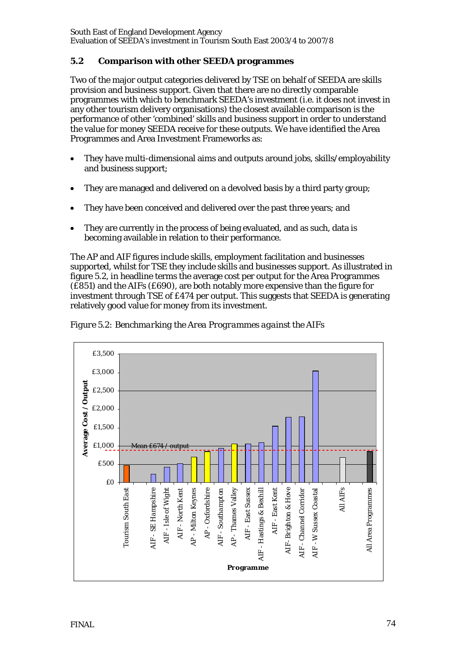# **5.2 Comparison with other SEEDA programmes**

Two of the major output categories delivered by TSE on behalf of SEEDA are skills provision and business support. Given that there are no directly comparable programmes with which to benchmark SEEDA's investment (i.e. it does not invest in any other tourism delivery organisations) the closest available comparison is the performance of other 'combined' skills and business support in order to understand the value for money SEEDA receive for these outputs. We have identified the Area Programmes and Area Investment Frameworks as:

- They have multi-dimensional aims and outputs around jobs, skills/employability and business support;
- They are managed and delivered on a devolved basis by a third party group;
- They have been conceived and delivered over the past three years; and
- They are currently in the process of being evaluated, and as such, data is becoming available in relation to their performance.

The AP and AIF figures include skills, employment facilitation and businesses supported, whilst for TSE they include skills and businesses support. As illustrated in figure 5.2, in headline terms the average cost per output for the Area Programmes (£851) and the AIFs (£690), are both notably more expensive than the figure for investment through TSE of £474 per output. This suggests that SEEDA is generating relatively good value for money from its investment.



*Figure 5.2: Benchmarking the Area Programmes against the AIFs*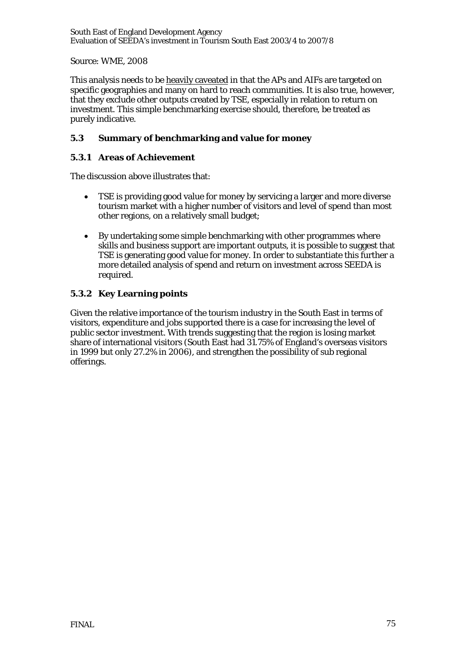South East of England Development Agency Evaluation of SEEDA's investment in Tourism South East 2003/4 to 2007/8

Source: WME, 2008

This analysis needs to be heavily caveated in that the APs and AIFs are targeted on specific geographies and many on hard to reach communities. It is also true, however, that they exclude other outputs created by TSE, especially in relation to return on investment. This simple benchmarking exercise should, therefore, be treated as purely indicative.

# **5.3 Summary of benchmarking and value for money**

# **5.3.1 Areas of Achievement**

The discussion above illustrates that:

- TSE is providing good value for money by servicing a larger and more diverse tourism market with a higher number of visitors and level of spend than most other regions, on a relatively small budget;
- By undertaking some simple benchmarking with other programmes where skills and business support are important outputs, it is possible to suggest that TSE is generating good value for money. In order to substantiate this further a more detailed analysis of spend and return on investment across SEEDA is required.

# **5.3.2 Key Learning points**

Given the relative importance of the tourism industry in the South East in terms of visitors, expenditure and jobs supported there is a case for increasing the level of public sector investment. With trends suggesting that the region is losing market share of international visitors (South East had 31.75% of England's overseas visitors in 1999 but only 27.2% in 2006), and strengthen the possibility of sub regional offerings.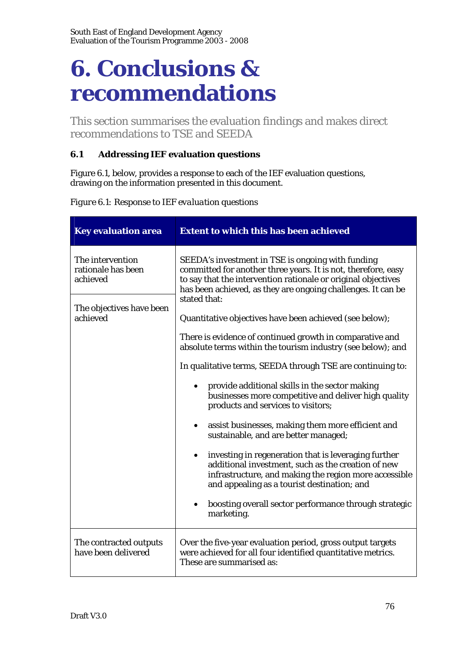# **6. Conclusions & recommendations**

This section summarises the evaluation findings and makes direct recommendations to TSE and SEEDA

# **6.1 Addressing IEF evaluation questions**

Figure 6.1, below, provides a response to each of the IEF evaluation questions, drawing on the information presented in this document.

| <b>Key evaluation area</b>                         | <b>Extent to which this has been achieved</b>                                                                                                                                                                                                       |
|----------------------------------------------------|-----------------------------------------------------------------------------------------------------------------------------------------------------------------------------------------------------------------------------------------------------|
| The intervention<br>rationale has been<br>achieved | SEEDA's investment in TSE is ongoing with funding<br>committed for another three years. It is not, therefore, easy<br>to say that the intervention rationale or original objectives<br>has been achieved, as they are ongoing challenges. It can be |
| The objectives have been<br>achieved               | stated that:<br>Quantitative objectives have been achieved (see below);                                                                                                                                                                             |
|                                                    | There is evidence of continued growth in comparative and<br>absolute terms within the tourism industry (see below); and                                                                                                                             |
|                                                    | In qualitative terms, SEEDA through TSE are continuing to:                                                                                                                                                                                          |
|                                                    | provide additional skills in the sector making<br>businesses more competitive and deliver high quality<br>products and services to visitors;                                                                                                        |
|                                                    | assist businesses, making them more efficient and<br>sustainable, and are better managed;                                                                                                                                                           |
|                                                    | investing in regeneration that is leveraging further<br>additional investment, such as the creation of new<br>infrastructure, and making the region more accessible<br>and appealing as a tourist destination; and                                  |
|                                                    | boosting overall sector performance through strategic<br>marketing.                                                                                                                                                                                 |
| The contracted outputs<br>have been delivered      | Over the five-year evaluation period, gross output targets<br>were achieved for all four identified quantitative metrics.<br>These are summarised as:                                                                                               |

*Figure 6.1: Response to IEF evaluation questions*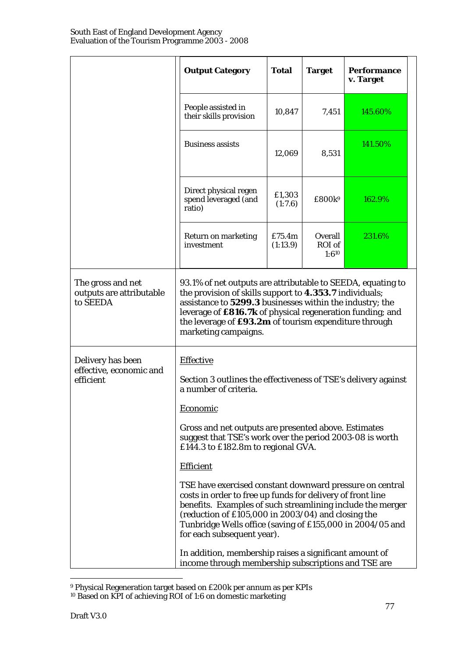|                                                           | <b>Output Category</b>                                                                                                                                                                                                                                                                                                                                                                                                                                                                                                                 | <b>Total</b>       | <b>Target</b>                   | <b>Performance</b><br>v. Target |  |  |  |
|-----------------------------------------------------------|----------------------------------------------------------------------------------------------------------------------------------------------------------------------------------------------------------------------------------------------------------------------------------------------------------------------------------------------------------------------------------------------------------------------------------------------------------------------------------------------------------------------------------------|--------------------|---------------------------------|---------------------------------|--|--|--|
|                                                           | People assisted in<br>their skills provision                                                                                                                                                                                                                                                                                                                                                                                                                                                                                           | 10,847             | 7,451                           | 145.60%                         |  |  |  |
|                                                           | <b>Business assists</b>                                                                                                                                                                                                                                                                                                                                                                                                                                                                                                                | 12,069             | 8,531                           | 141.50%                         |  |  |  |
|                                                           | Direct physical regen<br>spend leveraged (and<br>ratio)                                                                                                                                                                                                                                                                                                                                                                                                                                                                                | £1,303<br>(1:7.6)  | £800k <sup>9</sup>              | 162.9%                          |  |  |  |
|                                                           | <b>Return on marketing</b><br>investment                                                                                                                                                                                                                                                                                                                                                                                                                                                                                               | £75.4m<br>(1:13.9) | Overall<br>ROI of<br>$1:6^{10}$ | 231.6%                          |  |  |  |
| The gross and net<br>outputs are attributable<br>to SEEDA | 93.1% of net outputs are attributable to SEEDA, equating to<br>the provision of skills support to 4.353.7 individuals;<br>assistance to 5299.3 businesses within the industry; the<br>leverage of £816.7k of physical regeneration funding; and<br>the leverage of £93.2m of tourism expenditure through<br>marketing campaigns.                                                                                                                                                                                                       |                    |                                 |                                 |  |  |  |
| Delivery has been<br>effective, economic and<br>efficient | <b>Effective</b><br>Section 3 outlines the effectiveness of TSE's delivery against<br>a number of criteria.                                                                                                                                                                                                                                                                                                                                                                                                                            |                    |                                 |                                 |  |  |  |
|                                                           | <b>Economic</b><br>Gross and net outputs are presented above. Estimates<br>suggest that TSE's work over the period 2003-08 is worth<br>£144.3 to £182.8m to regional GVA.<br><b>Efficient</b><br>TSE have exercised constant downward pressure on central<br>costs in order to free up funds for delivery of front line<br>benefits. Examples of such streamlining include the merger<br>(reduction of £105,000 in 2003/04) and closing the<br>Tunbridge Wells office (saving of £155,000 in 2004/05 and<br>for each subsequent year). |                    |                                 |                                 |  |  |  |
|                                                           |                                                                                                                                                                                                                                                                                                                                                                                                                                                                                                                                        |                    |                                 |                                 |  |  |  |
|                                                           | In addition, membership raises a significant amount of<br>income through membership subscriptions and TSE are                                                                                                                                                                                                                                                                                                                                                                                                                          |                    |                                 |                                 |  |  |  |

<sup>9</sup> Physical Regeneration target based on £200k per annum as per KPIs 10 Based on KPI of achieving ROI of 1:6 on domestic marketing

 $\overline{a}$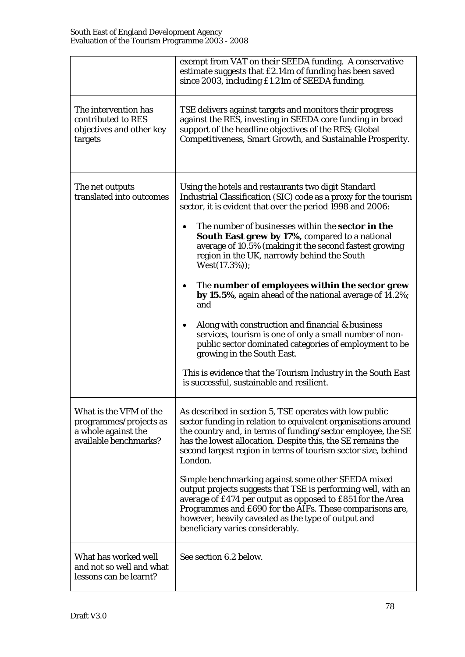|                                                                                                  | exempt from VAT on their SEEDA funding. A conservative<br>estimate suggests that £2.14m of funding has been saved<br>since 2003, including £1.21m of SEEDA funding.                                                                                                                                                                      |
|--------------------------------------------------------------------------------------------------|------------------------------------------------------------------------------------------------------------------------------------------------------------------------------------------------------------------------------------------------------------------------------------------------------------------------------------------|
| The intervention has<br>contributed to RES<br>objectives and other key<br>targets                | TSE delivers against targets and monitors their progress<br>against the RES, investing in SEEDA core funding in broad<br>support of the headline objectives of the RES; Global<br>Competitiveness, Smart Growth, and Sustainable Prosperity.                                                                                             |
| The net outputs<br>translated into outcomes                                                      | Using the hotels and restaurants two digit Standard<br>Industrial Classification (SIC) code as a proxy for the tourism<br>sector, it is evident that over the period 1998 and 2006:                                                                                                                                                      |
|                                                                                                  | The number of businesses within the <b>sector in the</b><br>South East grew by 17%, compared to a national<br>average of 10.5% (making it the second fastest growing<br>region in the UK, narrowly behind the South<br>$West(17.3\%));$                                                                                                  |
|                                                                                                  | The number of employees within the sector grew<br>by 15.5%, again ahead of the national average of 14.2%;<br>and                                                                                                                                                                                                                         |
|                                                                                                  | Along with construction and financial $\&$ business<br>services, tourism is one of only a small number of non-<br>public sector dominated categories of employment to be<br>growing in the South East.                                                                                                                                   |
|                                                                                                  | This is evidence that the Tourism Industry in the South East<br>is successful, sustainable and resilient.                                                                                                                                                                                                                                |
| What is the VFM of the<br>programmes/projects as<br>a whole against the<br>available benchmarks? | As described in section 5, TSE operates with low public<br>sector funding in relation to equivalent organisations around<br>the country and, in terms of funding/sector employee, the SE<br>has the lowest allocation. Despite this, the SE remains the<br>second largest region in terms of tourism sector size, behind<br>London.      |
|                                                                                                  | Simple benchmarking against some other SEEDA mixed<br>output projects suggests that TSE is performing well, with an<br>average of £474 per output as opposed to £851 for the Area<br>Programmes and £690 for the AIFs. These comparisons are,<br>however, heavily caveated as the type of output and<br>beneficiary varies considerably. |
| What has worked well<br>and not so well and what<br>lessons can be learnt?                       | See section 6.2 below.                                                                                                                                                                                                                                                                                                                   |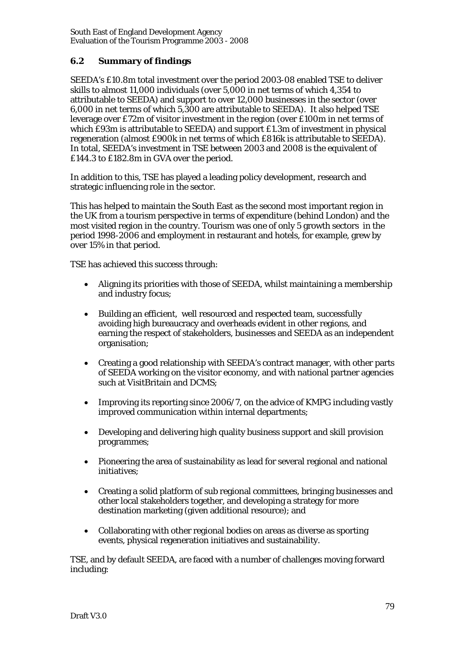# **6.2 Summary of findings**

SEEDA's £10.8m total investment over the period 2003-08 enabled TSE to deliver skills to almost 11,000 individuals (over 5,000 in net terms of which 4,354 to attributable to SEEDA) and support to over 12,000 businesses in the sector (over 6,000 in net terms of which 5,300 are attributable to SEEDA). It also helped TSE leverage over £72m of visitor investment in the region (over £100m in net terms of which £93m is attributable to SEEDA) and support £1.3m of investment in physical regeneration (almost £900k in net terms of which £816k is attributable to SEEDA). In total, SEEDA's investment in TSE between 2003 and 2008 is the equivalent of £144.3 to £182.8m in GVA over the period.

In addition to this, TSE has played a leading policy development, research and strategic influencing role in the sector.

This has helped to maintain the South East as the second most important region in the UK from a tourism perspective in terms of expenditure (behind London) and the most visited region in the country. Tourism was one of only 5 growth sectors in the period 1998-2006 and employment in restaurant and hotels, for example, grew by over 15% in that period.

TSE has achieved this success through:

- Aligning its priorities with those of SEEDA, whilst maintaining a membership and industry focus;
- Building an efficient, well resourced and respected team, successfully avoiding high bureaucracy and overheads evident in other regions, and earning the respect of stakeholders, businesses and SEEDA as an independent organisation;
- Creating a good relationship with SEEDA's contract manager, with other parts of SEEDA working on the visitor economy, and with national partner agencies such at VisitBritain and DCMS;
- Improving its reporting since 2006/7, on the advice of KMPG including vastly improved communication within internal departments;
- Developing and delivering high quality business support and skill provision programmes;
- Pioneering the area of sustainability as lead for several regional and national initiatives;
- Creating a solid platform of sub regional committees, bringing businesses and other local stakeholders together, and developing a strategy for more destination marketing (given additional resource); and
- Collaborating with other regional bodies on areas as diverse as sporting events, physical regeneration initiatives and sustainability.

TSE, and by default SEEDA, are faced with a number of challenges moving forward including: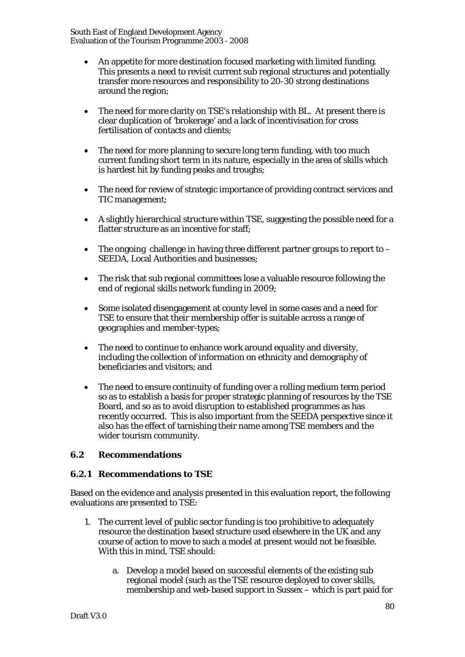South East of England Development Agency Evaluation of the Tourism Programme 2003 - 2008

- An appetite for more destination focused marketing with limited funding. This presents a need to revisit current sub regional structures and potentially transfer more resources and responsibility to 20-30 strong destinations around the region;
- The need for more clarity on TSE's relationship with BL. At present there is clear duplication of 'brokerage' and a lack of incentivisation for cross fertilisation of contacts and clients;
- The need for more planning to secure long term funding, with too much current funding short term in its nature, especially in the area of skills which is hardest hit by funding peaks and troughs;
- The need for review of strategic importance of providing contract services and TIC management;
- A slightly hierarchical structure within TSE, suggesting the possible need for a flatter structure as an incentive for staff;
- The ongoing challenge in having three different partner groups to report to  $-$ SEEDA, Local Authorities and businesses;
- The risk that sub regional committees lose a valuable resource following the end of regional skills network funding in 2009;
- Some isolated disengagement at county level in some cases and a need for TSE to ensure that their membership offer is suitable across a range of geographies and member-types;
- The need to continue to enhance work around equality and diversity, including the collection of information on ethnicity and demography of beneficiaries and visitors; and
- The need to ensure continuity of funding over a rolling medium term period so as to establish a basis for proper strategic planning of resources by the TSE Board, and so as to avoid disruption to established programmes as has recently occurred. This is also important from the SEEDA perspective since it also has the effect of tarnishing their name among TSE members and the wider tourism community.

# **6.2 Recommendations**

# **6.2.1 Recommendations to TSE**

Based on the evidence and analysis presented in this evaluation report, the following evaluations are presented to TSE:

- 1. The current level of public sector funding is too prohibitive to adequately resource the destination based structure used elsewhere in the UK and any course of action to move to such a model at present would not be feasible. With this in mind, TSE should:
	- a. Develop a model based on successful elements of the existing sub regional model (such as the TSE resource deployed to cover skills, membership and web-based support in Sussex – which is part paid for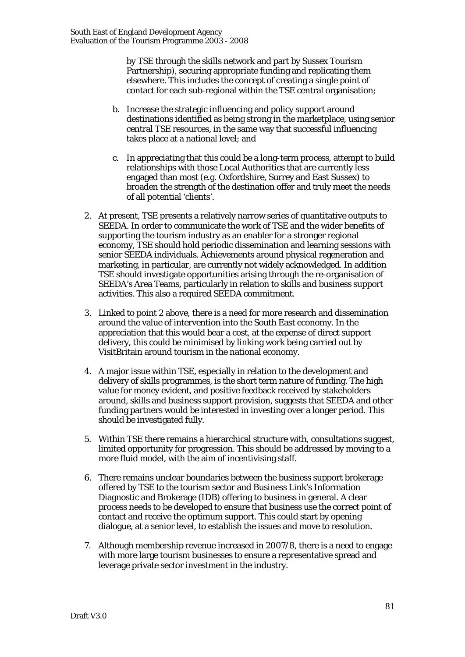by TSE through the skills network and part by Sussex Tourism Partnership), securing appropriate funding and replicating them elsewhere. This includes the concept of creating a single point of contact for each sub-regional within the TSE central organisation;

- b. Increase the strategic influencing and policy support around destinations identified as being strong in the marketplace, using senior central TSE resources, in the same way that successful influencing takes place at a national level; and
- c. In appreciating that this could be a long-term process, attempt to build relationships with those Local Authorities that are currently less engaged than most (e.g. Oxfordshire, Surrey and East Sussex) to broaden the strength of the destination offer and truly meet the needs of all potential 'clients'.
- 2. At present, TSE presents a relatively narrow series of quantitative outputs to SEEDA. In order to communicate the work of TSE and the wider benefits of supporting the tourism industry as an enabler for a stronger regional economy, TSE should hold periodic dissemination and learning sessions with senior SEEDA individuals. Achievements around physical regeneration and marketing, in particular, are currently not widely acknowledged. In addition TSE should investigate opportunities arising through the re-organisation of SEEDA's Area Teams, particularly in relation to skills and business support activities. This also a required SEEDA commitment.
- 3. Linked to point 2 above, there is a need for more research and dissemination around the value of intervention into the South East economy. In the appreciation that this would bear a cost, at the expense of direct support delivery, this could be minimised by linking work being carried out by VisitBritain around tourism in the national economy.
- 4. A major issue within TSE, especially in relation to the development and delivery of skills programmes, is the short term nature of funding. The high value for money evident, and positive feedback received by stakeholders around, skills and business support provision, suggests that SEEDA and other funding partners would be interested in investing over a longer period. This should be investigated fully.
- 5. Within TSE there remains a hierarchical structure with, consultations suggest, limited opportunity for progression. This should be addressed by moving to a more fluid model, with the aim of incentivising staff.
- 6. There remains unclear boundaries between the business support brokerage offered by TSE to the tourism sector and Business Link's Information Diagnostic and Brokerage (IDB) offering to business in general. A clear process needs to be developed to ensure that business use the correct point of contact and receive the optimum support. This could start by opening dialogue, at a senior level, to establish the issues and move to resolution.
- 7. Although membership revenue increased in 2007/8, there is a need to engage with more large tourism businesses to ensure a representative spread and leverage private sector investment in the industry.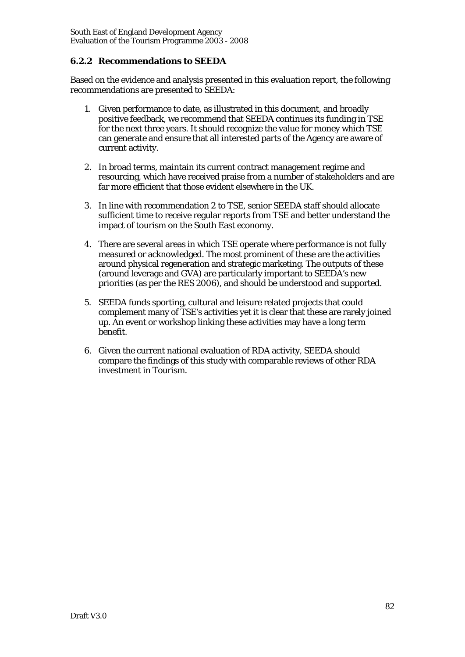# **6.2.2 Recommendations to SEEDA**

Based on the evidence and analysis presented in this evaluation report, the following recommendations are presented to SEEDA:

- 1. Given performance to date, as illustrated in this document, and broadly positive feedback, we recommend that SEEDA continues its funding in TSE for the next three years. It should recognize the value for money which TSE can generate and ensure that all interested parts of the Agency are aware of current activity.
- 2. In broad terms, maintain its current contract management regime and resourcing, which have received praise from a number of stakeholders and are far more efficient that those evident elsewhere in the UK.
- 3. In line with recommendation 2 to TSE, senior SEEDA staff should allocate sufficient time to receive regular reports from TSE and better understand the impact of tourism on the South East economy.
- 4. There are several areas in which TSE operate where performance is not fully measured or acknowledged. The most prominent of these are the activities around physical regeneration and strategic marketing. The outputs of these (around leverage and GVA) are particularly important to SEEDA's new priorities (as per the RES 2006), and should be understood and supported.
- 5. SEEDA funds sporting, cultural and leisure related projects that could complement many of TSE's activities yet it is clear that these are rarely joined up. An event or workshop linking these activities may have a long term benefit.
- 6. Given the current national evaluation of RDA activity, SEEDA should compare the findings of this study with comparable reviews of other RDA investment in Tourism.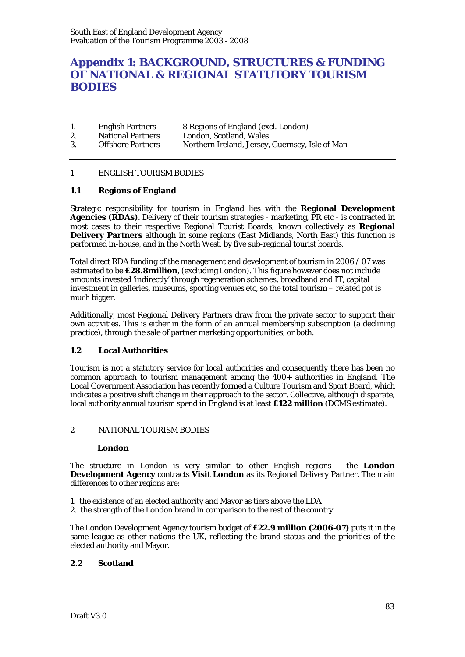# **Appendix 1: BACKGROUND, STRUCTURES & FUNDING OF NATIONAL & REGIONAL STATUTORY TOURISM BODIES**

|    | <b>English Partners</b>  | 8 Regions of England (excl. London)             |
|----|--------------------------|-------------------------------------------------|
| 2. | <b>National Partners</b> | London, Scotland, Wales                         |
| 3. | <b>Offshore Partners</b> | Northern Ireland, Jersey, Guernsey, Isle of Man |

#### 1 ENGLISH TOURISM BODIES

#### **1.1 Regions of England**

Strategic responsibility for tourism in England lies with the **Regional Development Agencies (RDAs)**. Delivery of their tourism strategies - marketing, PR etc - is contracted in most cases to their respective Regional Tourist Boards, known collectively as **Regional Delivery Partners** although in some regions (East Midlands, North East) this function is performed in-house, and in the North West, by five sub-regional tourist boards.

Total direct RDA funding of the management and development of tourism in 2006 / 07 was estimated to be **£28.8million**, (excluding London). This figure however does not include amounts invested 'indirectly' through regeneration schemes, broadband and IT, capital investment in galleries, museums, sporting venues etc, so the total tourism – related pot is much bigger.

Additionally, most Regional Delivery Partners draw from the private sector to support their own activities. This is either in the form of an annual membership subscription (a declining practice), through the sale of partner marketing opportunities, or both.

#### **1.2 Local Authorities**

Tourism is not a statutory service for local authorities and consequently there has been no common approach to tourism management among the 400+ authorities in England. The Local Government Association has recently formed a Culture Tourism and Sport Board, which indicates a positive shift change in their approach to the sector. Collective, although disparate, local authority annual tourism spend in England is at least **£122 million** (DCMS estimate).

#### 2 NATIONAL TOURISM BODIES

#### **London**

The structure in London is very similar to other English regions - the **London Development Agency** contracts **Visit London** as its Regional Delivery Partner. The main differences to other regions are:

- 1. the existence of an elected authority and Mayor as tiers above the LDA
- 2. the strength of the London brand in comparison to the rest of the country.

The London Development Agency tourism budget of **£22.9 million (2006-07)** puts it in the same league as other nations the UK, reflecting the brand status and the priorities of the elected authority and Mayor.

#### **2.2 Scotland**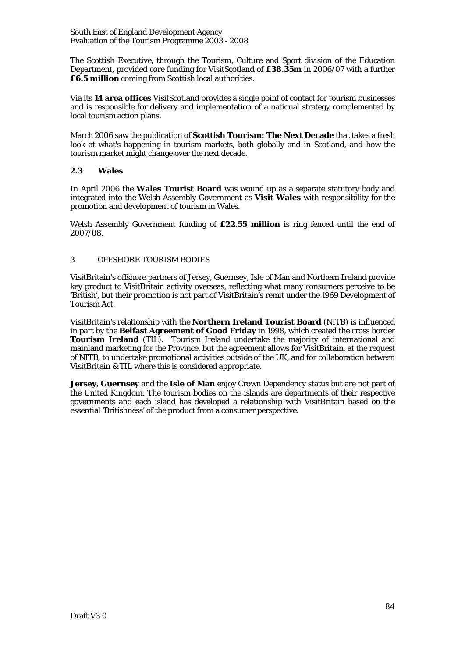South East of England Development Agency Evaluation of the Tourism Programme 2003 - 2008

The Scottish Executive, through the Tourism, Culture and Sport division of the Education Department, provided core funding for VisitScotland of **£38.35m** in 2006/07 with a further **£6.5 million** coming from Scottish local authorities.

Via its **14 area offices** VisitScotland provides a single point of contact for tourism businesses and is responsible for delivery and implementation of a national strategy complemented by local tourism action plans.

March 2006 saw the publication of **Scottish Tourism: The Next Decade** that takes a fresh look at what's happening in tourism markets, both globally and in Scotland, and how the tourism market might change over the next decade.

#### **2.3 Wales**

In April 2006 the **Wales Tourist Board** was wound up as a separate statutory body and integrated into the Welsh Assembly Government as **Visit Wales** with responsibility for the promotion and development of tourism in Wales.

Welsh Assembly Government funding of **£22.55 million** is ring fenced until the end of 2007/08.

#### 3 OFFSHORE TOURISM BODIES

VisitBritain's offshore partners of Jersey, Guernsey, Isle of Man and Northern Ireland provide key product to VisitBritain activity overseas, reflecting what many consumers perceive to be 'British', but their promotion is not part of VisitBritain's remit under the 1969 Development of Tourism Act.

VisitBritain's relationship with the **Northern Ireland Tourist Board** (NITB) is influenced in part by the **Belfast Agreement of Good Friday** in 1998, which created the cross border **Tourism Ireland** (TIL). Tourism Ireland undertake the majority of international and mainland marketing for the Province, but the agreement allows for VisitBritain, at the request of NITB, to undertake promotional activities outside of the UK, and for collaboration between VisitBritain & TIL where this is considered appropriate.

**Jersey**, **Guernsey** and the **Isle of Man** enjoy Crown Dependency status but are not part of the United Kingdom. The tourism bodies on the islands are departments of their respective governments and each island has developed a relationship with VisitBritain based on the essential 'Britishness' of the product from a consumer perspective.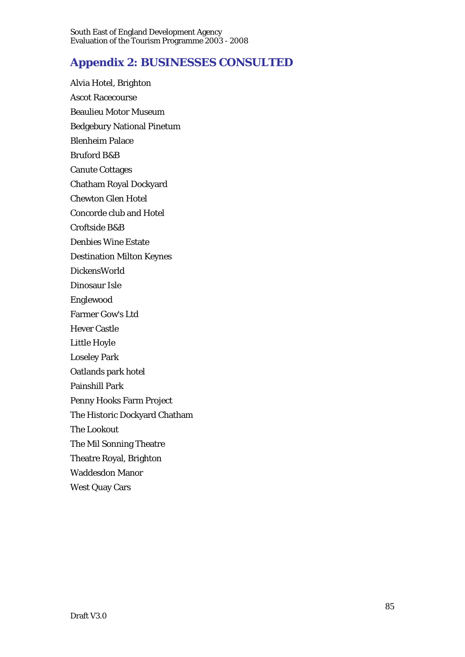# **Appendix 2: BUSINESSES CONSULTED**

Alvia Hotel, Brighton Ascot Racecourse Beaulieu Motor Museum Bedgebury National Pinetum Blenheim Palace Bruford B&B Canute Cottages Chatham Royal Dockyard Chewton Glen Hotel Concorde club and Hotel Croftside B&B Denbies Wine Estate Destination Milton Keynes DickensWorld Dinosaur Isle Englewood Farmer Gow's Ltd Hever Castle Little Hoyle Loseley Park Oatlands park hotel Painshill Park Penny Hooks Farm Project The Historic Dockyard Chatham The Lookout The Mil Sonning Theatre Theatre Royal, Brighton Waddesdon Manor West Quay Cars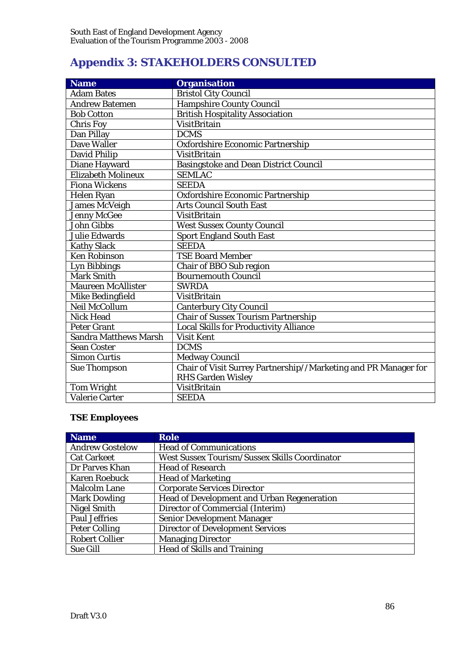# **Appendix 3: STAKEHOLDERS CONSULTED**

| <b>Name</b>                  | <b>Organisation</b>                                             |
|------------------------------|-----------------------------------------------------------------|
| <b>Adam Bates</b>            | <b>Bristol City Council</b>                                     |
| <b>Andrew Batemen</b>        | <b>Hampshire County Council</b>                                 |
| <b>Bob Cotton</b>            | <b>British Hospitality Association</b>                          |
| <b>Chris Foy</b>             | <b>VisitBritain</b>                                             |
| Dan Pillay                   | <b>DCMS</b>                                                     |
| Dave Waller                  | Oxfordshire Economic Partnership                                |
| <b>David Philip</b>          | <b>VisitBritain</b>                                             |
| Diane Hayward                | <b>Basingstoke and Dean District Council</b>                    |
| Elizabeth Molineux           | <b>SEMLAC</b>                                                   |
| <b>Fiona Wickens</b>         | <b>SEEDA</b>                                                    |
| Helen Ryan                   | Oxfordshire Economic Partnership                                |
| <b>James McVeigh</b>         | <b>Arts Council South East</b>                                  |
| <b>Jenny McGee</b>           | <b>VisitBritain</b>                                             |
| <b>John Gibbs</b>            | <b>West Sussex County Council</b>                               |
| <b>Julie Edwards</b>         | <b>Sport England South East</b>                                 |
| <b>Kathy Slack</b>           | <b>SEEDA</b>                                                    |
| <b>Ken Robinson</b>          | <b>TSE Board Member</b>                                         |
| <b>Lyn Bibbings</b>          | Chair of BBO Sub region                                         |
| <b>Mark Smith</b>            | <b>Bournemouth Council</b>                                      |
| <b>Maureen McAllister</b>    | <b>SWRDA</b>                                                    |
| Mike Bedingfield             | <b>VisitBritain</b>                                             |
| Neil McCollum                | <b>Canterbury City Council</b>                                  |
| Nick Head                    | <b>Chair of Sussex Tourism Partnership</b>                      |
| <b>Peter Grant</b>           | <b>Local Skills for Productivity Alliance</b>                   |
| <b>Sandra Matthews Marsh</b> | <b>Visit Kent</b>                                               |
| <b>Sean Coster</b>           | <b>DCMS</b>                                                     |
| <b>Simon Curtis</b>          | <b>Medway Council</b>                                           |
| <b>Sue Thompson</b>          | Chair of Visit Surrey Partnership//Marketing and PR Manager for |
|                              | <b>RHS Garden Wisley</b>                                        |
| <b>Tom Wright</b>            | <b>VisitBritain</b>                                             |
| <b>Valerie Carter</b>        | <b>SEEDA</b>                                                    |

# **TSE Employees**

| <b>Name</b>            | <b>Role</b>                                          |
|------------------------|------------------------------------------------------|
| <b>Andrew Gostelow</b> | <b>Head of Communications</b>                        |
| <b>Cat Carkeet</b>     | <b>West Sussex Tourism/Sussex Skills Coordinator</b> |
| Dr Parves Khan         | <b>Head of Research</b>                              |
| <b>Karen Roebuck</b>   | <b>Head of Marketing</b>                             |
| <b>Malcolm Lane</b>    | <b>Corporate Services Director</b>                   |
| <b>Mark Dowling</b>    | Head of Development and Urban Regeneration           |
| <b>Nigel Smith</b>     | Director of Commercial (Interim)                     |
| <b>Paul Jeffries</b>   | <b>Senior Development Manager</b>                    |
| <b>Peter Colling</b>   | <b>Director of Development Services</b>              |
| <b>Robert Collier</b>  | <b>Managing Director</b>                             |
| <b>Sue Gill</b>        | <b>Head of Skills and Training</b>                   |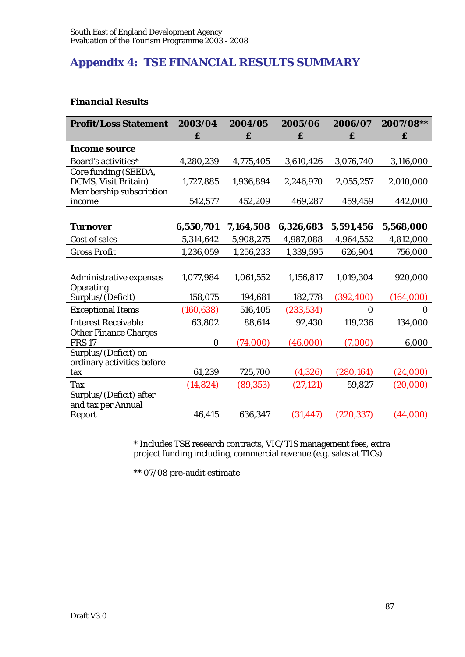# **Appendix 4: TSE FINANCIAL RESULTS SUMMARY**

# *Financial Results*

| <b>Profit/Loss Statement</b>   | 2003/04          | 2004/05   | 2005/06    | 2006/07    | 2007/08** |
|--------------------------------|------------------|-----------|------------|------------|-----------|
|                                | £                | £         | £          | £          | £         |
| <b>Income source</b>           |                  |           |            |            |           |
| Board's activities*            | 4,280,239        | 4,775,405 | 3,610,426  | 3,076,740  | 3,116,000 |
| Core funding (SEEDA,           |                  |           |            |            |           |
| DCMS, Visit Britain)           | 1,727,885        | 1,936,894 | 2,246,970  | 2,055,257  | 2,010,000 |
| Membership subscription        |                  |           |            |            |           |
| income                         | 542,577          | 452,209   | 469,287    | 459,459    | 442,000   |
|                                |                  |           |            |            |           |
| <b>Turnover</b>                | 6,550,701        | 7,164,508 | 6,326,683  | 5,591,456  | 5,568,000 |
| Cost of sales                  | 5,314,642        | 5,908,275 | 4,987,088  | 4,964,552  | 4,812,000 |
| <b>Gross Profit</b>            | 1,236,059        | 1,256,233 | 1,339,595  | 626,904    | 756,000   |
|                                |                  |           |            |            |           |
| <b>Administrative expenses</b> | 1,077,984        | 1,061,552 | 1,156,817  | 1,019,304  | 920,000   |
| Operating                      |                  |           |            |            |           |
| Surplus/(Deficit)              | 158,075          | 194,681   | 182,778    | (392, 400) | (164,000) |
| <b>Exceptional Items</b>       | (160, 638)       | 516,405   | (233, 534) | $\Omega$   | 0         |
| <b>Interest Receivable</b>     | 63,802           | 88,614    | 92,430     | 119,236    | 134,000   |
| <b>Other Finance Charges</b>   |                  |           |            |            |           |
| <b>FRS 17</b>                  | $\boldsymbol{0}$ | (74,000)  | (46,000)   | (7,000)    | 6,000     |
| Surplus/(Deficit) on           |                  |           |            |            |           |
| ordinary activities before     |                  |           |            |            |           |
| tax                            | 61,239           | 725,700   | (4,326)    | (280, 164) | (24,000)  |
| <b>Tax</b>                     | (14, 824)        | (89, 353) | (27, 121)  | 59,827     | (20,000)  |
| Surplus/(Deficit) after        |                  |           |            |            |           |
| and tax per Annual             |                  |           |            |            |           |
| Report                         | 46,415           | 636,347   | (31, 447)  | (220, 337) | (44,000)  |

\* Includes TSE research contracts, VIC/TIS management fees, extra project funding including, commercial revenue (e.g. sales at TICs)

\*\* 07/08 pre-audit estimate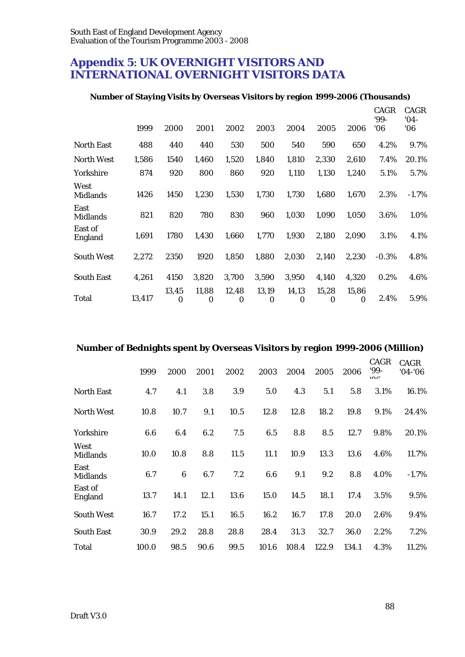# **Appendix 5**: **UK OVERNIGHT VISITORS AND INTERNATIONAL OVERNIGHT VISITORS DATA**

# **Number of Staying Visits by Overseas Visitors by region 1999-2006 (Thousands)**

|                         | 1999   | 2000              | 2001       | 2002              | 2003              | 2004                      | 2005              | 2006              | <b>CAGR</b><br>'99-<br>06' | <b>CAGR</b><br>$'04-$<br>06 |
|-------------------------|--------|-------------------|------------|-------------------|-------------------|---------------------------|-------------------|-------------------|----------------------------|-----------------------------|
| <b>North East</b>       | 488    | 440               | 440        | 530               | 500               | 540                       | 590               | 650               | 4.2%                       | 9.7%                        |
| <b>North West</b>       | 1,586  | 1540              | 1,460      | 1,520             | 1,840             | 1,810                     | 2,330             | 2,610             | 7.4%                       | 20.1%                       |
| Yorkshire               | 874    | 920               | 800        | 860               | 920               | 1,110                     | 1,130             | 1,240             | 5.1%                       | 5.7%                        |
| West<br><b>Midlands</b> | 1426   | 1450              | 1,230      | 1,530             | 1,730             | 1,730                     | 1,680             | 1,670             | 2.3%                       | $-1.7%$                     |
| East<br><b>Midlands</b> | 821    | 820               | 780        | 830               | 960               | 1,030                     | 1,090             | 1,050             | 3.6%                       | 1.0%                        |
| East of<br>England      | 1,691  | 1780              | 1,430      | 1,660             | 1,770             | 1,930                     | 2,180             | 2,090             | 3.1%                       | 4.1%                        |
| <b>South West</b>       | 2,272  | 2350              | 1920       | 1,850             | 1,880             | 2,030                     | 2,140             | 2,230             | $-0.3%$                    | 4.8%                        |
| <b>South East</b>       | 4,261  | 4150              | 3,820      | 3,700             | 3,590             | 3,950                     | 4,140             | 4,320             | 0.2%                       | 4.6%                        |
| Total                   | 13,417 | 13,45<br>$\Omega$ | 11,88<br>0 | 12,48<br>$\Omega$ | 13,19<br>$\bf{0}$ | 14,13<br>$\boldsymbol{0}$ | 15,28<br>$\Omega$ | 15,86<br>$\Omega$ | 2.4%                       | 5.9%                        |

# **Number of Bednights spent by Overseas Visitors by region 1999-2006 (Million)**

|                         | 1999  | 2000    | 2001 | 2002 | 2003  | 2004  | 2005  | 2006  | CAGR<br>'99-<br>0 <sup>0</sup> | CAGR<br>$'04 - '06$ |
|-------------------------|-------|---------|------|------|-------|-------|-------|-------|--------------------------------|---------------------|
| <b>North East</b>       | 4.7   | 4.1     | 3.8  | 3.9  | 5.0   | 4.3   | 5.1   | 5.8   | 3.1%                           | 16.1%               |
| <b>North West</b>       | 10.8  | 10.7    | 9.1  | 10.5 | 12.8  | 12.8  | 18.2  | 19.8  | 9.1%                           | 24.4%               |
| Yorkshire               | 6.6   | 6.4     | 6.2  | 7.5  | 6.5   | 8.8   | 8.5   | 12.7  | 9.8%                           | 20.1%               |
| West<br><b>Midlands</b> | 10.0  | 10.8    | 8.8  | 11.5 | 11.1  | 10.9  | 13.3  | 13.6  | 4.6%                           | 11.7%               |
| East<br><b>Midlands</b> | 6.7   | $\bf 6$ | 6.7  | 7.2  | 6.6   | 9.1   | 9.2   | 8.8   | 4.0%                           | $-1.7%$             |
| East of<br>England      | 13.7  | 14.1    | 12.1 | 13.6 | 15.0  | 14.5  | 18.1  | 17.4  | 3.5%                           | 9.5%                |
| <b>South West</b>       | 16.7  | 17.2    | 15.1 | 16.5 | 16.2  | 16.7  | 17.8  | 20.0  | 2.6%                           | 9.4%                |
| <b>South East</b>       | 30.9  | 29.2    | 28.8 | 28.8 | 28.4  | 31.3  | 32.7  | 36.0  | 2.2%                           | 7.2%                |
| <b>Total</b>            | 100.0 | 98.5    | 90.6 | 99.5 | 101.6 | 108.4 | 122.9 | 134.1 | 4.3%                           | 11.2%               |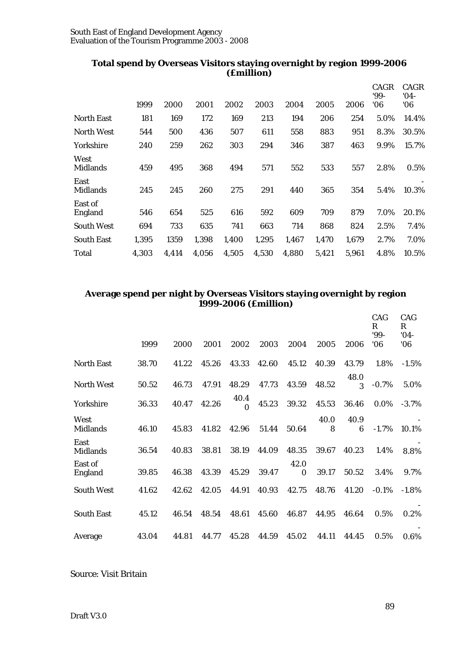|                         |       |       |       |       | $($ ~~~~~~~~~~ |       |       |       |                     |                       |
|-------------------------|-------|-------|-------|-------|----------------|-------|-------|-------|---------------------|-----------------------|
|                         | 1999  | 2000  | 2001  | 2002  | 2003           | 2004  | 2005  | 2006  | CAGR<br>'99-<br>'06 | CAGR<br>$'04-$<br>'06 |
| <b>North East</b>       | 181   | 169   | 172   | 169   | 213            | 194   | 206   | 254   | 5.0%                | 14.4%                 |
| <b>North West</b>       | 544   | 500   | 436   | 507   | 611            | 558   | 883   | 951   | 8.3%                | 30.5%                 |
| Yorkshire               | 240   | 259   | 262   | 303   | 294            | 346   | 387   | 463   | 9.9%                | 15.7%                 |
| West<br><b>Midlands</b> | 459   | 495   | 368   | 494   | 571            | 552   | 533   | 557   | 2.8%                | 0.5%                  |
| East<br><b>Midlands</b> | 245   | 245   | 260   | 275   | 291            | 440   | 365   | 354   | 5.4%                | 10.3%                 |
| East of<br>England      | 546   | 654   | 525   | 616   | 592            | 609   | 709   | 879   | 7.0%                | 20.1%                 |
| <b>South West</b>       | 694   | 733   | 635   | 741   | 663            | 714   | 868   | 824   | 2.5%                | 7.4%                  |
| <b>South East</b>       | 1,395 | 1359  | 1,398 | 1,400 | 1,295          | 1,467 | 1,470 | 1,679 | 2.7%                | 7.0%                  |
| Total                   | 4.303 | 4.414 | 4.056 | 4,505 | 4,530          | 4,880 | 5,421 | 5.961 | 4.8%                | 10.5%                 |

# **Total spend by Overseas Visitors staying overnight by region 1999-2006 (£million)**

# **Average spend per night by Overseas Visitors staying overnight by region 1999-2006 (£million)**

|                         | 1999  | 2000  | 2001  | 2002             | 2003  | 2004             | 2005      | 2006      | CAG<br>R<br>'99-<br>06' | CAG<br>R<br>$'04-$<br>06' |
|-------------------------|-------|-------|-------|------------------|-------|------------------|-----------|-----------|-------------------------|---------------------------|
| <b>North East</b>       | 38.70 | 41.22 | 45.26 | 43.33            | 42.60 | 45.12            | 40.39     | 43.79     | 1.8%                    | $-1.5%$                   |
| <b>North West</b>       | 50.52 | 46.73 | 47.91 | 48.29            | 47.73 | 43.59            | 48.52     | 48.0<br>3 | $-0.7\%$                | 5.0%                      |
| Yorkshire               | 36.33 | 40.47 | 42.26 | 40.4<br>$\Omega$ | 45.23 | 39.32            | 45.53     | 36.46     | $0.0\%$                 | $-3.7%$                   |
| West<br><b>Midlands</b> | 46.10 | 45.83 | 41.82 | 42.96            | 51.44 | 50.64            | 40.0<br>8 | 40.9<br>6 | $-1.7\%$                | 10.1%                     |
| East<br><b>Midlands</b> | 36.54 | 40.83 | 38.81 | 38.19            | 44.09 | 48.35            | 39.67     | 40.23     | 1.4%                    | 8.8%                      |
| East of<br>England      | 39.85 | 46.38 | 43.39 | 45.29            | 39.47 | 42.0<br>$\Omega$ | 39.17     | 50.52     | 3.4%                    | 9.7%                      |
| <b>South West</b>       | 41.62 | 42.62 | 42.05 | 44.91            | 40.93 | 42.75            | 48.76     | 41.20     | $-0.1\%$                | $-1.8%$                   |
| <b>South East</b>       | 45.12 | 46.54 | 48.54 | 48.61            | 45.60 | 46.87            | 44.95     | 46.64     | 0.5%                    | 0.2%                      |
| Average                 | 43.04 | 44.81 | 44.77 | 45.28            | 44.59 | 45.02            | 44.11     | 44.45     | 0.5%                    | 0.6%                      |

Source: Visit Britain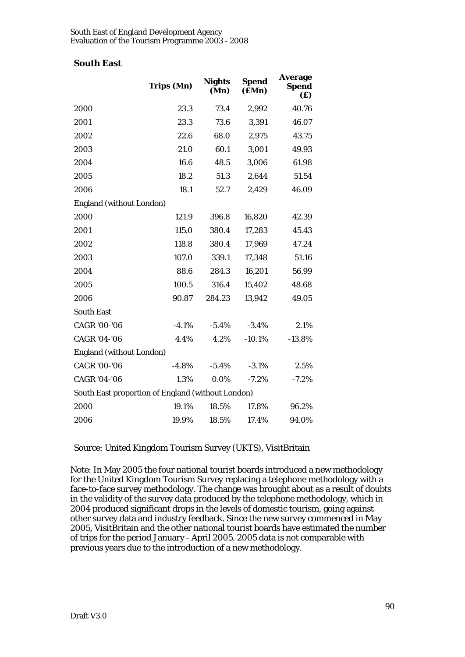# **South East**

|                                                   | <b>Trips (Mn)</b> | <b>Nights</b><br>(Mn) | <b>Spend</b><br>$(\mathbf{fMn})$ | <b>Average</b><br>Spend<br>(£) |  |  |
|---------------------------------------------------|-------------------|-----------------------|----------------------------------|--------------------------------|--|--|
| 2000                                              | 23.3              | 73.4                  | 2,992                            | 40.76                          |  |  |
| 2001                                              | 23.3              | 73.6                  | 3,391                            | 46.07                          |  |  |
| 2002                                              | 22.6              | 68.0                  | 2,975                            | 43.75                          |  |  |
| 2003                                              | 21.0              | 60.1                  | 3,001                            | 49.93                          |  |  |
| 2004                                              | 16.6              | 48.5                  | 3,006                            | 61.98                          |  |  |
| 2005                                              | 18.2              | 51.3                  | 2,644                            | 51.54                          |  |  |
| 2006                                              | 18.1              | 52.7                  | 2,429                            | 46.09                          |  |  |
| <b>England (without London)</b>                   |                   |                       |                                  |                                |  |  |
| 2000                                              | 121.9             | 396.8                 | 16,820                           | 42.39                          |  |  |
| 2001                                              | 115.0             | 380.4                 | 17,283                           | 45.43                          |  |  |
| 2002                                              | 118.8             | 380.4                 | 17,969                           | 47.24                          |  |  |
| 2003                                              | 107.0             | 339.1                 | 17,348                           | 51.16                          |  |  |
| 2004                                              | 88.6              | 284.3                 | 16,201                           | 56.99                          |  |  |
| 2005                                              | 100.5             | 316.4                 | 15,402                           | 48.68                          |  |  |
| 2006                                              | 90.87             | 284.23                | 13,942                           | 49.05                          |  |  |
| <b>South East</b>                                 |                   |                       |                                  |                                |  |  |
| <b>CAGR '00-'06</b>                               | $-4.1%$           | $-5.4%$               | $-3.4%$                          | 2.1%                           |  |  |
| <b>CAGR '04-'06</b>                               | 4.4%              | 4.2%                  | $-10.1%$                         | $-13.8%$                       |  |  |
| <b>England (without London)</b>                   |                   |                       |                                  |                                |  |  |
| <b>CAGR '00-'06</b>                               | $-4.8\%$          | $-5.4\%$              | $-3.1%$                          | 2.5%                           |  |  |
| <b>CAGR '04-'06</b>                               | 1.3%              | 0.0%                  | $-7.2%$                          | $-7.2%$                        |  |  |
| South East proportion of England (without London) |                   |                       |                                  |                                |  |  |
| 2000                                              | 19.1%             | 18.5%                 | 17.8%                            | 96.2%                          |  |  |
| 2006                                              | 19.9%             | 18.5%                 | 17.4%                            | 94.0%                          |  |  |

Source: United Kingdom Tourism Survey (UKTS), VisitBritain

Note: In May 2005 the four national tourist boards introduced a new methodology for the United Kingdom Tourism Survey replacing a telephone methodology with a face-to-face survey methodology. The change was brought about as a result of doubts in the validity of the survey data produced by the telephone methodology, which in 2004 produced significant drops in the levels of domestic tourism, going against other survey data and industry feedback. Since the new survey commenced in May 2005, VisitBritain and the other national tourist boards have estimated the number of trips for the period January - April 2005. 2005 data is not comparable with previous years due to the introduction of a new methodology.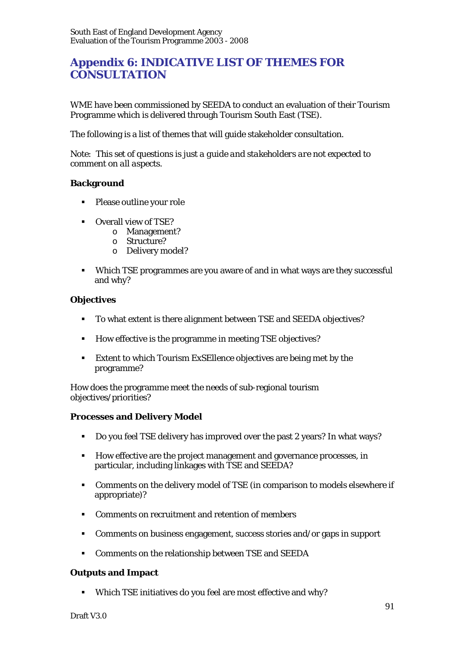# **Appendix 6: INDICATIVE LIST OF THEMES FOR CONSULTATION**

WME have been commissioned by SEEDA to conduct an evaluation of their Tourism Programme which is delivered through Tourism South East (TSE).

The following is a list of themes that will guide stakeholder consultation.

*Note: This set of questions is just a guide and stakeholders are not expected to comment on all aspects.* 

#### **Background**

- Please outline your role
- Overall view of TSE?
	- o Management?
	- o Structure?
	- o Delivery model?
- Which TSE programmes are you aware of and in what ways are they successful and why?

#### **Objectives**

- To what extent is there alignment between TSE and SEEDA objectives?
- How effective is the programme in meeting TSE objectives?
- Extent to which Tourism ExSEllence objectives are being met by the programme?

How does the programme meet the needs of sub-regional tourism objectives/priorities?

#### **Processes and Delivery Model**

- Do you feel TSE delivery has improved over the past 2 years? In what ways?
- How effective are the project management and governance processes, in particular, including linkages with TSE and SEEDA?
- Comments on the delivery model of TSE (in comparison to models elsewhere if appropriate)?
- Comments on recruitment and retention of members
- Comments on business engagement, success stories and/or gaps in support
- Comments on the relationship between TSE and SEEDA

# **Outputs and Impact**

Which TSE initiatives do you feel are most effective and why?

Draft V3.0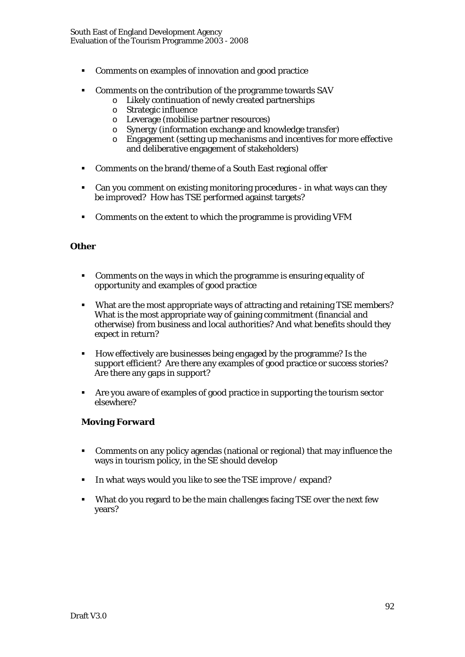- Comments on examples of innovation and good practice
- Comments on the contribution of the programme towards SAV
	- o Likely continuation of newly created partnerships
	- o Strategic influence
	- o Leverage (mobilise partner resources)
	- o Synergy (information exchange and knowledge transfer)
	- o Engagement (setting up mechanisms and incentives for more effective and deliberative engagement of stakeholders)
- Comments on the brand/theme of a South East regional offer
- Can you comment on existing monitoring procedures in what ways can they be improved? How has TSE performed against targets?
- Comments on the extent to which the programme is providing VFM

# **Other**

- Comments on the ways in which the programme is ensuring equality of opportunity and examples of good practice
- What are the most appropriate ways of attracting and retaining TSE members? What is the most appropriate way of gaining commitment (financial and otherwise) from business and local authorities? And what benefits should they expect in return?
- How effectively are businesses being engaged by the programme? Is the support efficient? Are there any examples of good practice or success stories? Are there any gaps in support?
- Are you aware of examples of good practice in supporting the tourism sector elsewhere?

# **Moving Forward**

- Comments on any policy agendas (national or regional) that may influence the ways in tourism policy, in the SE should develop
- In what ways would you like to see the TSE improve  $/$  expand?
- What do you regard to be the main challenges facing TSE over the next few years?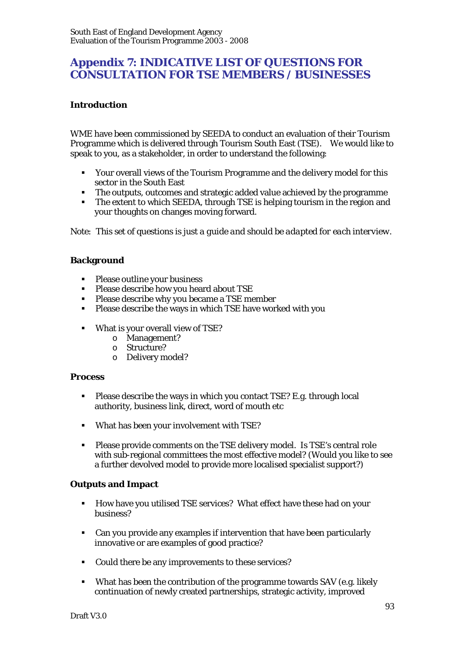# **Appendix 7: INDICATIVE LIST OF QUESTIONS FOR CONSULTATION FOR TSE MEMBERS / BUSINESSES**

# **Introduction**

WME have been commissioned by SEEDA to conduct an evaluation of their Tourism Programme which is delivered through Tourism South East (TSE). We would like to speak to you, as a stakeholder, in order to understand the following:

- Your overall views of the Tourism Programme and the delivery model for this sector in the South East
- The outputs, outcomes and strategic added value achieved by the programme
- The extent to which SEEDA, through TSE is helping tourism in the region and your thoughts on changes moving forward.

*Note: This set of questions is just a guide and should be adapted for each interview.* 

# **Background**

- **Please outline your business**<br>**Please describe how you heat**
- Please describe how you heard about TSE
- **Please describe why you became a TSE member**
- Please describe the ways in which TSE have worked with you
- What is your overall view of TSE?
	- o Management?
	- o Structure?
	- o Delivery model?

#### **Process**

- **Please describe the ways in which you contact TSE? E.g. through local** authority, business link, direct, word of mouth etc
- What has been your involvement with TSE?
- Please provide comments on the TSE delivery model. Is TSE's central role with sub-regional committees the most effective model? (Would you like to see a further devolved model to provide more localised specialist support?)

# **Outputs and Impact**

- How have you utilised TSE services? What effect have these had on your business?
- Can you provide any examples if intervention that have been particularly innovative or are examples of good practice?
- Could there be any improvements to these services?
- What has been the contribution of the programme towards SAV (e.g. likely continuation of newly created partnerships, strategic activity, improved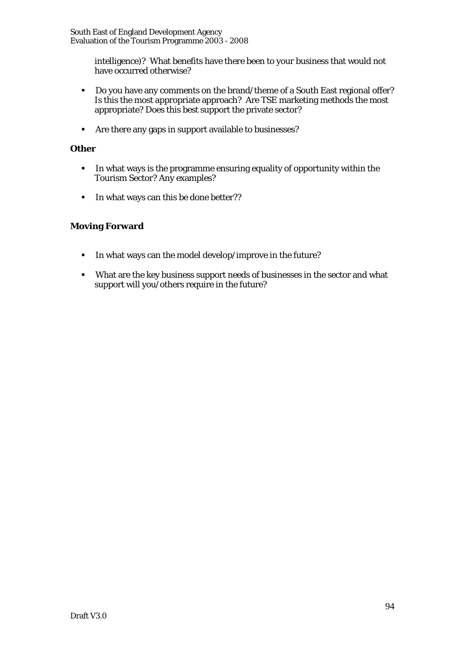South East of England Development Agency Evaluation of the Tourism Programme 2003 - 2008

> intelligence)? What benefits have there been to your business that would not have occurred otherwise?

- Do you have any comments on the brand/theme of a South East regional offer? Is this the most appropriate approach? Are TSE marketing methods the most appropriate? Does this best support the private sector?
- Are there any gaps in support available to businesses?

# **Other**

- In what ways is the programme ensuring equality of opportunity within the Tourism Sector? Any examples?
- In what ways can this be done better??

# **Moving Forward**

- In what ways can the model develop/improve in the future?
- What are the key business support needs of businesses in the sector and what support will you/others require in the future?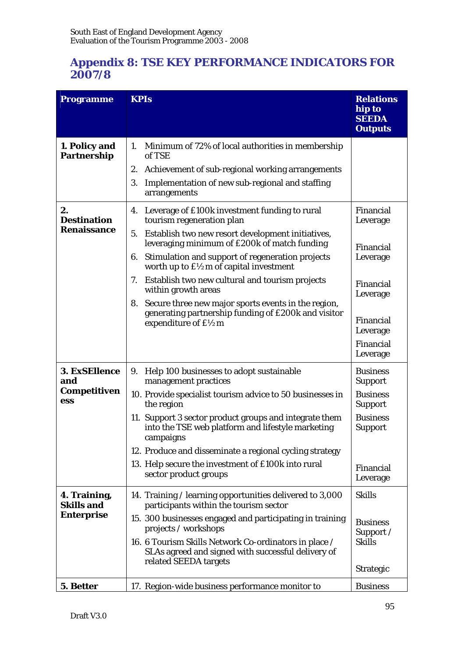# **Appendix 8: TSE KEY PERFORMANCE INDICATORS FOR 2007/8**

| <b>Programme</b>                                       | <b>KPIs</b>                                                                                                                                                                                                                                                                                                                                                                                                                                                                                                                           | <b>Relations</b><br>hip to<br><b>SEEDA</b><br><b>Outputs</b>                                                                         |
|--------------------------------------------------------|---------------------------------------------------------------------------------------------------------------------------------------------------------------------------------------------------------------------------------------------------------------------------------------------------------------------------------------------------------------------------------------------------------------------------------------------------------------------------------------------------------------------------------------|--------------------------------------------------------------------------------------------------------------------------------------|
| 1. Policy and<br><b>Partnership</b>                    | Minimum of 72% of local authorities in membership<br>1.<br>of TSE<br>2. Achievement of sub-regional working arrangements<br>Implementation of new sub-regional and staffing<br>3.<br>arrangements                                                                                                                                                                                                                                                                                                                                     |                                                                                                                                      |
| 2.<br><b>Destination</b><br><b>Renaissance</b>         | 4. Leverage of £100k investment funding to rural<br>tourism regeneration plan<br>Establish two new resort development initiatives,<br>5.<br>leveraging minimum of £200k of match funding<br>Stimulation and support of regeneration projects<br>6.<br>worth up to $f\mathcal{L}$ m of capital investment<br>Establish two new cultural and tourism projects<br>7.<br>within growth areas<br>8. Secure three new major sports events in the region,<br>generating partnership funding of £200k and visitor<br>expenditure of $f\$ {2m} |                                                                                                                                      |
| 3. ExSEllence<br>and<br><b>Competitiven</b><br>ess     | Help 100 businesses to adopt sustainable<br>9.<br>management practices<br>10. Provide specialist tourism advice to 50 businesses in<br>the region<br>11. Support 3 sector product groups and integrate them<br>into the TSE web platform and lifestyle marketing<br>campaigns<br>12. Produce and disseminate a regional cycling strategy<br>13. Help secure the investment of £100k into rural<br>sector product groups                                                                                                               | <b>Business</b><br><b>Support</b><br><b>Business</b><br><b>Support</b><br><b>Business</b><br><b>Support</b><br>Financial<br>Leverage |
| 4. Training,<br><b>Skills and</b><br><b>Enterprise</b> | 14. Training / learning opportunities delivered to 3,000<br>participants within the tourism sector<br>15. 300 businesses engaged and participating in training<br>projects / workshops<br>16. 6 Tourism Skills Network Co-ordinators in place /<br>SLAs agreed and signed with successful delivery of<br>related SEEDA targets                                                                                                                                                                                                        | <b>Skills</b><br><b>Business</b><br>Support /<br><b>Skills</b><br><b>Strategic</b>                                                   |
| 5. Better                                              | 17. Region-wide business performance monitor to                                                                                                                                                                                                                                                                                                                                                                                                                                                                                       | <b>Business</b>                                                                                                                      |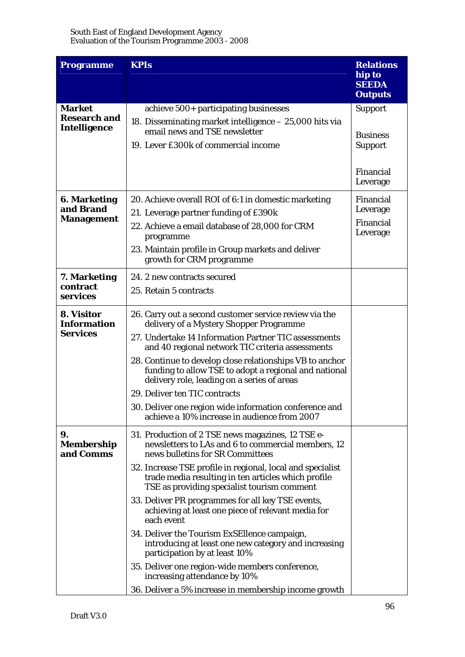| <b>Programme</b>                                            | <b>KPIs</b>                                                                                                                                                                                                                                                                                                                                                                                                                                                                                                                                                                                                                                                                                                                   | <b>Relations</b>                                                             |
|-------------------------------------------------------------|-------------------------------------------------------------------------------------------------------------------------------------------------------------------------------------------------------------------------------------------------------------------------------------------------------------------------------------------------------------------------------------------------------------------------------------------------------------------------------------------------------------------------------------------------------------------------------------------------------------------------------------------------------------------------------------------------------------------------------|------------------------------------------------------------------------------|
|                                                             |                                                                                                                                                                                                                                                                                                                                                                                                                                                                                                                                                                                                                                                                                                                               | hip to<br><b>SEEDA</b><br><b>Outputs</b>                                     |
| <b>Market</b><br><b>Research and</b><br><b>Intelligence</b> | achieve 500+ participating businesses<br>18. Disseminating market intelligence - 25,000 hits via<br>email news and TSE newsletter<br>19. Lever £300k of commercial income                                                                                                                                                                                                                                                                                                                                                                                                                                                                                                                                                     | <b>Support</b><br><b>Business</b><br><b>Support</b><br>Financial<br>Leverage |
| <b>6. Marketing</b><br>and Brand<br><b>Management</b>       | 20. Achieve overall ROI of 6:1 in domestic marketing<br>21. Leverage partner funding of £390k<br>22. Achieve a email database of 28,000 for CRM<br>programme<br>23. Maintain profile in Group markets and deliver<br>growth for CRM programme                                                                                                                                                                                                                                                                                                                                                                                                                                                                                 | Financial<br>Leverage<br>Financial<br>Leverage                               |
| 7. Marketing<br>contract<br>services                        | 24. 2 new contracts secured<br>25. Retain 5 contracts                                                                                                                                                                                                                                                                                                                                                                                                                                                                                                                                                                                                                                                                         |                                                                              |
| 8. Visitor<br><b>Information</b><br><b>Services</b>         | 26. Carry out a second customer service review via the<br>delivery of a Mystery Shopper Programme<br>27. Undertake 14 Information Partner TIC assessments<br>and 40 regional network TIC criteria assessments<br>28. Continue to develop close relationships VB to anchor<br>funding to allow TSE to adopt a regional and national<br>delivery role, leading on a series of areas<br>29. Deliver ten TIC contracts<br>30. Deliver one region wide information conference and<br>achieve a 10% increase in audience from 2007                                                                                                                                                                                                  |                                                                              |
| 9.<br><b>Membership</b><br>and Comms                        | 31. Production of 2 TSE news magazines, 12 TSE e-<br>newsletters to LAs and 6 to commercial members, 12<br>news bulletins for SR Committees<br>32. Increase TSE profile in regional, local and specialist<br>trade media resulting in ten articles which profile<br>TSE as providing specialist tourism comment<br>33. Deliver PR programmes for all key TSE events,<br>achieving at least one piece of relevant media for<br>each event<br>34. Deliver the Tourism ExSEllence campaign,<br>introducing at least one new category and increasing<br>participation by at least 10%<br>35. Deliver one region-wide members conference,<br>increasing attendance by 10%<br>36. Deliver a 5% increase in membership income growth |                                                                              |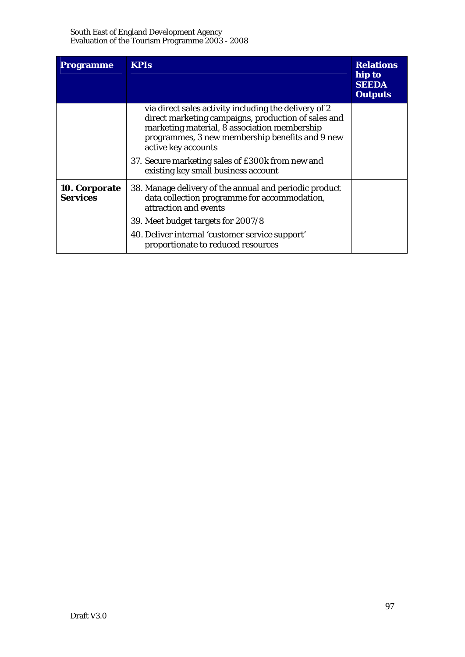| <b>Programme</b>                 | <b>KPIs</b>                                                                                                                                                                                                                                                                                                                       |  |
|----------------------------------|-----------------------------------------------------------------------------------------------------------------------------------------------------------------------------------------------------------------------------------------------------------------------------------------------------------------------------------|--|
|                                  | via direct sales activity including the delivery of 2<br>direct marketing campaigns, production of sales and<br>marketing material, 8 association membership<br>programmes, 3 new membership benefits and 9 new<br>active key accounts<br>37. Secure marketing sales of £300k from new and<br>existing key small business account |  |
| 10. Corporate<br><b>Services</b> | 38. Manage delivery of the annual and periodic product<br>data collection programme for accommodation,<br>attraction and events                                                                                                                                                                                                   |  |
|                                  | 39. Meet budget targets for 2007/8                                                                                                                                                                                                                                                                                                |  |
|                                  | 40. Deliver internal 'customer service support'<br>proportionate to reduced resources                                                                                                                                                                                                                                             |  |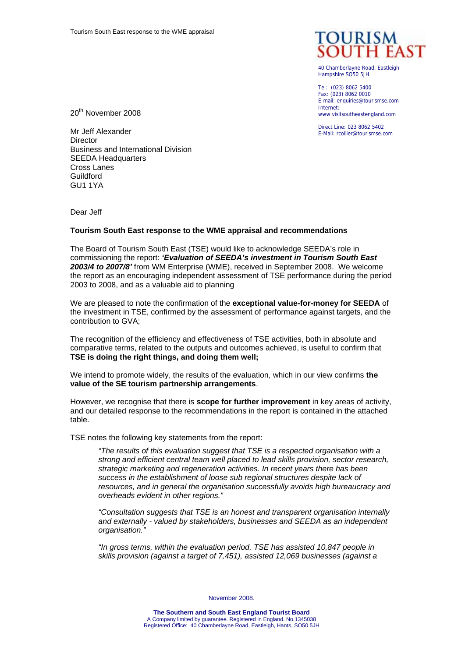

40 Chamberlayne Road, Eastleigh Hampshire SO50 5JH

Tel: (023) 8062 5400 Fax: (023) 8062 0010 E-mail: enquiries@tourismse.com Internet: www.visitsoutheastengland.com

Direct Line: 023 8062 5402 E-Mail: rcollier@tourismse.com

20<sup>th</sup> November 2008

Mr Jeff Alexander **Director** Business and International Division SEEDA Headquarters Cross Lanes Guildford **GU1 1YA** 

Dear Jeff

#### **Tourism South East response to the WME appraisal and recommendations**

The Board of Tourism South East (TSE) would like to acknowledge SEEDA's role in commissioning the report: *'Evaluation of SEEDA's investment in Tourism South East 2003/4 to 2007/8'* from WM Enterprise (WME), received in September 2008. We welcome the report as an encouraging independent assessment of TSE performance during the period 2003 to 2008, and as a valuable aid to planning

We are pleased to note the confirmation of the **exceptional value-for-money for SEEDA** of the investment in TSE, confirmed by the assessment of performance against targets, and the contribution to GVA;

The recognition of the efficiency and effectiveness of TSE activities, both in absolute and comparative terms, related to the outputs and outcomes achieved, is useful to confirm that **TSE is doing the right things, and doing them well;** 

We intend to promote widely, the results of the evaluation, which in our view confirms **the value of the SE tourism partnership arrangements**.

However, we recognise that there is **scope for further improvement** in key areas of activity, and our detailed response to the recommendations in the report is contained in the attached table.

TSE notes the following key statements from the report:

*"The results of this evaluation suggest that TSE is a respected organisation with a strong and efficient central team well placed to lead skills provision, sector research, strategic marketing and regeneration activities. In recent years there has been success in the establishment of loose sub regional structures despite lack of resources, and in general the organisation successfully avoids high bureaucracy and overheads evident in other regions."* 

*"Consultation suggests that TSE is an honest and transparent organisation internally and externally - valued by stakeholders, businesses and SEEDA as an independent organisation."* 

*"In gross terms, within the evaluation period, TSE has assisted 10,847 people in skills provision (against a target of 7,451), assisted 12,069 businesses (against a* 

November 2008.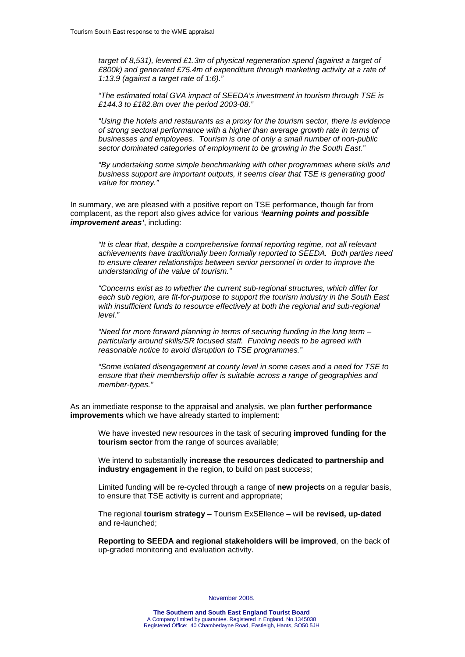*target of 8,531), levered £1.3m of physical regeneration spend (against a target of £800k) and generated £75.4m of expenditure through marketing activity at a rate of 1:13.9 (against a target rate of 1:6)."* 

*"The estimated total GVA impact of SEEDA's investment in tourism through TSE is £144.3 to £182.8m over the period 2003-08."* 

*"Using the hotels and restaurants as a proxy for the tourism sector, there is evidence of strong sectoral performance with a higher than average growth rate in terms of businesses and employees. Tourism is one of only a small number of non-public sector dominated categories of employment to be growing in the South East."* 

*"By undertaking some simple benchmarking with other programmes where skills and business support are important outputs, it seems clear that TSE is generating good value for money."* 

In summary, we are pleased with a positive report on TSE performance, though far from complacent, as the report also gives advice for various *'learning points and possible improvement areas'*, including:

*"It is clear that, despite a comprehensive formal reporting regime, not all relevant achievements have traditionally been formally reported to SEEDA. Both parties need to ensure clearer relationships between senior personnel in order to improve the understanding of the value of tourism."* 

*"Concerns exist as to whether the current sub-regional structures, which differ for each sub region, are fit-for-purpose to support the tourism industry in the South East with insufficient funds to resource effectively at both the regional and sub-regional level."* 

*"Need for more forward planning in terms of securing funding in the long term – particularly around skills/SR focused staff. Funding needs to be agreed with reasonable notice to avoid disruption to TSE programmes."* 

*"Some isolated disengagement at county level in some cases and a need for TSE to ensure that their membership offer is suitable across a range of geographies and member-types."* 

As an immediate response to the appraisal and analysis, we plan **further performance improvements** which we have already started to implement:

We have invested new resources in the task of securing **improved funding for the tourism sector** from the range of sources available;

We intend to substantially **increase the resources dedicated to partnership and industry engagement** in the region, to build on past success;

Limited funding will be re-cycled through a range of **new projects** on a regular basis, to ensure that TSE activity is current and appropriate;

The regional **tourism strategy** – Tourism ExSEllence – will be **revised, up-dated** and re-launched;

**Reporting to SEEDA and regional stakeholders will be improved**, on the back of up-graded monitoring and evaluation activity.

November 2008.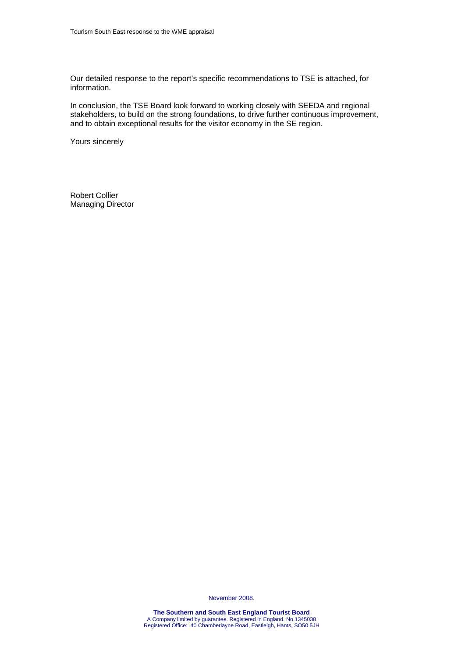Our detailed response to the report's specific recommendations to TSE is attached, for information.

In conclusion, the TSE Board look forward to working closely with SEEDA and regional stakeholders, to build on the strong foundations, to drive further continuous improvement, and to obtain exceptional results for the visitor economy in the SE region.

Yours sincerely

Robert Collier Managing Director

November 2008.

**The Southern and South East England Tourist Board**  A Company limited by guarantee. Registered in England. No.1345038 Registered Office: 40 Chamberlayne Road, Eastleigh, Hants, SO50 5JH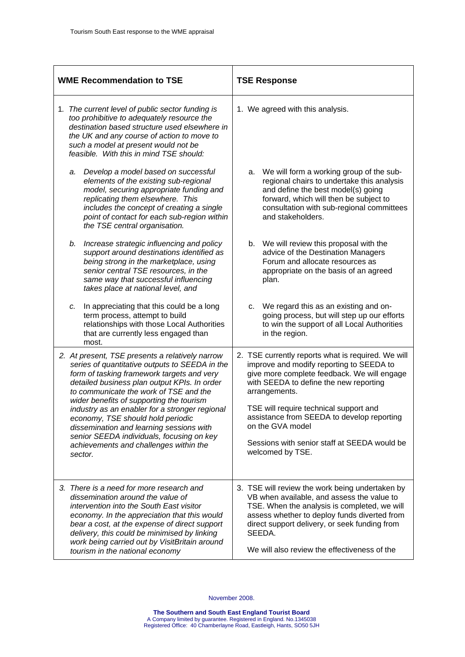| <b>WME Recommendation to TSE</b> |                                                                                                                                                                                                                                                                                                                                                                                                                                                                                                                            |                                                                                                                                                                                                                                                                                                                                                                | <b>TSE Response</b>              |    |                                                                                                                                                                                                                                                                                                                                                                                          |  |
|----------------------------------|----------------------------------------------------------------------------------------------------------------------------------------------------------------------------------------------------------------------------------------------------------------------------------------------------------------------------------------------------------------------------------------------------------------------------------------------------------------------------------------------------------------------------|----------------------------------------------------------------------------------------------------------------------------------------------------------------------------------------------------------------------------------------------------------------------------------------------------------------------------------------------------------------|----------------------------------|----|------------------------------------------------------------------------------------------------------------------------------------------------------------------------------------------------------------------------------------------------------------------------------------------------------------------------------------------------------------------------------------------|--|
|                                  | 1. The current level of public sector funding is<br>too prohibitive to adequately resource the<br>destination based structure used elsewhere in<br>the UK and any course of action to move to<br>such a model at present would not be<br>feasible. With this in mind TSE should:                                                                                                                                                                                                                                           |                                                                                                                                                                                                                                                                                                                                                                | 1. We agreed with this analysis. |    |                                                                                                                                                                                                                                                                                                                                                                                          |  |
|                                  | a.                                                                                                                                                                                                                                                                                                                                                                                                                                                                                                                         | Develop a model based on successful<br>elements of the existing sub-regional<br>model, securing appropriate funding and<br>replicating them elsewhere. This<br>includes the concept of creating a single<br>point of contact for each sub-region within<br>the TSE central organisation.                                                                       |                                  | а. | We will form a working group of the sub-<br>regional chairs to undertake this analysis<br>and define the best model(s) going<br>forward, which will then be subject to<br>consultation with sub-regional committees<br>and stakeholders.                                                                                                                                                 |  |
|                                  | b.                                                                                                                                                                                                                                                                                                                                                                                                                                                                                                                         | Increase strategic influencing and policy<br>support around destinations identified as<br>being strong in the marketplace, using<br>senior central TSE resources, in the<br>same way that successful influencing<br>takes place at national level, and                                                                                                         |                                  |    | b. We will review this proposal with the<br>advice of the Destination Managers<br>Forum and allocate resources as<br>appropriate on the basis of an agreed<br>plan.                                                                                                                                                                                                                      |  |
|                                  | c.                                                                                                                                                                                                                                                                                                                                                                                                                                                                                                                         | In appreciating that this could be a long<br>term process, attempt to build<br>relationships with those Local Authorities<br>that are currently less engaged than<br>most.                                                                                                                                                                                     |                                  |    | c. We regard this as an existing and on-<br>going process, but will step up our efforts<br>to win the support of all Local Authorities<br>in the region.                                                                                                                                                                                                                                 |  |
|                                  | 2. At present, TSE presents a relatively narrow<br>series of quantitative outputs to SEEDA in the<br>form of tasking framework targets and very<br>detailed business plan output KPIs. In order<br>to communicate the work of TSE and the<br>wider benefits of supporting the tourism<br>industry as an enabler for a stronger regional<br>economy, TSE should hold periodic<br>dissemination and learning sessions with<br>senior SEEDA individuals, focusing on key<br>achievements and challenges within the<br>sector. |                                                                                                                                                                                                                                                                                                                                                                |                                  |    | 2. TSE currently reports what is required. We will<br>improve and modify reporting to SEEDA to<br>give more complete feedback. We will engage<br>with SEEDA to define the new reporting<br>arrangements.<br>TSE will require technical support and<br>assistance from SEEDA to develop reporting<br>on the GVA model<br>Sessions with senior staff at SEEDA would be<br>welcomed by TSE. |  |
|                                  |                                                                                                                                                                                                                                                                                                                                                                                                                                                                                                                            | 3. There is a need for more research and<br>dissemination around the value of<br>intervention into the South East visitor<br>economy. In the appreciation that this would<br>bear a cost, at the expense of direct support<br>delivery, this could be minimised by linking<br>work being carried out by VisitBritain around<br>tourism in the national economy |                                  |    | 3. TSE will review the work being undertaken by<br>VB when available, and assess the value to<br>TSE. When the analysis is completed, we will<br>assess whether to deploy funds diverted from<br>direct support delivery, or seek funding from<br>SEEDA.<br>We will also review the effectiveness of the                                                                                 |  |

November 2008.